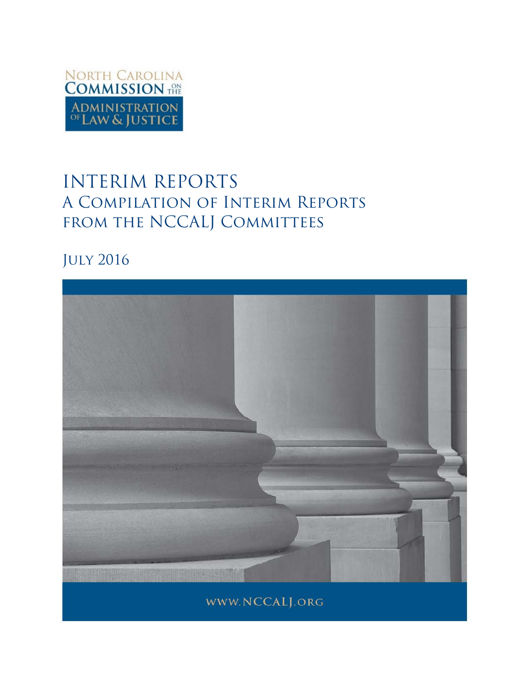

# INTERIM REPORTS A Compilation of Interim Reports FROM THE NCCALJ COMMITTEES

## July 2016

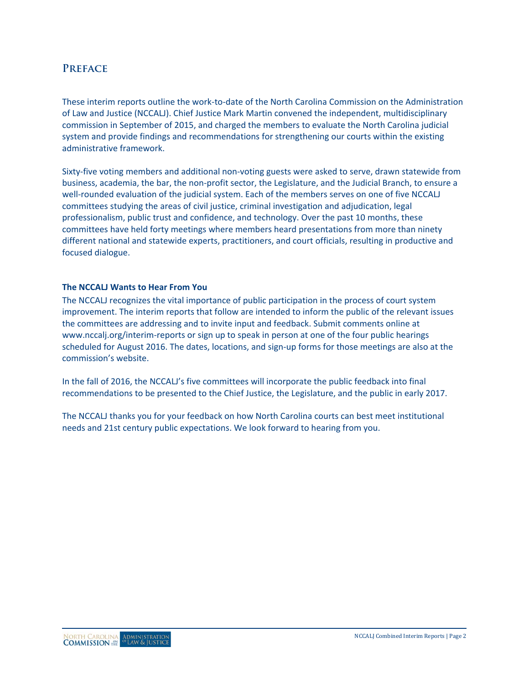#### **Preface**

These interim reports outline the work-to-date of the North Carolina Commission on the Administration of Law and Justice (NCCALJ). Chief Justice Mark Martin convened the independent, multidisciplinary commission in September of 2015, and charged the members to evaluate the North Carolina judicial system and provide findings and recommendations for strengthening our courts within the existing administrative framework.

Sixty-five voting members and additional non-voting guests were asked to serve, drawn statewide from business, academia, the bar, the non-profit sector, the Legislature, and the Judicial Branch, to ensure a well-rounded evaluation of the judicial system. Each of the members serves on one of five NCCALJ committees studying the areas of civil justice, criminal investigation and adjudication, legal professionalism, public trust and confidence, and technology. Over the past 10 months, these committees have held forty meetings where members heard presentations from more than ninety different national and statewide experts, practitioners, and court officials, resulting in productive and focused dialogue.

#### **The NCCALJ Wants to Hear From You**

The NCCALJ recognizes the vital importance of public participation in the process of court system improvement. The interim reports that follow are intended to inform the public of the relevant issues the committees are addressing and to invite input and feedback. Submit comments online at [www.nccalj.org/interim-reports](file://wfs01.aoc.nccourts.org/Network_Folders/UNIT_Communications/Courts/Session%20Comms/Commission%20on%20the%20Administration%20of%20Law%20and%20Justice/Reports/www.nccalj.org/interim-reports) or sign up to speak in person at one of the four public hearings scheduled for August 2016. The dates, locations, and sign-up forms for those meetings are also at the commission's website.

In the fall of 2016, the NCCALJ's five committees will incorporate the public feedback into final recommendations to be presented to the Chief Justice, the Legislature, and the public in early 2017.

The NCCALJ thanks you for your feedback on how North Carolina courts can best meet institutional needs and 21st century public expectations. We look forward to hearing from you.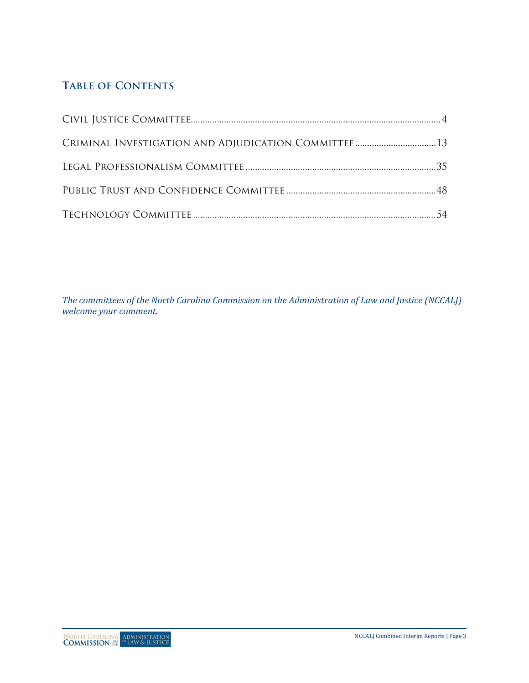## **Table of Contents**

*The committees of the North Carolina Commission on the Administration of Law and Justice (NCCALJ) welcome your comment.*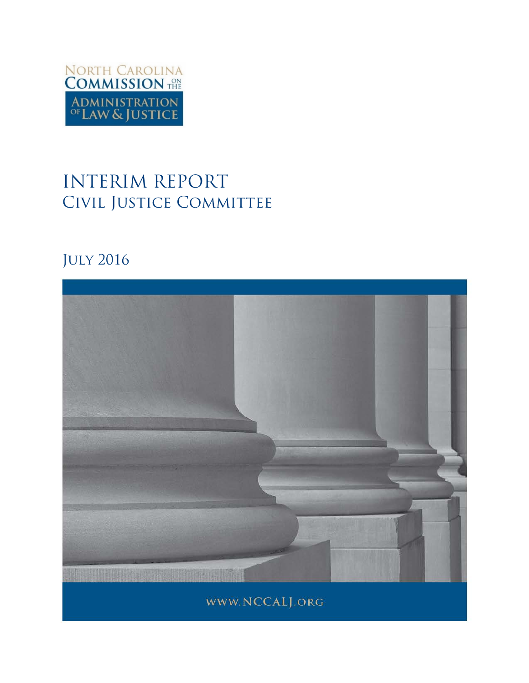

# INTERIM REPORT CIVIL JUSTICE COMMITTEE

## July 2016

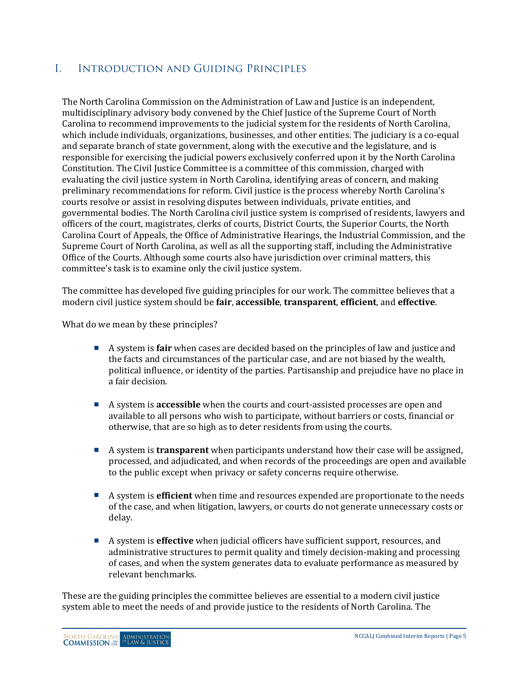## I. Introduction and Guiding Principles

The North Carolina Commission on the Administration of Law and Justice is an independent, multidisciplinary advisory body convened by the Chief Justice of the Supreme Court of North Carolina to recommend improvements to the judicial system for the residents of North Carolina, which include individuals, organizations, businesses, and other entities. The judiciary is a co-equal and separate branch of state government, along with the executive and the legislature, and is responsible for exercising the judicial powers exclusively conferred upon it by the North Carolina Constitution. The Civil Justice Committee is a committee of this commission, charged with evaluating the civil justice system in North Carolina, identifying areas of concern, and making preliminary recommendations for reform. Civil justice is the process whereby North Carolina's courts resolve or assist in resolving disputes between individuals, private entities, and governmental bodies. The North Carolina civil justice system is comprised of residents, lawyers and officers of the court, magistrates, clerks of courts, District Courts, the Superior Courts, the North Carolina Court of Appeals, the Office of Administrative Hearings, the Industrial Commission, and the Supreme Court of North Carolina, as well as all the supporting staff, including the Administrative Office of the Courts. Although some courts also have jurisdiction over criminal matters, this committee's task is to examine only the civil justice system.

The committee has developed five guiding principles for our work. The committee believes that a modern civil justice system should be **fair**, **accessible**, **transparent**, **efficient**, and **effective**.

What do we mean by these principles?

- A system is **fair** when cases are decided based on the principles of law and justice and the facts and circumstances of the particular case, and are not biased by the wealth, political influence, or identity of the parties. Partisanship and prejudice have no place in a fair decision.
- A system is **accessible** when the courts and court-assisted processes are open and available to all persons who wish to participate, without barriers or costs, financial or otherwise, that are so high as to deter residents from using the courts.
- <sup>A</sup> system is **transparent** when participants understand how their case will be assigned, processed, and adjudicated, and when records of the proceedings are open and available to the public except when privacy or safety concerns require otherwise.
- A system is **efficient** when time and resources expended are proportionate to the needs of the case, and when litigation, lawyers, or courts do not generate unnecessary costs or delay.
- A system is **effective** when judicial officers have sufficient support, resources, and administrative structures to permit quality and timely decision-making and processing of cases, and when the system generates data to evaluate performance as measured by relevant benchmarks.

These are the guiding principles the committee believes are essential to a modern civil justice system able to meet the needs of and provide justice to the residents of North Carolina. The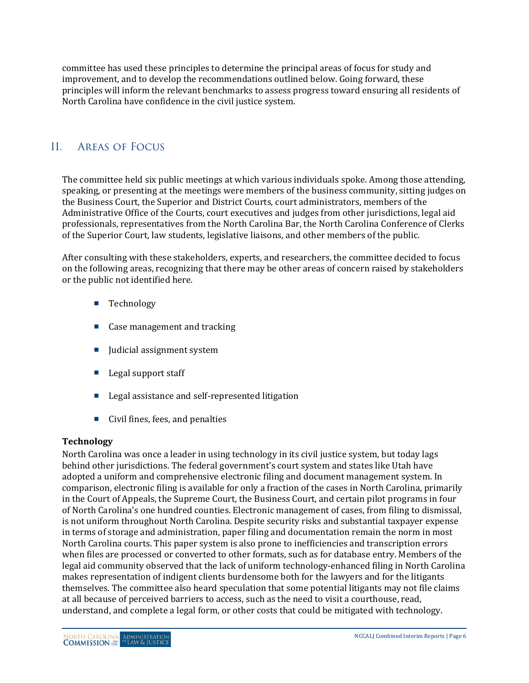committee has used these principles to determine the principal areas of focus for study and improvement, and to develop the recommendations outlined below. Going forward, these principles will inform the relevant benchmarks to assess progress toward ensuring all residents of North Carolina have confidence in the civil justice system.

## II. Areas of Focus

The committee held six public meetings at which various individuals spoke. Among those attending, speaking, or presenting at the meetings were members of the business community, sitting judges on the Business Court, the Superior and District Courts, court administrators, members of the Administrative Office of the Courts, court executives and judges from other jurisdictions, legal aid professionals, representatives from the North Carolina Bar, the North Carolina Conference of Clerks of the Superior Court, law students, legislative liaisons, and other members of the public.

After consulting with these stakeholders, experts, and researchers, the committee decided to focus on the following areas, recognizing that there may be other areas of concern raised by stakeholders or the public not identified here.

- **Technology**
- Case management and tracking
- Judicial assignment system
- $\blacksquare$  Legal support staff
- Legal assistance and self-represented litigation
- Civil fines, fees, and penalties

#### **Technology**

North Carolina was once a leader in using technology in its civil justice system, but today lags behind other jurisdictions. The federal government's court system and states like Utah have adopted a uniform and comprehensive electronic filing and document management system. In comparison, electronic filing is available for only a fraction of the cases in North Carolina, primarily in the Court of Appeals, the Supreme Court, the Business Court, and certain pilot programs in four of North Carolina's one hundred counties. Electronic management of cases, from filing to dismissal, is not uniform throughout North Carolina. Despite security risks and substantial taxpayer expense in terms of storage and administration, paper filing and documentation remain the norm in most North Carolina courts. This paper system is also prone to inefficiencies and transcription errors when files are processed or converted to other formats, such as for database entry. Members of the legal aid community observed that the lack of uniform technology-enhanced filing in North Carolina makes representation of indigent clients burdensome both for the lawyers and for the litigants themselves. The committee also heard speculation that some potential litigants may not file claims at all because of perceived barriers to access, such as the need to visit a courthouse, read, understand, and complete a legal form, or other costs that could be mitigated with technology.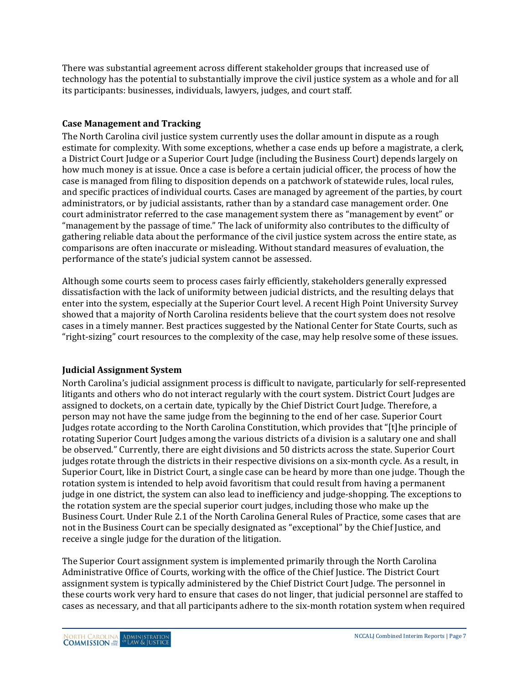There was substantial agreement across different stakeholder groups that increased use of technology has the potential to substantially improve the civil justice system as a whole and for all its participants: businesses, individuals, lawyers, judges, and court staff.

#### **Case Management and Tracking**

The North Carolina civil justice system currently uses the dollar amount in dispute as a rough estimate for complexity. With some exceptions, whether a case ends up before a magistrate, a clerk, a District Court Judge or a Superior Court Judge (including the Business Court) depends largely on how much money is at issue. Once a case is before a certain judicial officer, the process of how the case is managed from filing to disposition depends on a patchwork of statewide rules, local rules, and specific practices of individual courts. Cases are managed by agreement of the parties, by court administrators, or by judicial assistants, rather than by a standard case management order. One court administrator referred to the case management system there as "management by event" or "management by the passage of time." The lack of uniformity also contributes to the difficulty of gathering reliable data about the performance of the civil justice system across the entire state, as comparisons are often inaccurate or misleading. Without standard measures of evaluation, the performance of the state's judicial system cannot be assessed.

Although some courts seem to process cases fairly efficiently, stakeholders generally expressed dissatisfaction with the lack of uniformity between judicial districts, and the resulting delays that enter into the system, especially at the Superior Court level. A recent High Point University Survey showed that a majority of North Carolina residents believe that the court system does not resolve cases in a timely manner. Best practices suggested by the National Center for State Courts, such as "right-sizing" court resources to the complexity of the case, may help resolve some of these issues.

#### **Judicial Assignment System**

North Carolina's judicial assignment process is difficult to navigate, particularly for self-represented litigants and others who do not interact regularly with the court system. District Court Judges are assigned to dockets, on a certain date, typically by the Chief District Court Judge. Therefore, a person may not have the same judge from the beginning to the end of her case. Superior Court Judges rotate according to the North Carolina Constitution, which provides that "[t]he principle of rotating Superior Court Judges among the various districts of a division is a salutary one and shall be observed." Currently, there are eight divisions and 50 districts across the state. Superior Court judges rotate through the districts in their respective divisions on a six-month cycle. As a result, in Superior Court, like in District Court, a single case can be heard by more than one judge. Though the rotation system is intended to help avoid favoritism that could result from having a permanent judge in one district, the system can also lead to inefficiency and judge-shopping. The exceptions to the rotation system are the special superior court judges, including those who make up the Business Court. Under Rule 2.1 of the North Carolina General Rules of Practice, some cases that are not in the Business Court can be specially designated as "exceptional" by the Chief Justice, and receive a single judge for the duration of the litigation.

The Superior Court assignment system is implemented primarily through the North Carolina Administrative Office of Courts, working with the office of the Chief Justice. The District Court assignment system is typically administered by the Chief District Court Judge. The personnel in these courts work very hard to ensure that cases do not linger, that judicial personnel are staffed to cases as necessary, and that all participants adhere to the six-month rotation system when required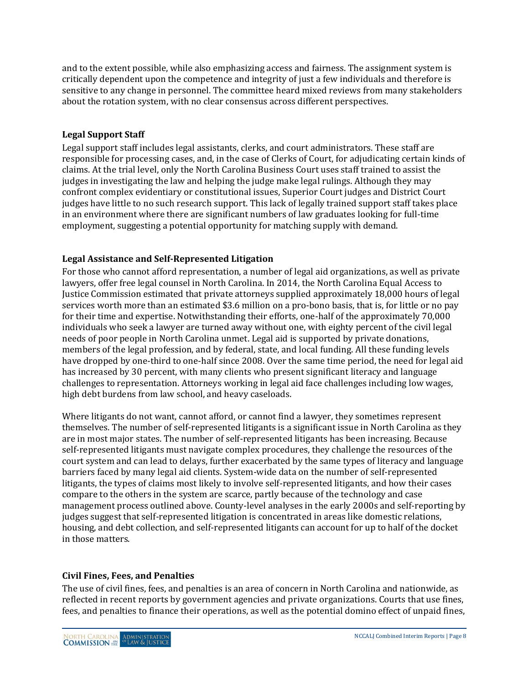and to the extent possible, while also emphasizing access and fairness. The assignment system is critically dependent upon the competence and integrity of just a few individuals and therefore is sensitive to any change in personnel. The committee heard mixed reviews from many stakeholders about the rotation system, with no clear consensus across different perspectives.

#### **Legal Support Staff**

Legal support staff includes legal assistants, clerks, and court administrators. These staff are responsible for processing cases, and, in the case of Clerks of Court, for adjudicating certain kinds of claims. At the trial level, only the North Carolina Business Court uses staff trained to assist the judges in investigating the law and helping the judge make legal rulings. Although they may confront complex evidentiary or constitutional issues, Superior Court judges and District Court judges have little to no such research support. This lack of legally trained support staff takes place in an environment where there are significant numbers of law graduates looking for full-time employment, suggesting a potential opportunity for matching supply with demand.

#### **Legal Assistance and Self-Represented Litigation**

For those who cannot afford representation, a number of legal aid organizations, as well as private lawyers, offer free legal counsel in North Carolina. In 2014, the North Carolina Equal Access to Justice Commission estimated that private attorneys supplied approximately 18,000 hours of legal services worth more than an estimated \$3.6 million on a pro-bono basis, that is, for little or no pay for their time and expertise. Notwithstanding their efforts, one-half of the approximately 70,000 individuals who seek a lawyer are turned away without one, with eighty percent of the civil legal needs of poor people in North Carolina unmet. Legal aid is supported by private donations, members of the legal profession, and by federal, state, and local funding. All these funding levels have dropped by one-third to one-half since 2008. Over the same time period, the need for legal aid has increased by 30 percent, with many clients who present significant literacy and language challenges to representation. Attorneys working in legal aid face challenges including low wages, high debt burdens from law school, and heavy caseloads.

Where litigants do not want, cannot afford, or cannot find a lawyer, they sometimes represent themselves. The number of self-represented litigants is a significant issue in North Carolina as they are in most major states. The number of self-represented litigants has been increasing. Because self-represented litigants must navigate complex procedures, they challenge the resources of the court system and can lead to delays, further exacerbated by the same types of literacy and language barriers faced by many legal aid clients. System-wide data on the number of self-represented litigants, the types of claims most likely to involve self-represented litigants, and how their cases compare to the others in the system are scarce, partly because of the technology and case management process outlined above. County-level analyses in the early 2000s and self-reporting by judges suggest that self-represented litigation is concentrated in areas like domestic relations, housing, and debt collection, and self-represented litigants can account for up to half of the docket in those matters.

#### **Civil Fines, Fees, and Penalties**

The use of civil fines, fees, and penalties is an area of concern in North Carolina and nationwide, as reflected in recent reports by government agencies and private organizations. Courts that use fines, fees, and penalties to finance their operations, as well as the potential domino effect of unpaid fines,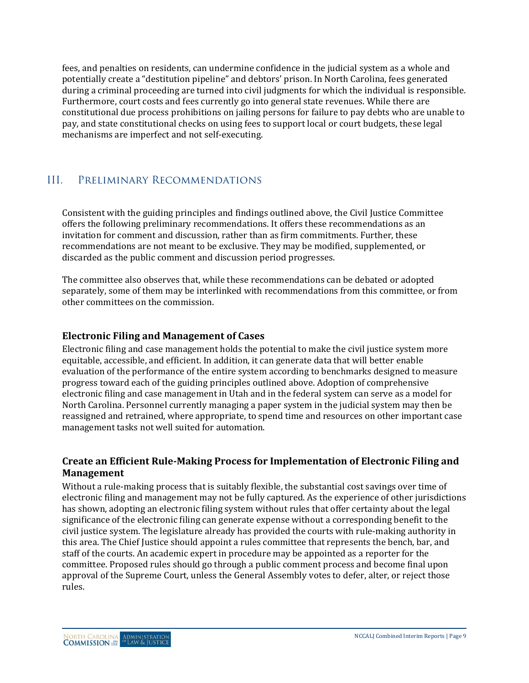fees, and penalties on residents, can undermine confidence in the judicial system as a whole and potentially create a "destitution pipeline" and debtors' prison. In North Carolina, fees generated during a criminal proceeding are turned into civil judgments for which the individual is responsible. Furthermore, court costs and fees currently go into general state revenues. While there are constitutional due process prohibitions on jailing persons for failure to pay debts who are unable to pay, and state constitutional checks on using fees to support local or court budgets, these legal mechanisms are imperfect and not self-executing.

## III. Preliminary Recommendations

Consistent with the guiding principles and findings outlined above, the Civil Justice Committee offers the following preliminary recommendations. It offers these recommendations as an invitation for comment and discussion, rather than as firm commitments. Further, these recommendations are not meant to be exclusive. They may be modified, supplemented, or discarded as the public comment and discussion period progresses.

The committee also observes that, while these recommendations can be debated or adopted separately, some of them may be interlinked with recommendations from this committee, or from other committees on the commission.

#### **Electronic Filing and Management of Cases**

Electronic filing and case management holds the potential to make the civil justice system more equitable, accessible, and efficient. In addition, it can generate data that will better enable evaluation of the performance of the entire system according to benchmarks designed to measure progress toward each of the guiding principles outlined above. Adoption of comprehensive electronic filing and case management in Utah and in the federal system can serve as a model for North Carolina. Personnel currently managing a paper system in the judicial system may then be reassigned and retrained, where appropriate, to spend time and resources on other important case management tasks not well suited for automation.

#### **Create an Efficient Rule-Making Process for Implementation of Electronic Filing and Management**

Without a rule-making process that is suitably flexible, the substantial cost savings over time of electronic filing and management may not be fully captured. As the experience of other jurisdictions has shown, adopting an electronic filing system without rules that offer certainty about the legal significance of the electronic filing can generate expense without a corresponding benefit to the civil justice system. The legislature already has provided the courts with rule-making authority in this area. The Chief Justice should appoint a rules committee that represents the bench, bar, and staff of the courts. An academic expert in procedure may be appointed as a reporter for the committee. Proposed rules should go through a public comment process and become final upon approval of the Supreme Court, unless the General Assembly votes to defer, alter, or reject those rules.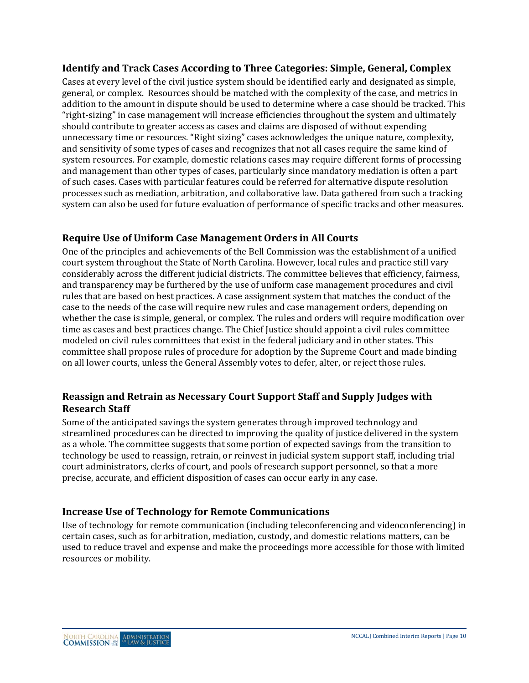#### **Identify and Track Cases According to Three Categories: Simple, General, Complex**

Cases at every level of the civil justice system should be identified early and designated as simple, general, or complex. Resources should be matched with the complexity of the case, and metrics in addition to the amount in dispute should be used to determine where a case should be tracked. This "right-sizing" in case management will increase efficiencies throughout the system and ultimately should contribute to greater access as cases and claims are disposed of without expending unnecessary time or resources. "Right sizing" cases acknowledges the unique nature, complexity, and sensitivity of some types of cases and recognizes that not all cases require the same kind of system resources. For example, domestic relations cases may require different forms of processing and management than other types of cases, particularly since mandatory mediation is often a part of such cases. Cases with particular features could be referred for alternative dispute resolution processes such as mediation, arbitration, and collaborative law. Data gathered from such a tracking system can also be used for future evaluation of performance of specific tracks and other measures.

#### **Require Use of Uniform Case Management Orders in All Courts**

One of the principles and achievements of the Bell Commission was the establishment of a unified court system throughout the State of North Carolina. However, local rules and practice still vary considerably across the different judicial districts. The committee believes that efficiency, fairness, and transparency may be furthered by the use of uniform case management procedures and civil rules that are based on best practices. A case assignment system that matches the conduct of the case to the needs of the case will require new rules and case management orders, depending on whether the case is simple, general, or complex. The rules and orders will require modification over time as cases and best practices change. The Chief Justice should appoint a civil rules committee modeled on civil rules committees that exist in the federal judiciary and in other states. This committee shall propose rules of procedure for adoption by the Supreme Court and made binding on all lower courts, unless the General Assembly votes to defer, alter, or reject those rules.

#### **Reassign and Retrain as Necessary Court Support Staff and Supply Judges with Research Staff**

Some of the anticipated savings the system generates through improved technology and streamlined procedures can be directed to improving the quality of justice delivered in the system as a whole. The committee suggests that some portion of expected savings from the transition to technology be used to reassign, retrain, or reinvest in judicial system support staff, including trial court administrators, clerks of court, and pools of research support personnel, so that a more precise, accurate, and efficient disposition of cases can occur early in any case.

#### **Increase Use of Technology for Remote Communications**

Use of technology for remote communication (including teleconferencing and videoconferencing) in certain cases, such as for arbitration, mediation, custody, and domestic relations matters, can be used to reduce travel and expense and make the proceedings more accessible for those with limited resources or mobility.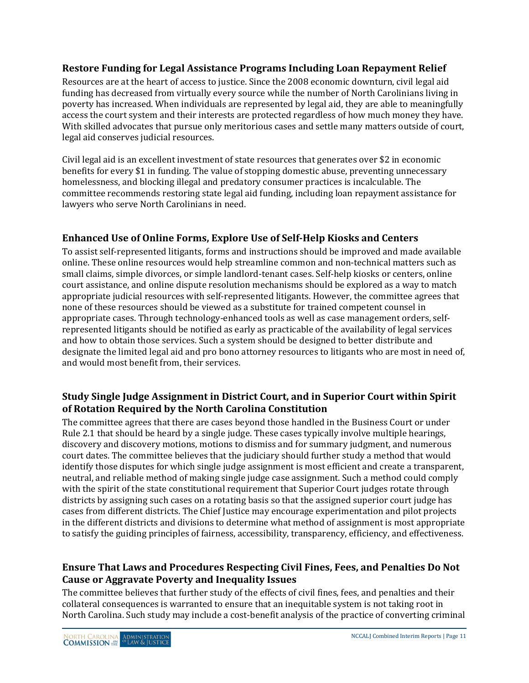#### **Restore Funding for Legal Assistance Programs Including Loan Repayment Relief**

Resources are at the heart of access to justice. Since the 2008 economic downturn, civil legal aid funding has decreased from virtually every source while the number of North Carolinians living in poverty has increased. When individuals are represented by legal aid, they are able to meaningfully access the court system and their interests are protected regardless of how much money they have. With skilled advocates that pursue only meritorious cases and settle many matters outside of court, legal aid conserves judicial resources.

Civil legal aid is an excellent investment of state resources that generates over \$2 in economic benefits for every \$1 in funding. The value of stopping domestic abuse, preventing unnecessary homelessness, and blocking illegal and predatory consumer practices is incalculable. The committee recommends restoring state legal aid funding, including loan repayment assistance for lawyers who serve North Carolinians in need.

### **Enhanced Use of Online Forms, Explore Use of Self-Help Kiosks and Centers**

To assist self-represented litigants, forms and instructions should be improved and made available online. These online resources would help streamline common and non-technical matters such as small claims, simple divorces, or simple landlord-tenant cases. Self-help kiosks or centers, online court assistance, and online dispute resolution mechanisms should be explored as a way to match appropriate judicial resources with self-represented litigants. However, the committee agrees that none of these resources should be viewed as a substitute for trained competent counsel in appropriate cases. Through technology-enhanced tools as well as case management orders, selfrepresented litigants should be notified as early as practicable of the availability of legal services and how to obtain those services. Such a system should be designed to better distribute and designate the limited legal aid and pro bono attorney resources to litigants who are most in need of, and would most benefit from, their services.

#### **Study Single Judge Assignment in District Court, and in Superior Court within Spirit of Rotation Required by the North Carolina Constitution**

The committee agrees that there are cases beyond those handled in the Business Court or under Rule 2.1 that should be heard by a single judge. These cases typically involve multiple hearings, discovery and discovery motions, motions to dismiss and for summary judgment, and numerous court dates. The committee believes that the judiciary should further study a method that would identify those disputes for which single judge assignment is most efficient and create a transparent, neutral, and reliable method of making single judge case assignment. Such a method could comply with the spirit of the state constitutional requirement that Superior Court judges rotate through districts by assigning such cases on a rotating basis so that the assigned superior court judge has cases from different districts. The Chief Justice may encourage experimentation and pilot projects in the different districts and divisions to determine what method of assignment is most appropriate to satisfy the guiding principles of fairness, accessibility, transparency, efficiency, and effectiveness.

#### **Ensure That Laws and Procedures Respecting Civil Fines, Fees, and Penalties Do Not Cause or Aggravate Poverty and Inequality Issues**

The committee believes that further study of the effects of civil fines, fees, and penalties and their collateral consequences is warranted to ensure that an inequitable system is not taking root in North Carolina. Such study may include a cost-benefit analysis of the practice of converting criminal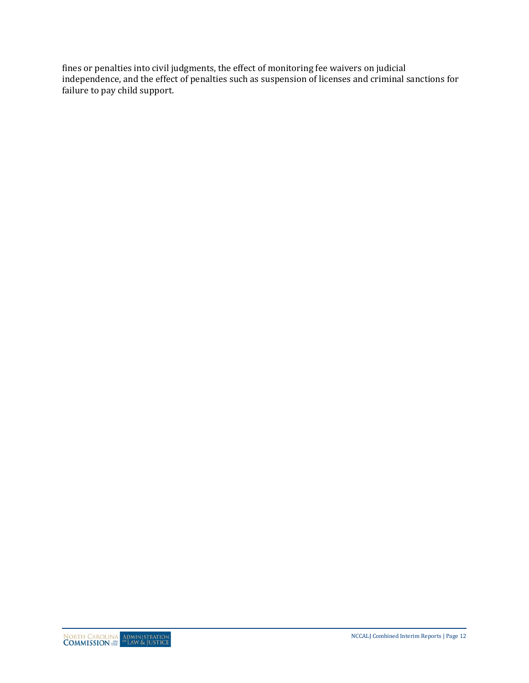fines or penalties into civil judgments, the effect of monitoring fee waivers on judicial independence, and the effect of penalties such as suspension of licenses and criminal sanctions for failure to pay child support.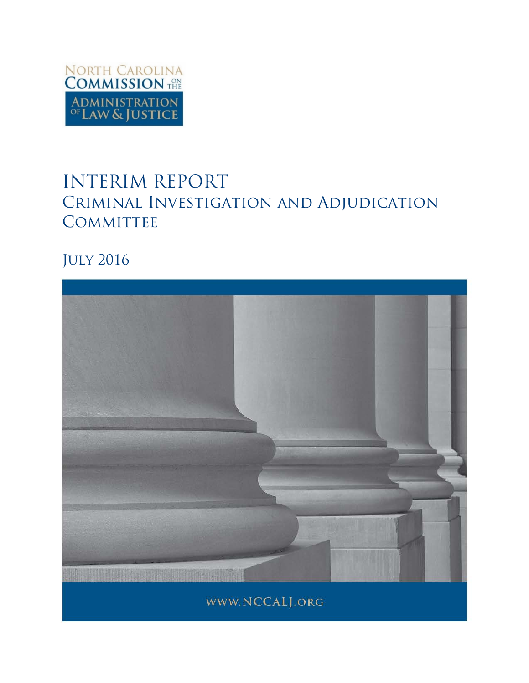

# INTERIM REPORT Criminal Investigation and Adjudication **COMMITTEE**

July 2016

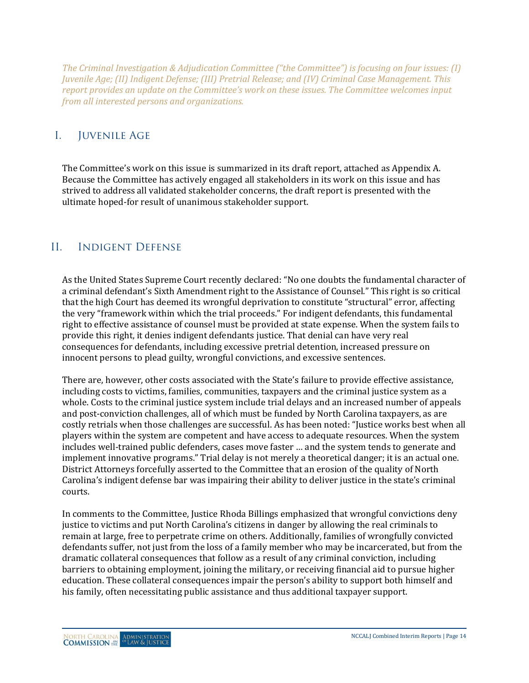*The Criminal Investigation & Adjudication Committee ("the Committee") is focusing on four issues: (I) Juvenile Age; (II) Indigent Defense; (III) Pretrial Release; and (IV) Criminal Case Management. This report provides an update on the Committee's work on these issues. The Committee welcomes input from all interested persons and organizations.*

### I. Juvenile Age

The Committee's work on this issue is summarized in its draft report, attached as Appendix A. Because the Committee has actively engaged all stakeholders in its work on this issue and has strived to address all validated stakeholder concerns, the draft report is presented with the ultimate hoped-for result of unanimous stakeholder support.

## II. Indigent Defense

As the United States Supreme Court recently declared: "No one doubts the fundamental character of a criminal defendant's Sixth Amendment right to the Assistance of Counsel." This right is so critical that the high Court has deemed its wrongful deprivation to constitute "structural" error, affecting the very "framework within which the trial proceeds." For indigent defendants, this fundamental right to effective assistance of counsel must be provided at state expense. When the system fails to provide this right, it denies indigent defendants justice. That denial can have very real consequences for defendants, including excessive pretrial detention, increased pressure on innocent persons to plead guilty, wrongful convictions, and excessive sentences.

There are, however, other costs associated with the State's failure to provide effective assistance, including costs to victims, families, communities, taxpayers and the criminal justice system as a whole. Costs to the criminal justice system include trial delays and an increased number of appeals and post-conviction challenges, all of which must be funded by North Carolina taxpayers, as are costly retrials when those challenges are successful. As has been noted: "Justice works best when all players within the system are competent and have access to adequate resources. When the system includes well-trained public defenders, cases move faster … and the system tends to generate and implement innovative programs." Trial delay is not merely a theoretical danger; it is an actual one. District Attorneys forcefully asserted to the Committee that an erosion of the quality of North Carolina's indigent defense bar was impairing their ability to deliver justice in the state's criminal courts.

In comments to the Committee, Justice Rhoda Billings emphasized that wrongful convictions deny justice to victims and put North Carolina's citizens in danger by allowing the real criminals to remain at large, free to perpetrate crime on others. Additionally, families of wrongfully convicted defendants suffer, not just from the loss of a family member who may be incarcerated, but from the dramatic collateral consequences that follow as a result of any criminal conviction, including barriers to obtaining employment, joining the military, or receiving financial aid to pursue higher education. These collateral consequences impair the person's ability to support both himself and his family, often necessitating public assistance and thus additional taxpayer support.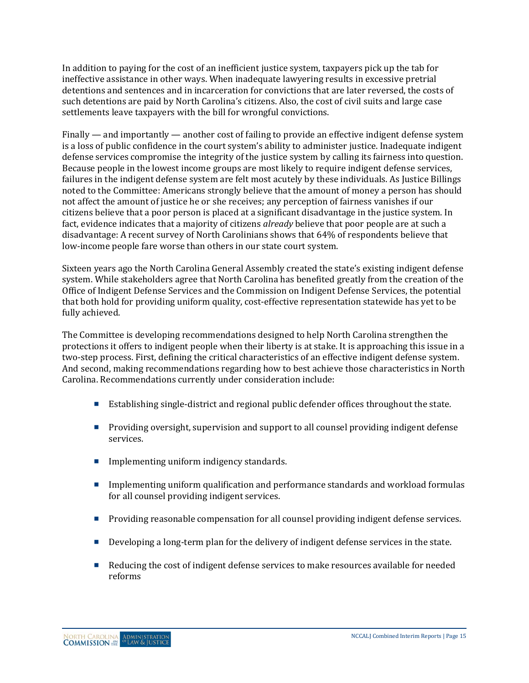In addition to paying for the cost of an inefficient justice system, taxpayers pick up the tab for ineffective assistance in other ways. When inadequate lawyering results in excessive pretrial detentions and sentences and in incarceration for convictions that are later reversed, the costs of such detentions are paid by North Carolina's citizens. Also, the cost of civil suits and large case settlements leave taxpayers with the bill for wrongful convictions.

Finally — and importantly — another cost of failing to provide an effective indigent defense system is a loss of public confidence in the court system's ability to administer justice. Inadequate indigent defense services compromise the integrity of the justice system by calling its fairness into question. Because people in the lowest income groups are most likely to require indigent defense services, failures in the indigent defense system are felt most acutely by these individuals. As Justice Billings noted to the Committee: Americans strongly believe that the amount of money a person has should not affect the amount of justice he or she receives; any perception of fairness vanishes if our citizens believe that a poor person is placed at a significant disadvantage in the justice system. In fact, evidence indicates that a majority of citizens *already* believe that poor people are at such a disadvantage: A recent survey of North Carolinians shows that 64% of respondents believe that low-income people fare worse than others in our state court system.

Sixteen years ago the North Carolina General Assembly created the state's existing indigent defense system. While stakeholders agree that North Carolina has benefited greatly from the creation of the Office of Indigent Defense Services and the Commission on Indigent Defense Services, the potential that both hold for providing uniform quality, cost-effective representation statewide has yet to be fully achieved.

The Committee is developing recommendations designed to help North Carolina strengthen the protections it offers to indigent people when their liberty is at stake. It is approaching this issue in a two-step process. First, defining the critical characteristics of an effective indigent defense system. And second, making recommendations regarding how to best achieve those characteristics in North Carolina. Recommendations currently under consideration include:

- Establishing single-district and regional public defender offices throughout the state.
- **Providing oversight, supervision and support to all counsel providing indigent defense** services.
- **Implementing uniform indigency standards.**
- Implementing uniform qualification and performance standards and workload formulas for all counsel providing indigent services.
- **Providing reasonable compensation for all counsel providing indigent defense services.**
- Developing a long-term plan for the delivery of indigent defense services in the state.
- Reducing the cost of indigent defense services to make resources available for needed reforms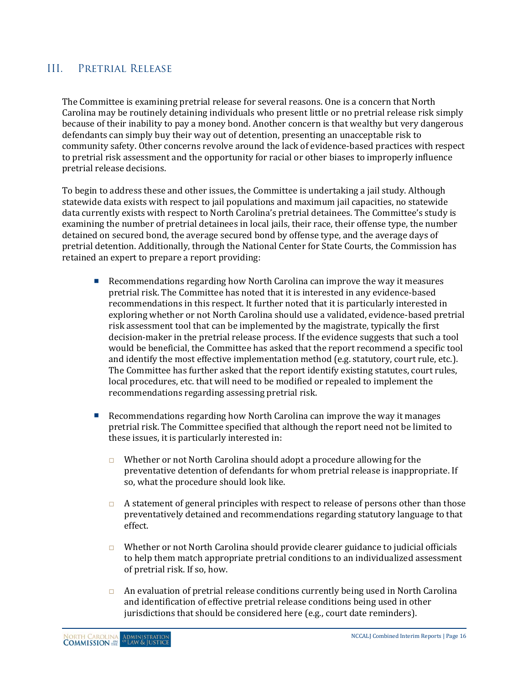#### III. Pretrial Release

The Committee is examining pretrial release for several reasons. One is a concern that North Carolina may be routinely detaining individuals who present little or no pretrial release risk simply because of their inability to pay a money bond. Another concern is that wealthy but very dangerous defendants can simply buy their way out of detention, presenting an unacceptable risk to community safety. Other concerns revolve around the lack of evidence-based practices with respect to pretrial risk assessment and the opportunity for racial or other biases to improperly influence pretrial release decisions.

To begin to address these and other issues, the Committee is undertaking a jail study. Although statewide data exists with respect to jail populations and maximum jail capacities, no statewide data currently exists with respect to North Carolina's pretrial detainees. The Committee's study is examining the number of pretrial detainees in local jails, their race, their offense type, the number detained on secured bond, the average secured bond by offense type, and the average days of pretrial detention. Additionally, through the National Center for State Courts, the Commission has retained an expert to prepare a report providing:

- Recommendations regarding how North Carolina can improve the way it measures pretrial risk. The Committee has noted that it is interested in any evidence-based recommendations in this respect. It further noted that it is particularly interested in exploring whether or not North Carolina should use a validated, evidence-based pretrial risk assessment tool that can be implemented by the magistrate, typically the first decision-maker in the pretrial release process. If the evidence suggests that such a tool would be beneficial, the Committee has asked that the report recommend a specific tool and identify the most effective implementation method (e.g. statutory, court rule, etc.). The Committee has further asked that the report identify existing statutes, court rules, local procedures, etc. that will need to be modified or repealed to implement the recommendations regarding assessing pretrial risk.
- Recommendations regarding how North Carolina can improve the way it manages pretrial risk. The Committee specified that although the report need not be limited to these issues, it is particularly interested in:
	- $\Box$  Whether or not North Carolina should adopt a procedure allowing for the preventative detention of defendants for whom pretrial release is inappropriate. If so, what the procedure should look like.
	- $\Box$  A statement of general principles with respect to release of persons other than those preventatively detained and recommendations regarding statutory language to that effect.
	- $\Box$  Whether or not North Carolina should provide clearer guidance to judicial officials to help them match appropriate pretrial conditions to an individualized assessment of pretrial risk. If so, how.
	- $\Box$  An evaluation of pretrial release conditions currently being used in North Carolina and identification of effective pretrial release conditions being used in other jurisdictions that should be considered here (e.g., court date reminders).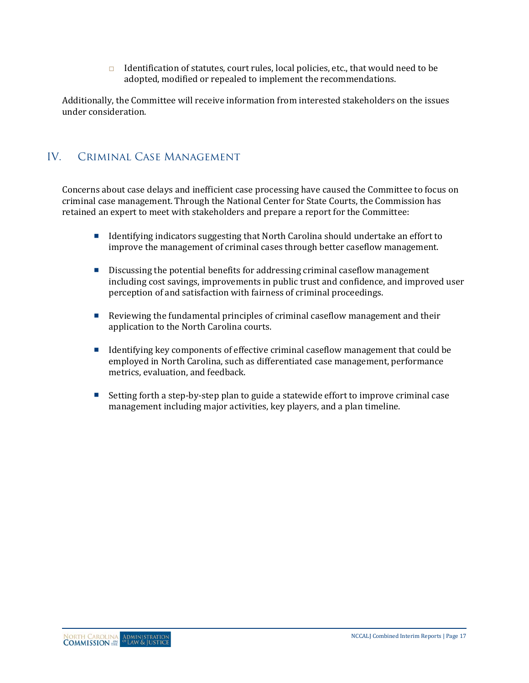Identification of statutes, court rules, local policies, etc., that would need to be adopted, modified or repealed to implement the recommendations.

Additionally, the Committee will receive information from interested stakeholders on the issues under consideration.

## IV. Criminal Case Management

Concerns about case delays and inefficient case processing have caused the Committee to focus on criminal case management. Through the National Center for State Courts, the Commission has retained an expert to meet with stakeholders and prepare a report for the Committee:

- Identifying indicators suggesting that North Carolina should undertake an effort to improve the management of criminal cases through better caseflow management.
- **Discussing the potential benefits for addressing criminal caseflow management** including cost savings, improvements in public trust and confidence, and improved user perception of and satisfaction with fairness of criminal proceedings.
- Reviewing the fundamental principles of criminal caseflow management and their application to the North Carolina courts.
- Identifying key components of effective criminal caseflow management that could be employed in North Carolina, such as differentiated case management, performance metrics, evaluation, and feedback.
- Setting forth a step-by-step plan to guide a statewide effort to improve criminal case management including major activities, key players, and a plan timeline.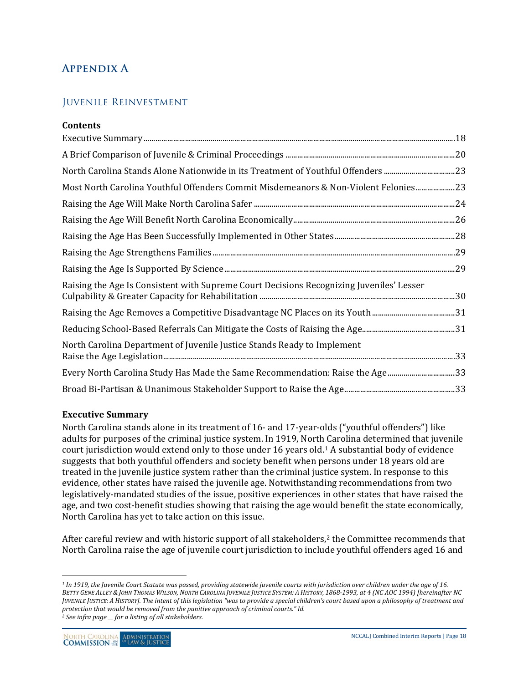## **Appendix A**

### Juvenile Reinvestment

| <b>Contents</b>                                                                          |  |
|------------------------------------------------------------------------------------------|--|
|                                                                                          |  |
|                                                                                          |  |
|                                                                                          |  |
| Most North Carolina Youthful Offenders Commit Misdemeanors & Non-Violent Felonies 23     |  |
|                                                                                          |  |
|                                                                                          |  |
|                                                                                          |  |
|                                                                                          |  |
|                                                                                          |  |
| Raising the Age Is Consistent with Supreme Court Decisions Recognizing Juveniles' Lesser |  |
|                                                                                          |  |
|                                                                                          |  |
| North Carolina Department of Juvenile Justice Stands Ready to Implement                  |  |
| Every North Carolina Study Has Made the Same Recommendation: Raise the Age33             |  |
|                                                                                          |  |

#### <span id="page-17-0"></span>**Executive Summary**

North Carolina stands alone in its treatment of 16- and 17-year-olds ("youthful offenders") like adults for purposes of the criminal justice system. In 1919, North Carolina determined that juvenile court jurisdiction would extend only to those under 16 years old.[1](#page-17-1) A substantial body of evidence suggests that both youthful offenders and society benefit when persons under 18 years old are treated in the juvenile justice system rather than the criminal justice system. In response to this evidence, other states have raised the juvenile age. Notwithstanding recommendations from two legislatively-mandated studies of the issue, positive experiences in other states that have raised the age, and two cost-benefit studies showing that raising the age would benefit the state economically, North Carolina has yet to take action on this issue.

After careful review and with historic support of all stakeholders,<sup>[2](#page-17-2)</sup> the Committee recommends that North Carolina raise the age of juvenile court jurisdiction to include youthful offenders aged 16 and

 $\overline{a}$ 

<span id="page-17-1"></span><sup>&</sup>lt;sup>1</sup> In 1919, the Juvenile Court Statute was passed, providing statewide juvenile courts with jurisdiction over children under the age of 16. *BETTY GENE ALLEY & JOHN THOMAS WILSON, NORTH CAROLINA JUVENILE JUSTICE SYSTEM: A HISTORY, 1868-1993, at 4 (NC AOC 1994) [hereinafter NC JUVENILE JUSTICE: A HISTORY]. The intent of this legislation "was to provide a special children's court based upon a philosophy of treatment and protection that would be removed from the punitive approach of criminal courts." Id.*

<span id="page-17-2"></span>*<sup>2</sup> See infra page \_\_ for a listing of all stakeholders.*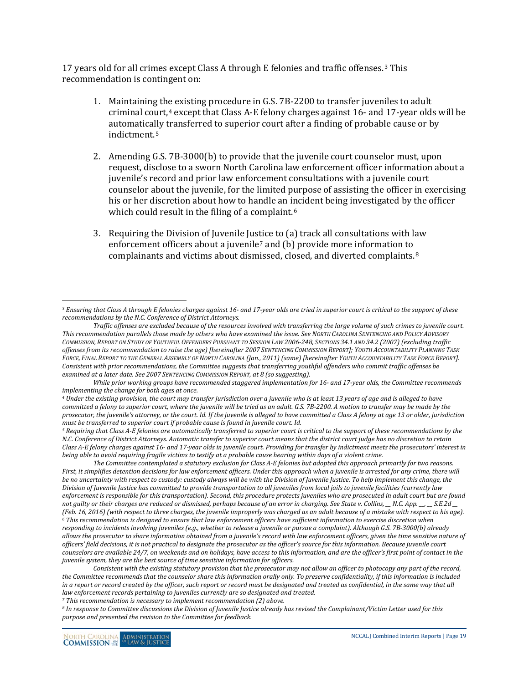17 years old for all crimes except Class A through E felonies and traffic offenses.[3](#page-18-0) This recommendation is contingent on:

- 1. Maintaining the existing procedure in G.S. 7B-2200 to transfer juveniles to adult criminal court,[4](#page-18-1) except that Class A-E felony charges against 16- and 17-year olds will be automatically transferred to superior court after a finding of probable cause or by indictment.[5](#page-18-2)
- 2. Amending G.S. 7B-3000(b) to provide that the juvenile court counselor must, upon request, disclose to a sworn North Carolina law enforcement officer information about a juvenile's record and prior law enforcement consultations with a juvenile court counselor about the juvenile, for the limited purpose of assisting the officer in exercising his or her discretion about how to handle an incident being investigated by the officer which could result in the filing of a complaint.<sup>[6](#page-18-3)</sup>
- 3. Requiring the Division of Juvenile Jus[ti](#page-18-4)ce to (a) track all consultations with law enforcement officers about a juvenile<sup>7</sup> and (b) provide more information to complainants and victims about dismissed, closed, and diverted complaints.[8](#page-18-5)

<span id="page-18-2"></span><sup>5</sup> Requiring that Class A-E felonies are automatically transferred to superior court is critical to the support of these recommendations by the *N.C. Conference of District Attorneys. Automatic transfer to superior court means that the district court judge has no discretion to retain Class A-E felony charges against 16- and 17-year olds in juvenile court. Providing for transfer by indictment meets the prosecutors' interest in being able to avoid requiring fragile victims to testify at a probable cause hearing within days of a violent crime.*

*The Committee contemplated a statutory exclusion for Class A-E felonies but adopted this approach primarily for two reasons. First, it simplifies detention decisions for law enforcement officers. Under this approach when a juvenile is arrested for any crime, there will be no uncertainty with respect to custody: custody always will be with the Division of Juvenile Justice. To help implement this change, the Division of Juvenile Justice has committed to provide transportation to all juveniles from local jails to juvenile facilities (currently law enforcement is responsible for this transportation). Second, this procedure protects juveniles who are prosecuted in adult court but are found not guilty or their charges are reduced or dismissed, perhaps because of an error in charging. See State v. Collins, \_\_ N.C. App. \_\_, \_\_ S.E.2d \_\_ (Feb. 16, 2016) (with respect to three charges, the juvenile improperly was charged as an adult because of a mistake with respect to his age). <sup>6</sup> This recommendation is designed to ensure that law enforcement officers have sufficient information to exercise discretion when responding to incidents involving juveniles (e.g., whether to release a juvenile or pursue a complaint). Although G.S. 7B-3000(b) already allows the prosecutor to share information obtained from a juvenile's record with law enforcement officers, given the time sensitive nature of officers' field decisions, it is not practical to designate the prosecutor as the officer's source for this information. Because juvenile court counselors are available 24/7, on weekends and on holidays, have access to this information, and are the officer's first point of contact in the juvenile system, they are the best source of time sensitive information for officers.*

<span id="page-18-3"></span>*Consistent with the existing statutory provision that the prosecutor may not allow an officer to photocopy any part of the record, the Committee recommends that the counselor share this information orally only. To preserve confidentiality, if this information is included in a report or record created by the officer, such report or record must be designated and treated as confidential, in the same way that all law enforcement records pertaining to juveniles currently are so designated and treated.*

*<sup>7</sup> This recommendation is necessary to implement recommendation (2) above.* 

<span id="page-18-5"></span><span id="page-18-4"></span>*<sup>8</sup> In response to Committee discussions the Division of Juvenile Justice already has revised the Complainant/Victim Letter used for this purpose and presented the revision to the Committee for feedback.* 

<span id="page-18-0"></span> $\overline{a}$ *<sup>3</sup> Ensuring that Class A through E felonies charges against 16- and 17-year olds are tried in superior court is critical to the support of these recommendations by the N.C. Conference of District Attorneys.*

*Traffic offenses are excluded because of the resources involved with transferring the large volume of such crimes to juvenile court. This recommendation parallels those made by others who have examined the issue. See NORTH CAROLINA SENTENCING AND POLICY ADVISORY COMMISSION, REPORT ON STUDY OF YOUTHFUL OFFENDERS PURSUANT TO SESSION LAW 2006-248, SECTIONS 34.1 AND 34.2 (2007) (excluding traffic offenses from its recommendation to raise the age) [hereinafter 2007 SENTENCING COMMISSION REPORT]; YOUTH ACCOUNTABILITY PLANNING TASK FORCE, FINAL REPORT TO THE GENERAL ASSEMBLY OF NORTH CAROLINA (Jan., 2011) (same) [hereinafter YOUTH ACCOUNTABILITY TASK FORCE REPORT]. Consistent with prior recommendations, the Committee suggests that transferring youthful offenders who commit traffic offenses be examined at a later date. See 2007 SENTENCING COMMISSION REPORT, at 8 (so suggesting).* 

*While prior working groups have recommended staggered implementation for 16- and 17-year olds, the Committee recommends implementing the change for both ages at once.* 

<span id="page-18-1"></span>*<sup>4</sup> Under the existing provision, the court may transfer jurisdiction over a juvenile who is at least 13 years of age and is alleged to have committed a felony to superior court, where the juvenile will be tried as an adult. G.S. 7B-2200. A motion to transfer may be made by the prosecutor, the juvenile's attorney, or the court. Id. If the juvenile is alleged to have committed a Class A felony at age 13 or older, jurisdiction*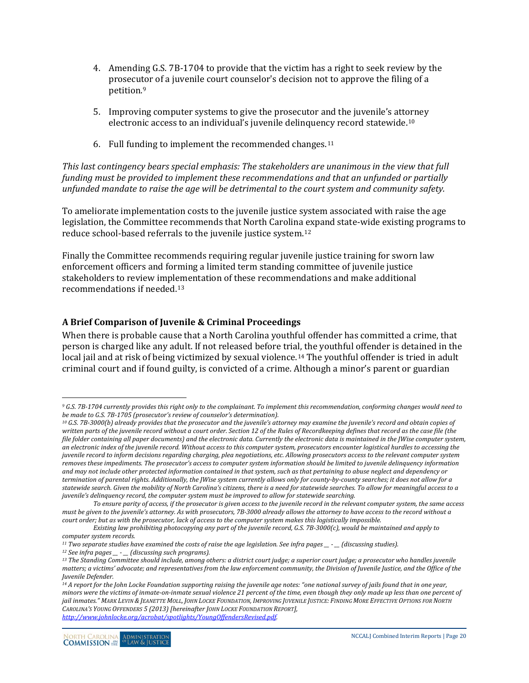- 4. Amending G.S. 7B-1704 to provide that the victim has a right to seek review by the prosecu[to](#page-19-1)r of a juvenile court counselor's decision not to approve the filing of a petition.9
- 5. Improving computer systems to give the prosecutor and the juvenile's att[orn](#page-19-2)ey electronic access to an individual's juvenile delinquency record statewide.10
- 6. Full funding to implement the recommended changes.<sup>[11](#page-19-3)</sup>

*This last contingency bears special emphasis: The stakeholders are unanimous in the view that full funding must be provided to implement these recommendations and that an unfunded or partially unfunded mandate to raise the age will be detrimental to the court system and community safety.*

To ameliorate implementation costs to the juvenile justice system associated with raise the age legislation, the Committee recommends that North Carolina expand state-wide existing programs to reduce school-based referrals to the juvenile justice system.[12](#page-19-4)

Finally the Committee recommends requiring regular juvenile justice training for sworn law enforcement officers and forming a limited term standing committee of juvenile justice stakeholders to review impl[em](#page-19-5)entation of these recommendations and make additional recommendations if needed.13

#### <span id="page-19-0"></span>**A Brief Comparison of Juvenile & Criminal Proceedings**

When there is probable cause that a North Carolina youthful offender has committed a crime, that person is charged like any adult. If not released before tria[l, t](#page-19-6)he youthful offender is detained in the local jail and at risk of being victimized by sexual violence.<sup>14</sup> The youthful offender is tried in adult criminal court and if found guilty, is convicted of a crime. Although a minor's parent or guardian

<span id="page-19-1"></span> $\overline{a}$ *<sup>9</sup> G.S. 7B-1704 currently provides this right only to the complainant. To implement this recommendation, conforming changes would need to be made to G.S. 7B-1705 (prosecutor's review of counselor's determination).*

<span id="page-19-2"></span>*<sup>10</sup> G.S. 7B-3000(b) already provides that the prosecutor and the juvenile's attorney may examine the juvenile's record and obtain copies of written parts of the juvenile record without a court order. Section 12 of the Rules of Recordkeeping defines that record as the case file (the file folder containing all paper documents) and the electronic data. Currently the electronic data is maintained in the JWise computer system, an electronic index of the juvenile record. Without access to this computer system, prosecutors encounter logistical hurdles to accessing the juvenile record to inform decisions regarding charging, plea negotiations, etc. Allowing prosecutors access to the relevant computer system removes these impediments. The prosecutor's access to computer system information should be limited to juvenile delinquency information and may not include other protected information contained in that system, such as that pertaining to abuse neglect and dependency or termination of parental rights. Additionally, the JWise system currently allows only for county-by-county searches; it does not allow for a statewide search. Given the mobility of North Carolina's citizens, there is a need for statewide searches. To allow for meaningful access to a juvenile's delinquency record, the computer system must be improved to allow for statewide searching.* 

*To ensure parity of access, if the prosecutor is given access to the juvenile record in the relevant computer system, the same access must be given to the juvenile's attorney. As with prosecutors, 7B-3000 already allows the attorney to have access to the record without a court order; but as with the prosecutor, lack of access to the computer system makes this logistically impossible.*

*Existing law prohibiting photocopying any part of the juvenile record, G.S. 7B-3000(c), would be maintained and apply to computer system records.*

<span id="page-19-3"></span>*<sup>11</sup> Two separate studies have examined the costs of raise the age legislation. See infra pages \_\_ - \_\_ (discussing studies).*

*<sup>12</sup> See infra pages \_\_ - \_\_ (discussing such programs).*

<span id="page-19-5"></span><span id="page-19-4"></span>*<sup>13</sup> The Standing Committee should include, among others: a district court judge; a superior court judge; a prosecutor who handles juvenile matters; a victims' advocate; and representatives from the law enforcement community, the Division of Juvenile Justice, and the Office of the Juvenile Defender.*

<span id="page-19-6"></span><sup>&</sup>lt;sup>14</sup> *A report for the John Locke Foundation supporting raising the juvenile age notes: "one national survey of jails found that in one year, minors were the victims of inmate-on-inmate sexual violence 21 percent of the time, even though they only made up less than one percent of jail inmates." MARK LEVIN & JEANETTE MOLL, JOHN LOCKE FOUNDATION, IMPROVING JUVENILE JUSTICE: FINDING MORE EFFECTIVE OPTIONS FOR NORTH CAROLINA'S YOUNG OFFENDERS 5 (2013) [hereinafter JOHN LOCKE FOUNDATION REPORT], [http://www.johnlocke.org/acrobat/spotlights/YoungOffendersRevised.pdf.](http://www.johnlocke.org/acrobat/spotlights/YoungOffendersRevised.pdf)*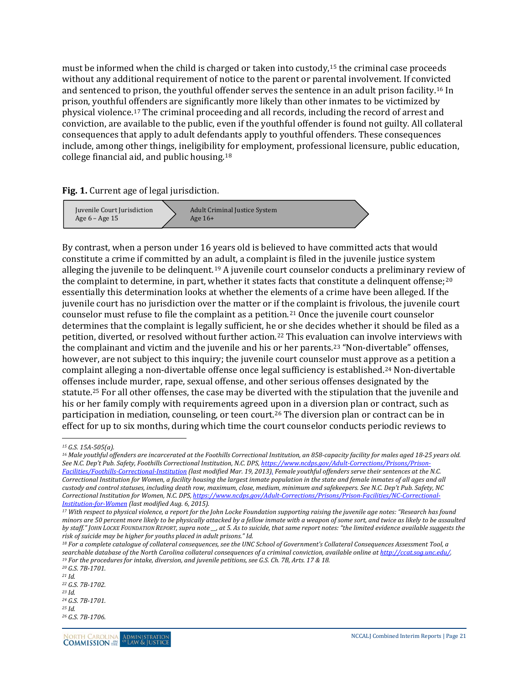must be informed when the child is charged or taken into custody,[15](#page-20-0) the criminal case proceeds without any additional requirement of notice to the parent or parental involvement. If convicted and sentenced to prison, the youthful offender serves the sentence in an adult prison facility.[16](#page-20-1) In prison, youthful offenders are significantly more likely than other inmates to be victimized by physical violence.[17](#page-20-2) The criminal proceeding and all records, including the record of arrest and conviction, are available to the public, even if the youthful offender is found not guilty. All collateral consequences that apply to adult defendants apply to youthful offenders. These consequences include, among other things, ineligibility [fo](#page-20-3)r employment, professional licensure, public education, college financial aid, and public housing.18

**Fig. 1.** Current age of legal jurisdiction.



By contrast, when a person under 16 years old is believed to have committed acts that would constitute a crime if committed by an adult, a complaint is filed in the juvenile justice system alleging the juvenile to be delinquent.[19](#page-20-4) A juvenile court counselor conducts a preliminary review of the complaint to determine, in part, whether it states facts that constitute a delinquent offense; $2^0$ essentially this determination looks at whether the elements of a crime have been alleged. If the juvenile court has no jurisdiction over the matter or if the complaint is frivolous, the juvenile court counselor must refuse to file the complaint as a petition.[21](#page-20-6) Once the juvenile court counselor determines that the complaint is legally sufficient, he or she decides whether it should be filed as a petition, diverted, or resolved without further action.<sup>[22](#page-20-7)</sup> This evaluation can involve interviews with the complainant and victim and the juvenile and his or her parents.[23](#page-20-8) "Non-divertable" offenses, however, are not subject to this inquiry; the juvenile court counselor must appr[ov](#page-20-9)e as a petition a complaint alleging a non-divertable offense once legal sufficiency is established.24 Non-divertable offenses include murder, rape, sexual offense, and other serious offenses designated by the statute.[25](#page-20-10) For all other offenses, the case may be diverted with the stipulation that the juvenile and his or her family comply with requirements agreed upon in a diversion plan or contract, such as participation in mediation, counseling, or teen court.[26](#page-20-11) The diversion plan or contract can be in effect for up to six months, during which time the court counselor conducts periodic reviews to

 $\overline{a}$ *<sup>15</sup> G.S. 15A-505(a).*

<span id="page-20-1"></span><span id="page-20-0"></span><sup>&</sup>lt;sup>16</sup> Male youthful offenders are incarcerated at the Foothills Correctional Institution, an 858-capacity facility for males aged 18-25 years old. *See N.C. Dep't Pub. Safety, Foothills Correctional Institution, N.C. DPS[, https://www.ncdps.gov/Adult-Corrections/Prisons/Prison-](https://www.ncdps.gov/Adult-Corrections/Prisons/Prison-Facilities/Foothills-Correctional-Institution)[Facilities/Foothills-Correctional-Institution](https://www.ncdps.gov/Adult-Corrections/Prisons/Prison-Facilities/Foothills-Correctional-Institution) (last modified Mar. 19, 2013). Female youthful offenders serve their sentences at the N.C. Correctional Institution for Women, a facility housing the largest inmate population in the state and female inmates of all ages and all custody and control statuses, including death row, maximum, close, medium, minimum and safekeepers. See N.C. Dep't Pub. Safety, NC Correctional Institution for Women, N.C. DPS, [https://www.ncdps.gov/Adult-Corrections/Prisons/Prison-Facilities/NC-Correctional-](https://www.ncdps.gov/Adult-Corrections/Prisons/Prison-Facilities/NC-Correctional-Institution-for-Women)*

<span id="page-20-2"></span>*Institution-for-Women [\(](https://www.ncdps.gov/Adult-Corrections/Prisons/Prison-Facilities/NC-Correctional-Institution-for-Women)last modified Aug. 6, 2015). 17 With respect to physical violence, a report for the John Locke Foundation supporting raising the juvenile age notes: "Research has found minors are 50 percent more likely to be physically attacked by a fellow inmate with a weapon of some sort, and twice as likely to be assaulted by staff." JOHN LOCKE FOUNDATION REPORT, supra note \_\_, at 5. As to suicide, that same report notes: "the limited evidence available suggests the risk of suicide may be higher for youths placed in adult prisons." Id.*

<span id="page-20-3"></span>*<sup>18</sup> For a complete catalogue of collateral consequences, see the UNC School of Government's Collateral Consequences Assessment Tool, a*  searchable database of the North Carolina collateral consequences of a criminal conviction, available online at http://ccat.sog.unc.edu/.<br><sup>19</sup> For the procedures for intake, diversion, and juvenile petitions, see G.S. Ch.

<span id="page-20-6"></span><span id="page-20-5"></span><span id="page-20-4"></span>*<sup>20</sup> G.S. 7B-1701. <sup>21</sup> Id.*

<span id="page-20-7"></span>*<sup>22</sup> G.S. 7B-1702. <sup>23</sup> Id.*

<span id="page-20-9"></span><span id="page-20-8"></span>*<sup>24</sup> G.S. 7B-1701.*

<span id="page-20-10"></span>*<sup>25</sup> Id.*

<span id="page-20-11"></span>*<sup>26</sup> G.S. 7B-1706.*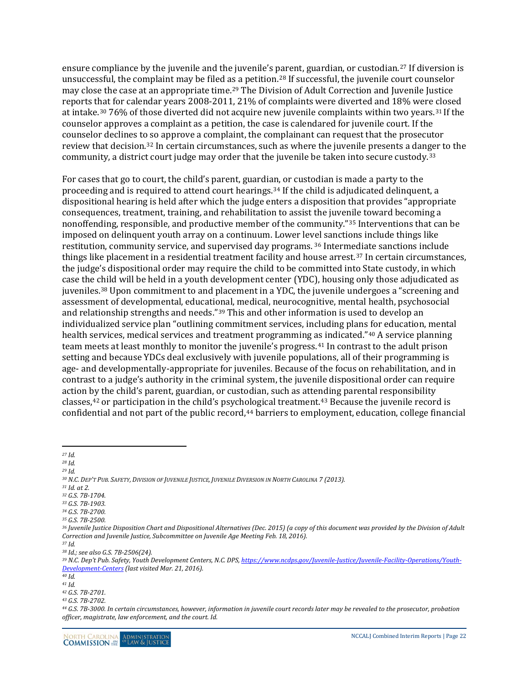ensure compliance by the juvenile and the juvenile's parent, guardian, or custodian.[27](#page-21-0) If diversion is unsuccessful, the complaint may be filed a[s a](#page-21-2) petition.[28](#page-21-1) If successful, the juvenile court counselor may close the case at an appropriate time.29 The Division of Adult Correction and Juvenile Justice reports that for calendar years 2008-2011, 21% of complaints were diverted and 18% were closed at intake.[30](#page-21-3) 76% of those diverted did not acquire new juvenile complaints within two years.[31](#page-21-4) If the counselor approves a complaint as a petition, the case is calendared for juvenile court. If the counselor declines t[o s](#page-21-5)o approve a complaint, the complainant can request that the prosecutor review that decision.32 In certain circumstances, such as where the juvenile presents a dan[ge](#page-21-6)r to the community, a district court judge may order that the juvenile be taken into secure custody.33

For cases that go to court, the child's parent, guardia[n,](#page-21-7) or custodian is made a party to the proceeding and is required to attend court hearings.34 If the child is adjudicated delinquent, a dispositional hearing is held after which the judge enters a disposition that provides "appropriate consequences, treatment, training, and rehabilitation to assist the juvenile toward becoming a nonoffending, responsible, and productive member of the community."[35](#page-21-8) Interventions that can be imposed on delinquent youth array on a continuum. Lower le[vel](#page-21-9) sanctions include things like restitution, community service, and supervised day programs. <sup>36</sup> Intermediate sanctions include things like placement in a residential treatment facility and house arrest.[37](#page-21-10) In certain circumstances, the judge's dispositional order may require the child to be committed into State custody, in which case the [chi](#page-21-11)ld will be held in a youth development center (YDC), housing only those adjudicated as juveniles.38 Upon commitment to and placement in a YDC, the juvenile undergoes a "screening and assessment of developmental, educati[on](#page-21-12)al, medical, neurocognitive, mental health, psychosocial and relationship strengths and needs."39 This and other information is used to develop an individualized service plan "outlining commitment services, including plans [fo](#page-21-13)r education, mental health services, medical services and treatment programming [as](#page-21-14) indicated."40 A service planning team meets at least monthly to monitor the juvenile's progress.<sup>41</sup> In contrast to the adult prison setting and because YDCs deal exclusively with juvenile populations, all of their programming is age- and developmentally-appropriate for juveniles. Because of the focus on rehabilitation, and in contrast to a judge's authority in the criminal system, the juvenile dispositional order can require action by the child's parent, guardian, or custodian, such as atte[nd](#page-21-16)ing parental responsibility classes,[42](#page-21-15) or participation in the child's psychological treatment.43 Because the juvenile record is confidential and not part of the public record,<sup>[44](#page-21-17)</sup> barriers to employment, education, college financial

- <span id="page-21-3"></span>*<sup>30</sup> N.C. DEP'T PUB. SAFETY, DIVISION OF JUVENILE JUSTICE, JUVENILE DIVERSION IN NORTH CAROLINA 7 (2013). 31 Id. at 2.*
- <span id="page-21-5"></span><span id="page-21-4"></span>*<sup>32</sup> G.S. 7B-1704.*
- <span id="page-21-6"></span>*<sup>33</sup> G.S. 7B-1903.*
- <span id="page-21-7"></span>*<sup>34</sup> G.S. 7B-2700.*
- <span id="page-21-8"></span>*<sup>35</sup> G.S. 7B-2500.*

<span id="page-21-11"></span><span id="page-21-10"></span>*<sup>38</sup> Id.; see also G.S. 7B-2506(24).*

 $\overline{a}$ *<sup>27</sup> Id.*

<span id="page-21-1"></span><span id="page-21-0"></span>*<sup>28</sup> Id.*

<span id="page-21-2"></span>*<sup>29</sup> Id.*

<span id="page-21-9"></span>*<sup>36</sup> Juvenile Justice Disposition Chart and Dispositional Alternatives (Dec. 2015) (a copy of this document was provided by the Division of Adult Correction and Juvenile Justice, Subcommittee on Juvenile Age Meeting Feb. 18, 2016). <sup>37</sup> Id.*

<span id="page-21-12"></span>*<sup>39</sup> N.C. Dep't Pub. Safety, Youth Development Centers, N.C. DPS[, https://www.ncdps.gov/Juvenile-Justice/Juvenile-Facility-Operations/Youth-](https://www.ncdps.gov/Juvenile-Justice/Juvenile-Facility-Operations/Youth-Development-Centers)Development-Centers [\(](https://www.ncdps.gov/Juvenile-Justice/Juvenile-Facility-Operations/Youth-Development-Centers)last visited Mar. 21, 2016). 40 Id.*

<span id="page-21-14"></span><span id="page-21-13"></span>

*<sup>41</sup> Id.*

<span id="page-21-15"></span>*<sup>42</sup> G.S. 7B-2701.*

<span id="page-21-16"></span>*<sup>43</sup> G.S. 7B-2702.*

<span id="page-21-17"></span>*<sup>44</sup> G.S. 7B-3000. In certain circumstances, however, information in juvenile court records later may be revealed to the prosecutor, probation officer, magistrate, law enforcement, and the court. Id.*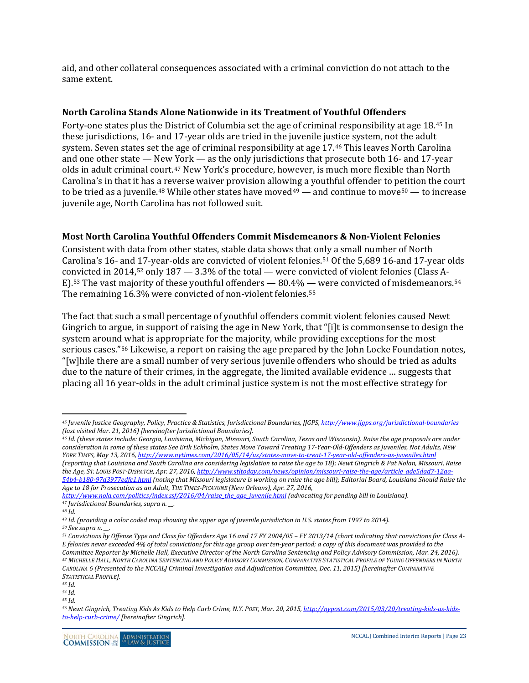aid, and other collateral consequences associated with a criminal conviction do not attach to the same extent.

#### <span id="page-22-0"></span>**North Carolina Stands Alone Nationwide in its Treatment of Youthful Offenders**

Forty-one states plus the District of Columbia set the age of criminal responsibility at age 18.[45](#page-22-2) In these jurisdictions, 16- and 17-year olds are tried in the juvenile justice system, not the adult system. Seven states set the age of criminal responsibility at age 17.[46](#page-22-3) This leaves North Carolina and one other state — New [Yo](#page-22-4)rk — as the only jurisdictions that prosecute both 16- and 17-year olds in adult criminal court.47 New York's procedure, however, is much more flexible than North Carolina's in that it has a reverse waiver provision allowing a youthful offender to p[eti](#page-22-7)tion the court to be tried as a juvenile.<sup>[48](#page-22-5)</sup> While other states have moved<sup>[49](#page-22-6)</sup> — and continue to move<sup>50</sup> — to increase juvenile age, North Carolina has not followed suit.

#### <span id="page-22-1"></span>**Most North Carolina Youthful Offenders Commit Misdemeanors & Non-Violent Felonies**

Consistent with data from other states, stable data shows that only a small number of North Carolina's 16- and 17-year-olds are convicted of violent felonies.[51](#page-22-8) Of the 5,689 16-and 17-year olds co[nv](#page-22-10)icted in 2014,[52](#page-22-9) only 187 — 3.3% of the total — were convicted of violent felonies (Class A-E).53 The vast majority of these youthful offenders — 80.4% — were convicted of misdemeanors.[54](#page-22-11) The remaining 16.3% were convicted of non-violent felonies.<sup>[55](#page-22-12)</sup>

The fact that such a small percentage of youthful offenders commit violent felonies caused Newt Gingrich to argue, in support of raising the age in New York, that "[i]t is commonsense to design the system aroun[d w](#page-22-13)hat is appropriate for the majority, while providing exceptions for the most serious cases."56 Likewise, a report on raising the age prepared by the John Locke Foundation notes, "[w]hile there are a small number of very serious juvenile offenders who should be tried as adults due to the nature of their crimes, in the aggregate, the limited available evidence … suggests that placing all 16 year-olds in the adult criminal justice system is not the most effective strategy for

<span id="page-22-3"></span>*<sup>46</sup> Id. (these states include: Georgia, Louisiana, Michigan, Missouri, South Carolina, Texas and Wisconsin). Raise the age proposals are under consideration in some of these states See Erik Eckholm, States Move Toward Treating 17-Year-Old-Offenders as Juveniles, Not Adults, NEW YORK TIMES, May 13, 2016[, http://www.nytimes.com/2016/05/14/us/states-move-to-treat-17-year-old-offenders-as-juveniles.html](http://www.nytimes.com/2016/05/14/us/states-move-to-treat-17-year-old-offenders-as-juveniles.html) (reporting that Louisiana and South Carolina are considering legislation to raise the age to 18); Newt Gingrich & Pat Nolan, Missouri, Raise the Age, ST. LOUIS POST-DISPATCH, Apr. 27, 2016[, http://www.stltoday.com/news/opinion/missouri-raise-the-age/article\\_ade5dad7-12aa-](http://www.stltoday.com/news/opinion/missouri-raise-the-age/article_ade5dad7-12aa-54b4-b180-97d3977edfc1.html)[54b4-b180-97d3977edfc1.html](http://www.stltoday.com/news/opinion/missouri-raise-the-age/article_ade5dad7-12aa-54b4-b180-97d3977edfc1.html) (noting that Missouri legislature is working on raise the age bill); Editorial Board, Louisiana Should Raise the Age to 18 for Prosecution as an Adult, THE TIMES-PICAYUNE (New Orleans), Apr. 27, 2016,* 

*[http://www.nola.com/politics/index.ssf/2016/04/raise\\_the\\_age\\_juvenile.html](http://www.nola.com/politics/index.ssf/2016/04/raise_the_age_juvenile.html) (advocating for pending bill in Louisiana). <sup>47</sup> Jurisdictional Boundaries, supra n. \_\_.*

<span id="page-22-10"></span>*<sup>53</sup> Id. <sup>54</sup> Id.*

<span id="page-22-2"></span> $\overline{a}$ *<sup>45</sup> Juvenile Justice Geography, Policy, Practice & Statistics, Jurisdictional Boundaries, JJGPS, <http://www.jjgps.org/jurisdictional-boundaries> (last visited Mar. 21, 2016) [hereinafter Jurisdictional Boundaries].* 

<span id="page-22-5"></span><span id="page-22-4"></span>*<sup>48</sup> Id.*

<span id="page-22-7"></span><span id="page-22-6"></span>*<sup>49</sup> Id. (providing a color coded map showing the upper age of juvenile jurisdiction in U.S. states from 1997 to 2014).*

*<sup>50</sup> See supra n. \_\_.*

<span id="page-22-9"></span><span id="page-22-8"></span>*<sup>51</sup> Convictions by Offense Type and Class for Offenders Age 16 and 17 FY 2004/05 – FY 2013/14 (chart indicating that convictions for Class A-E felonies never exceeded 4% of total convictions for this age group over ten-year period; a copy of this document was provided to the Committee Reporter by Michelle Hall, Executive Director of the North Carolina Sentencing and Policy Advisory Commission, Mar. 24, 2016). <sup>52</sup> MICHELLE HALL, NORTH CAROLINA SENTENCING AND POLICY ADVISORY COMMISSION, COMPARATIVE STATISTICAL PROFILE OF YOUNG OFFENDERS IN NORTH CAROLINA 6 (Presented to the NCCALJ Criminal Investigation and Adjudication Committee, Dec. 11, 2015) [hereinafter COMPARATIVE STATISTICAL PROFILE].*

<span id="page-22-12"></span><span id="page-22-11"></span>*<sup>55</sup> Id.*

<span id="page-22-13"></span>*<sup>56</sup> Newt Gingrich, Treating Kids As Kids to Help Curb Crime, N.Y. POST, Mar. 20, 2015[, http://nypost.com/2015/03/20/treating-kids-as-kids](http://nypost.com/2015/03/20/treating-kids-as-kids-to-help-curb-crime/)[to-help-curb-crime/](http://nypost.com/2015/03/20/treating-kids-as-kids-to-help-curb-crime/) [hereinafter Gingrich].*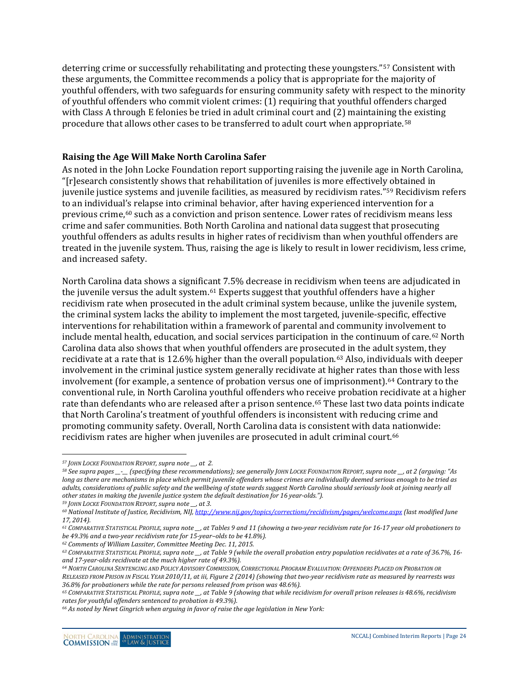deterring crime or successfully rehabilitating and protecting these youngsters."[57](#page-23-1) Consistent with these arguments, the Committee recommends a policy that is appropriate for the majority of youthful offenders, with two safeguards for ensuring community safety with respect to the minority of youthful offenders who commit violent crimes: (1) requiring that youthful offenders charged with Class A through E felonies be tried in adult criminal court and (2) maintaining the existing procedure that allows other cases to be transferred to adult court when appropriate.[58](#page-23-2)

#### <span id="page-23-0"></span>**Raising the Age Will Make North Carolina Safer**

As noted in the John Locke Foundation report supporting raising the juvenile age in North Carolina, "[r]esearch consistently shows that rehabilitation of juveniles is more effectivel[y o](#page-23-3)btained in juvenile justice systems and juvenile facilities, as measured by recidivism rates."59 Recidivism refers to an individual's relapse into criminal behavior, after having experienced intervention for a previous crime,[60](#page-23-4) such as a conviction and prison sentence. Lower rates of recidivism means less crime and safer communities. Both North Carolina and national data suggest that prosecuting youthful offenders as adults results in higher rates of recidivism than when youthful offenders are treated in the juvenile system. Thus, raising the age is likely to result in lower recidivism, less crime, and increased safety.

North Carolina data shows a significant 7.5% decrease in recidivism when teens are adjudicated in the juvenile versus the adult system.<sup>[61](#page-23-5)</sup> Experts suggest that youthful offenders have a higher recidivism rate when prosecuted in the adult criminal system because, unlike the juvenile system, the criminal system lacks the ability to implement the most targeted, juvenile-specific, effective interventions for rehabilitation within a framework of parental and community involvement to include mental health, education, and social services participation in the continuum of care.[62](#page-23-6) North Carolina data also shows that when youthful offenders are prosecut[ed](#page-23-7) in the adult system, they recidivate at a rate that is 12.6% higher than the overall population.63 Also, individuals with deeper involvement in the criminal justice system generally recidivate at higher rates than those with less involvement (for example, a sentence of probation versus one of imprisonment).[64](#page-23-8) Contrary to the conventional rule, in North Carolina youthful offenders who receive probation recidivate at a higher rate than defendants who are released after a prison sentence.[65](#page-23-9) These last two data points indicate that North Carolina's treatment of youthful offenders is inconsistent with reducing crime and promoting community safety. Overall, North Carolina data is consistent with data nationwide: recidivism rates are higher when juveniles are prosecuted in adult criminal court.[66](#page-23-10)

 $\overline{a}$ 

*<sup>57</sup> JOHN LOCKE FOUNDATION REPORT, supra note \_\_, at 2.*

<span id="page-23-2"></span><span id="page-23-1"></span>*<sup>58</sup> See supra pages \_\_-\_\_ (specifying these recommendations); see generally JOHN LOCKE FOUNDATION REPORT, supra note \_\_, at 2 (arguing: "As long as there are mechanisms in place which permit juvenile offenders whose crimes are individually deemed serious enough to be tried as adults, considerations of public safety and the wellbeing of state wards suggest North Carolina should seriously look at joining nearly all other states in making the juvenile justice system the default destination for 16 year-olds.").*

<span id="page-23-3"></span>*<sup>59</sup> JOHN LOCKE FOUNDATION REPORT, supra note \_\_, at 3.*

<span id="page-23-4"></span>*<sup>60</sup> National Institute of Justice, Recidivism, NIJ[, http://www.nij.gov/topics/corrections/recidivism/pages/welcome.aspx](http://www.nij.gov/topics/corrections/recidivism/pages/welcome.aspx) (last modified June 17, 2014).* 

<span id="page-23-5"></span>*<sup>61</sup> COMPARATIVE STATISTICAL PROFILE, supra note \_\_, at Tables 9 and 11 (showing a two-year recidivism rate for 16-17 year old probationers to be 49.3% and a two-year recidivism rate for 15-year–olds to be 41.8%).*

<span id="page-23-6"></span>*<sup>62</sup> Comments of William Lassiter, Committee Meeting Dec. 11, 2015.*

<span id="page-23-7"></span>*<sup>63</sup> COMPARATIVE STATISTICAL PROFILE, supra note \_\_, at Table 9 (while the overall probation entry population recidivates at a rate of 36.7%, 16 and 17-year-olds recidivate at the much higher rate of 49.3%).*

<span id="page-23-8"></span>*<sup>64</sup> NORTH CAROLINA SENTENCING AND POLICY ADVISORY COMMISSION, CORRECTIONAL PROGRAM EVALUATION: OFFENDERS PLACED ON PROBATION OR RELEASED FROM PRISON IN FISCAL YEAR 2010/11, at iii, Figure 2 (2014) (showing that two-year recidivism rate as measured by rearrests was 36.8% for probationers while the rate for persons released from prison was 48.6%).*

<span id="page-23-9"></span>*<sup>65</sup> COMPARATIVE STATISTICAL PROFILE, supra note \_\_, at Table 9 (showing that while recidivism for overall prison releases is 48.6%, recidivism rates for youthful offenders sentenced to probation is 49.3%).*

<span id="page-23-10"></span>*<sup>66</sup> As noted by Newt Gingrich when arguing in favor of raise the age legislation in New York:*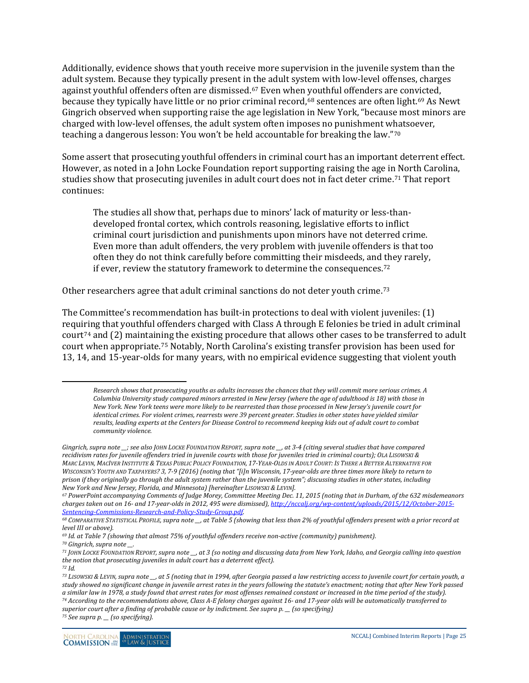Additionally, evidence shows that youth receive more supervision in the juvenile system than the adult system. Because they typically present in [th](#page-24-0)e adult system with low-level offenses, charges against youthful offenders often are dismissed.67 Even when youthful offenders are con[vic](#page-24-2)ted, because they typically have little or no prior criminal record,<sup>[68](#page-24-1)</sup> sentences are often light.<sup>69</sup> As Newt Gingrich observed when supporting raise the age legislation in New York, "because most minors are charged with low-level offenses, the adult system often imposes no punishment whatsoever, teaching a dangerous lesson: You won't be held accountable for breaking the law."[70](#page-24-3)

Some assert that prosecuting youthful offenders in criminal court has an important deterrent effect. However, as noted in a John Locke Foundation report supporting raising the age i[n N](#page-24-4)orth Carolina, studies show that prosecuting juveniles in adult court does not in fact deter crime.71 That report continues:

The studies all show that, perhaps due to minors' lack of maturity or less-thandeveloped frontal cortex, which controls reasoning, legislative efforts to inflict criminal court jurisdiction and punishments upon minors have not deterred crime. Even more than adult offenders, the very problem with juvenile offenders is that too often they do not think carefully before committing their misdeeds, and they rarely, if ever, review the statutory framework to determine the consequences.[72](#page-24-5)

Other researchers agree that adult criminal sanctions do not deter youth crime.[73](#page-24-6)

The Committee's recommendation has built-in protections to deal with violent juveniles: (1) requiring that youthful offenders charged with Class A through E felonies be tried in adult criminal court<sup>[74](#page-24-7)</sup> and  $(2)$  ma[in](#page-24-8)taining the existing procedure that allows other cases to be transferred to adult court when appropriate.75 Notably, North Carolina's existing transfer provision has been used for 13, 14, and 15-year-olds for many years, with no empirical evidence suggesting that violent youth

<span id="page-24-0"></span>*<sup>67</sup> PowerPoint accompanying Comments of Judge Morey, Committee Meeting Dec. 11, 2015 (noting that in Durham, of the 632 misdemeanors charges taken out on 16- and 17-year-olds in 2012, 495 were dismissed)[, http://nccalj.org/wp-content/uploads/2015/12/October-2015-](http://nccalj.org/wp-content/uploads/2015/12/October-2015-Sentencing-Commissions-Research-and-Policy-Study-Group.pdf) [Sentencing-Commissions-Research-and-Policy-Study-Group.pdf.](http://nccalj.org/wp-content/uploads/2015/12/October-2015-Sentencing-Commissions-Research-and-Policy-Study-Group.pdf) 68 COMPARATIVE STATISTICAL PROFILE, supra note \_\_, at Table 5 (showing that less than 2% of youthful offenders present with a prior record at* 

 $\overline{a}$ 

<span id="page-24-8"></span><span id="page-24-7"></span>*<sup>75</sup> See supra p. \_\_ (so specifying).*

*Research shows that prosecuting youths as adults increases the chances that they will commit more serious crimes. A Columbia University study compared minors arrested in New Jersey (where the age of adulthood is 18) with those in New York. New York teens were more likely to be rearrested than those processed in New Jersey's juvenile court for identical crimes. For violent crimes, rearrests were 39 percent greater. Studies in other states have yielded similar results, leading experts at the Centers for Disease Control to recommend keeping kids out of adult court to combat community violence.*

*Gingrich, supra note \_\_; see also JOHN LOCKE FOUNDATION REPORT, supra note \_\_, at 3-4 (citing several studies that have compared recidivism rates for juvenile offenders tried in juvenile courts with those for juveniles tried in criminal courts); OLA LISOWSKI & MARC LEVIN, MACIVER INSTITUTE & TEXAS PUBLIC POLICY FOUNDATION, 17-YEAR-OLDS IN ADULT COURT: IS THERE A BETTER ALTERNATIVE FOR WISCONSIN'S YOUTH AND TAXPAYERS? 3, 7-9 (2016) (noting that "[i]n Wisconsin, 17-year-olds are three times more likely to return to prison if they originally go through the adult system rather than the juvenile system"; discussing studies in other states, including New York and New Jersey, Florida, and Minnesota) [hereinafter LISOWSKI & LEVIN].*

<span id="page-24-1"></span>*level III or above).*

<span id="page-24-3"></span><span id="page-24-2"></span>*<sup>69</sup> Id. at Table 7 (showing that almost 75% of youthful offenders receive non-active (community) punishment).*

*<sup>70</sup> Gingrich, supra note \_\_.* 

<span id="page-24-4"></span>*<sup>71</sup> JOHN LOCKE FOUNDATION REPORT, supra note \_\_, at 3 (so noting and discussing data from New York, Idaho, and Georgia calling into question the notion that prosecuting juveniles in adult court has a deterrent effect). <sup>72</sup> Id.* 

<span id="page-24-6"></span><span id="page-24-5"></span>*<sup>73</sup> LISOWSKI & LEVIN, supra note \_\_, at 5 (noting that in 1994, after Georgia passed a law restricting access to juvenile court for certain youth, a study showed no significant change in juvenile arrest rates in the years following the statute's enactment; noting that after New York passed a similar law in 1978, a study found that arrest rates for most offenses remained constant or increased in the time period of the study). <sup>74</sup> According to the recommendations above, Class A-E felony charges against 16- and 17-year olds will be automatically transferred to superior court after a finding of probable cause or by indictment. See supra p. \_\_ (so specifying)*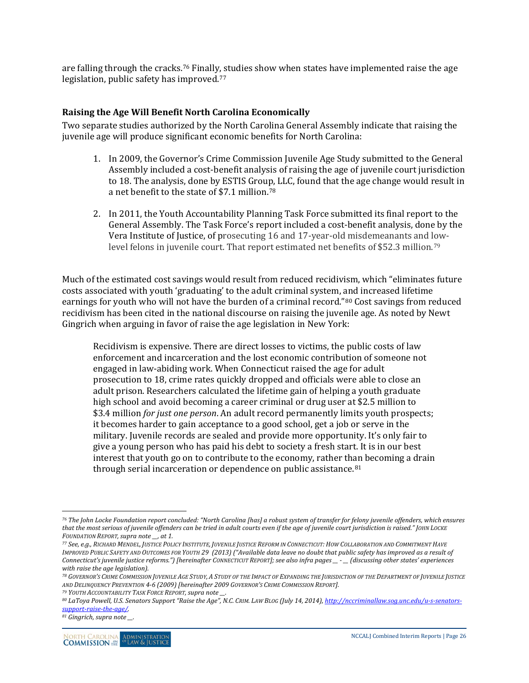are falling through the cracks.[76](#page-25-1) Finally, studies show when states have implemented raise the age legislation, public safety has improved.[77](#page-25-2)

#### <span id="page-25-0"></span>**Raising the Age Will Benefit North Carolina Economically**

Two separate studies authorized by the North Carolina General Assembly indicate that raising the juvenile age will produce significant economic benefits for North Carolina:

- 1. In 2009, the Governor's Crime Commission Juvenile Age Study submitted to the General Assembly included a cost-benefit analysis of raising the age of juvenile court jurisdiction to 18. The analysis, done by ESTIS Grou[p,](#page-25-3) LLC, found that the age change would result in a net benefit to the state of \$7.1 million.78
- 2. In 2011, the Youth Accountability Planning Task Force submitted its final report to the General Assembly. The Task Force's report included a cost-benefit analysis, done by the Vera Institute of Justice, of prosecuting 16 and 17-year-old misdemeanants and lowlevel felons in juvenile court. That report estimated net benefits of \$52.3 million.[79](#page-25-4)

Much of the estimated cost savings would result from reduced recidivism, which "eliminates future costs associated with youth 'graduating' to the adult criminal system, and increased lifetime earnings for youth who will not have the burden of a criminal record."[80](#page-25-5) Cost savings from reduced recidivism has been cited in the national discourse on raising the juvenile age. As noted by Newt Gingrich when arguing in favor of raise the age legislation in New York:

Recidivism is expensive. There are direct losses to victims, the public costs of law enforcement and incarceration and the lost economic contribution of someone not engaged in law-abiding work. When Connecticut raised the age for adult prosecution to 18, crime rates quickly dropped and officials were able to close an adult prison. Researchers calculated the lifetime gain of helping a youth graduate high school and avoid becoming a career criminal or drug user at \$2.5 million to \$3.4 million *for just one person*. An adult record permanently limits youth prospects; it becomes harder to gain acceptance to a good school, get a job or serve in the military. Juvenile records are sealed and provide more opportunity. It's only fair to give a young person who has paid his debt to society a fresh start. It is in our best interest that youth go on to contribute to the economy, rather th[an](#page-25-6) becoming a drain through serial incarceration or dependence on public assistance.<sup>81</sup>

<span id="page-25-1"></span> $\overline{a}$ *<sup>76</sup> The John Locke Foundation report concluded: "North Carolina [has] a robust system of transfer for felony juvenile offenders, which ensures that the most serious of juvenile offenders can be tried in adult courts even if the age of juvenile court jurisdiction is raised." JOHN LOCKE FOUNDATION REPORT, supra note \_\_, at 1.*

<span id="page-25-2"></span>*<sup>77</sup> See, e.g., RICHARD MENDEL, JUSTICE POLICY INSTITUTE, JUVENILE JUSTICE REFORM IN CONNECTICUT: HOW COLLABORATION AND COMMITMENT HAVE IMPROVED PUBLIC SAFETY AND OUTCOMES FOR YOUTH 29 (2013) ("Available data leave no doubt that public safety has improved as a result of Connecticut's juvenile justice reforms.") [hereinafter CONNECTICUT REPORT]; see also infra pages \_\_ - \_\_ (discussing other states' experiences with raise the age legislation).*

<span id="page-25-3"></span>*<sup>78</sup> GOVERNOR'S CRIME COMMISSION JUVENILE AGE STUDY, A STUDY OF THE IMPACT OF EXPANDING THE JURISDICTION OF THE DEPARTMENT OF JUVENILE JUSTICE AND DELINQUENCY PREVENTION 4-6 (2009) [hereinafter 2009 GOVERNOR'S CRIME COMMISSION REPORT]. 79 YOUTH ACCOUNTABILITY TASK FORCE REPORT, supra note \_\_.*

<span id="page-25-4"></span>

<span id="page-25-5"></span>*<sup>80</sup> LaToya Powell, U.S. Senators Support "Raise the Age", N.C. CRIM. LAW BLOG (July 14, 2014)[, http://nccriminallaw.sog.unc.edu/u-s-senators](http://nccriminallaw.sog.unc.edu/u-s-senators-support-raise-the-age/)[support-raise-the-age/.](http://nccriminallaw.sog.unc.edu/u-s-senators-support-raise-the-age/)*

<span id="page-25-6"></span>*<sup>81</sup> Gingrich, supra note \_\_.*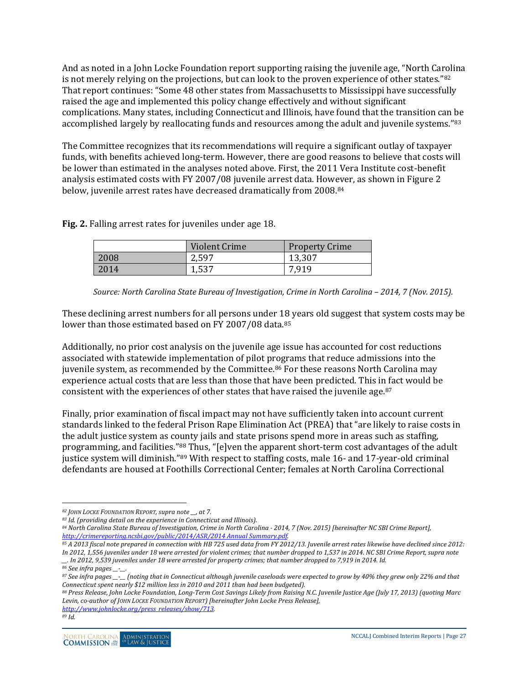And as noted in a John Locke Foundation report supporting raising the juvenile age, "North Carolina is not merely relying on the projections, but can look to the proven experience of other states."[82](#page-26-0) That report continues: "Some 48 other states from Massachusetts to Mississippi have successfully raised the age and implemented this policy change effectively and without significant complications. Many states, including Connecticut and Illinois, have found that the transition can be accomplished largely by reallocating funds and resources among the adult and juvenile systems."[83](#page-26-1)

The Committee recognizes that its recommendations will require a significant outlay of taxpayer funds, with benefits achieved long-term. However, there are good reasons to believe that costs will be lower than estimated in the analyses noted above. First, the 2011 Vera Institute cost-benefit analysis estimated costs with FY 2007/08 juvenile arrest data. However, as shown in Figure 2 below, juvenile arrest rates have decreased dramatically from 2008.[84](#page-26-2)

**Fig. 2.** Falling arrest rates for juveniles under age 18.

|      | Violent Crime | <b>Property Crime</b> |
|------|---------------|-----------------------|
| 2008 | 2,597         | 13,307                |
| 2014 | 1,537         | 7,919                 |

*Source: North Carolina State Bureau of Investigation, Crime in North Carolina – 2014, 7 (Nov. 2015).*

These declining arrest numbers for all persons under 18 years old suggest that system costs may be lower than those estimated based on FY 2007/08 data.<sup>[85](#page-26-3)</sup>

Additionally, no prior cost analysis on the juvenile age issue has accounted for cost reductions associated with statewide implementation of pilot programs that reduce admissions into the juvenile system, as recommended by the Committee.<sup>[86](#page-26-4)</sup> For these reasons North Carolina may experience actual costs that are less than those that have been predicted. This in fact would be consistent with the experiences of other states that have raised the juvenile age.[87](#page-26-5)

Finally, prior examination of fiscal impact may not have sufficiently taken into account current standards linked to the federal Prison Rape Elimination Act (PREA) that "are likely to raise costs in the adult justice system as c[oun](#page-26-6)ty jails and state prisons spend more in areas such as staffing, programming, and facilities."88 Thus, "[e]ven the apparent short-term cost advantages of the adult justice system will diminish."[89](#page-26-7) With respect to staffing costs, male 16- and 17-year-old criminal defendants are housed at Foothills Correctional Center; females at North Carolina Correctional

 $\overline{a}$ *<sup>82</sup> JOHN LOCKE FOUNDATION REPORT, supra note \_\_, at 7.*

<span id="page-26-1"></span><span id="page-26-0"></span>*<sup>83</sup> Id. (providing detail on the experience in Connecticut and Illinois).*

<span id="page-26-2"></span>*<sup>84</sup> North Carolina State Bureau of Investigation, Crime in North Carolina - 2014, 7 (Nov. 2015) [hereinafter NC SBI Crime Report], [http://crimereporting.ncsbi.gov/public/2014/ASR/2014 Annual Summary.pdf.](http://crimereporting.ncsbi.gov/public/2014/ASR/2014%20Annual%20Summary.pdf)*

<span id="page-26-3"></span>*<sup>85</sup> A 2013 fiscal note prepared in connection with HB 725 used data from FY 2012/13. Juvenile arrest rates likewise have declined since 2012: In 2012, 1,556 juveniles under 18 were arrested for violent crimes; that number dropped to 1,537 in 2014. NC SBI Crime Report, supra note \_\_. In 2012, 9,539 juveniles under 18 were arrested for property crimes; that number dropped to 7,919 in 2014. Id.*

*<sup>86</sup> See infra pages \_\_-\_\_.*

<span id="page-26-5"></span><span id="page-26-4"></span>*<sup>87</sup> See infra pages \_\_-\_\_ (noting that in Connecticut although juvenile caseloads were expected to grow by 40% they grew only 22% and that Connecticut spent nearly \$12 million less in 2010 and 2011 than had been budgeted).*

<span id="page-26-7"></span><span id="page-26-6"></span>*<sup>88</sup> Press Release, John Locke Foundation, Long-Term Cost Savings Likely from Raising N.C. Juvenile Justice Age (July 17, 2013) (quoting Marc Levin, co-author of JOHN LOCKE FOUNDATION REPORT) [hereinafter John Locke Press Release], [http://www.johnlocke.org/press\\_releases/show/713.](http://www.johnlocke.org/press_releases/show/713)*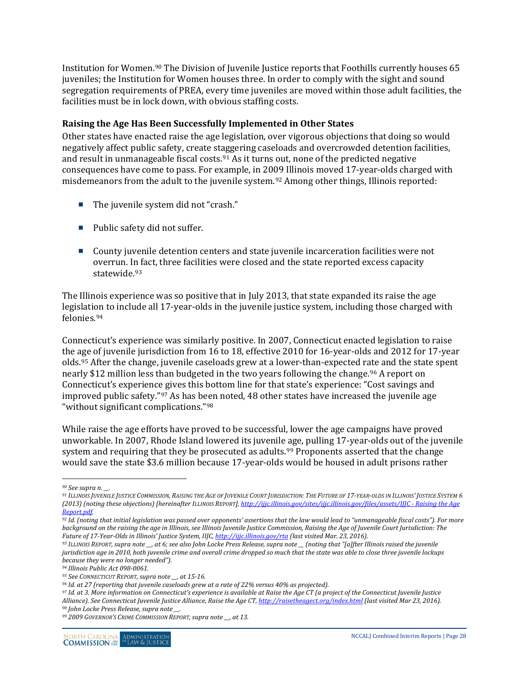Institution for Women.<sup>[90](#page-27-1)</sup> The Division of Iuvenile Justice reports that Foothills currently houses 65 juveniles; the Institution for Women houses three. In order to comply with the sight and sound segregation requirements of PREA, every time juveniles are moved within those adult facilities, the facilities must be in lock down, with obvious staffing costs.

#### <span id="page-27-0"></span>**Raising the Age Has Been Successfully Implemented in Other States**

Other states have enacted raise the age legislation, over vigorous objections that doing so would negatively affect public safety, create staggering caseloads and overcrowded detention facilities, and result in unmanageable fiscal costs.<sup>[91](#page-27-2)</sup> As it turns out, none of the predicted negative consequences have come to pass. For example, in 20[09](#page-27-3) Illinois moved 17-year-olds charged with misdemeanors from the adult to the juvenile system.92 Among other things, Illinois reported:

- The juvenile system did not "crash."
- Public safety did not suffer.
- County juvenile detention centers and state juvenile incarceration facilities were not overrun. I[n f](#page-27-4)act, three facilities were closed and the state reported excess capacity statewide.<sup>93</sup>

The Illinois experience was so positive that in July 2013, that state expanded its raise the age legislation to include all 17-year-olds in the juvenile justice system, including those charged with felonies.[94](#page-27-5)

Connecticut's experience was similarly positive. In 2007, Connecticut enacted legislation to raise the age of juvenile jurisdiction from 16 to 18, effective 2010 for 16-year-olds and 2012 for 17-year olds.[95](#page-27-6) After the change, juvenile caseloads grew at a lower-than-expected rate and the state spent nearly \$12 million less than budgeted in the two years following the change.<sup>[96](#page-27-7)</sup> A report on Connecticut's experience gives this bottom line for that state's experience: "Cost savings and improved public safety."[97](#page-27-8) As has been noted, 48 other states have increased the juvenile age "without significant complications."[98](#page-27-9)

While raise the age efforts have proved to be successful, lower the age campaigns have proved unworkable. In 2007, Rhode Island lowered its juvenile age, pulling 17-year-olds out of the juvenile system and requiring that they be prosecuted as adults.<sup>[99](#page-27-10)</sup> Proponents asserted that the change would save the state \$3.6 million because 17-year-olds would be housed in adult prisons rather

 $\overline{a}$ *<sup>90</sup> See supra n. \_\_.*

<span id="page-27-2"></span><span id="page-27-1"></span>*<sup>91</sup> ILLINOIS JUVENILE JUSTICE COMMISSION, RAISING THE AGE OF JUVENILE COURT JURISDICTION: THE FUTURE OF 17-YEAR-OLDS IN ILLINOIS' JUSTICE SYSTEM 6 (2013) (noting these objections) [hereinafter ILLINOIS REPORT][, http://ijjc.illinois.gov/sites/ijjc.illinois.gov/files/assets/IJJC -](http://ijjc.illinois.gov/sites/ijjc.illinois.gov/files/assets/IJJC%20-%20Raising%20the%20Age%20Report.pdf) Raising the Age [Report.pdf.](http://ijjc.illinois.gov/sites/ijjc.illinois.gov/files/assets/IJJC%20-%20Raising%20the%20Age%20Report.pdf)*

<span id="page-27-3"></span>*<sup>92</sup> Id. (noting that initial legislation was passed over opponents' assertions that the law would lead to "unmanageable fiscal costs"). For more background on the raising the age in Illinois, see Illinois Juvenile Justice Commission, Raising the Age of Juvenile Court Jurisdiction: The Future of 17-Year-Olds in Illinois' Justice System, IIJC[, http://ijjc.illinois.gov/rta](http://ijjc.illinois.gov/rta) (last visited Mar. 23, 2016).*

<span id="page-27-4"></span>*<sup>93</sup> ILLINOIS REPORT, supra note \_\_, at 6; see also John Locke Press Release, supra note \_\_ (noting that "[a]fter Illinois raised the juvenile jurisdiction age in 2010, both juvenile crime and overall crime dropped so much that the state was able to close three juvenile lockups because they were no longer needed").*

<span id="page-27-6"></span><span id="page-27-5"></span>

*<sup>94</sup> Illinois Public Act 098-0061. 95 See CONNECTICUT REPORT, supra note \_\_, at 15-16. 96 Id. at 27 (reporting that juvenile caseloads grew at a rate of 22% versus 40% as projected).*

<span id="page-27-8"></span><span id="page-27-7"></span>*<sup>97</sup> Id. at 3. More information on Connecticut's experience is available at Raise the Age CT (a project of the Connecticut Juvenile Justice Alliance). See Connecticut Juvenile Justice Alliance, Raise the Age CT[, http://raisetheagect.org/index.html](http://raisetheagect.org/index.html) (last visited Mar 23, 2016).*

<span id="page-27-9"></span>*<sup>98</sup> John Locke Press Release, supra note \_\_.*

<span id="page-27-10"></span>*<sup>99</sup> 2009 GOVERNOR'S CRIME COMMISSION REPORT, supra note \_\_, at 13.*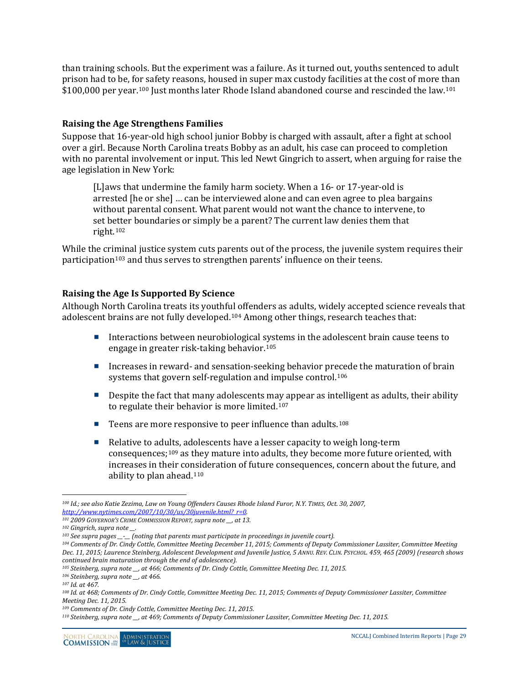than training schools. But the experiment was a failure. As it turned out, youths sentenced to adult prison had to be, f[or s](#page-28-2)afety reasons, housed in super max custody facilities at the cost of more than \$100,000 per year.<sup>100</sup> Just months later Rhode Island abandoned course and rescinded the law.<sup>[101](#page-28-3)</sup>

#### <span id="page-28-0"></span>**Raising the Age Strengthens Families**

Suppose that 16-year-old high school junior Bobby is charged with assault, after a fight at school over a girl. Because North Carolina treats Bobby as an adult, his case can proceed to completion with no parental involvement or input. This led Newt Gingrich to assert, when arguing for raise the age legislation in New York:

[L]aws that undermine the family harm society. When a 16- or 17-year-old is arrested [he or she] … can be interviewed alone and can even agree to plea bargains without parental consent. What parent would not want the chance to intervene, to set better boundaries or simply be a parent? The current law denies them that right.[102](#page-28-4)

While the criminal justice system cuts parents out of the process, the juvenile system requires their participation<sup>[103](#page-28-5)</sup> and thus serves to strengthen parents' influence on their teens.

#### <span id="page-28-1"></span>**Raising the Age Is Supported By Science**

Although North Carolina treats its youthf[ul o](#page-28-6)ffenders as adults, widely accepted science reveals that adolescent brains are not fully developed.104 Among other things, research teaches that:

- Interactions between neurobiological systems in the adolescent brain cause teens to engage in greater risk-taking behavior.[105](#page-28-7)
- Increases in reward- and sensation-seeking behavior precede the maturation of brain systems that govern self-regulation and impulse control.<sup>[106](#page-28-8)</sup>
- Despite the fact that many adolescents may appear as intelligent as adults, their ability to regulate their behavior is more limited.[107](#page-28-9)
- Teens are more responsive to peer influence than adults.<sup>[108](#page-28-10)</sup>
- Relative to ad[ults](#page-28-11), adolescents have a lesser capacity to weigh long-term consequences;109 as they mature into adults, they become more future oriented, with increases in their consideration of future consequences, concern about the future, and ability to plan ahead.[110](#page-28-12)

<span id="page-28-2"></span> $\overline{a}$ *<sup>100</sup> Id.; see also Katie Zezima, Law on Young Offenders Causes Rhode Island Furor, N.Y. TIMES, Oct. 30, 2007, [http://www.nytimes.com/2007/10/30/us/30juvenile.html?\\_r=0.](http://www.nytimes.com/2007/10/30/us/30juvenile.html?_r=0)*

<span id="page-28-3"></span>*<sup>101</sup> 2009 GOVERNOR'S CRIME COMMISSION REPORT, supra note \_\_, at 13.*

<span id="page-28-5"></span><span id="page-28-4"></span>*<sup>102</sup> Gingrich, supra note \_\_. 103 See supra pages \_\_-\_\_ (noting that parents must participate in proceedings in juvenile court).*

<span id="page-28-6"></span>*<sup>104</sup> Comments of Dr. Cindy Cottle, Committee Meeting December 11, 2015; Comments of Deputy Commissioner Lassiter, Committee Meeting Dec. 11, 2015; Laurence Steinberg, Adolescent Development and Juvenile Justice, 5 ANNU. REV. CLIN. PSYCHOL. 459, 465 (2009) (research shows continued brain maturation through the end of adolescence).*

<span id="page-28-7"></span>*<sup>105</sup> Steinberg, supra note \_\_, at 466; Comments of Dr. Cindy Cottle, Committee Meeting Dec. 11, 2015.*

<span id="page-28-8"></span>*<sup>106</sup> Steinberg, supra note \_\_, at 466.*

<span id="page-28-9"></span>*<sup>107</sup> Id. at 467.*

<span id="page-28-10"></span>*<sup>108</sup> Id. at 468; Comments of Dr. Cindy Cottle, Committee Meeting Dec. 11, 2015; Comments of Deputy Commissioner Lassiter, Committee Meeting Dec. 11, 2015.*

<span id="page-28-11"></span>*<sup>109</sup> Comments of Dr. Cindy Cottle, Committee Meeting Dec. 11, 2015.*

<span id="page-28-12"></span>*<sup>110</sup> Steinberg, supra note \_\_, at 469; Comments of Deputy Commissioner Lassiter, Committee Meeting Dec. 11, 2015.*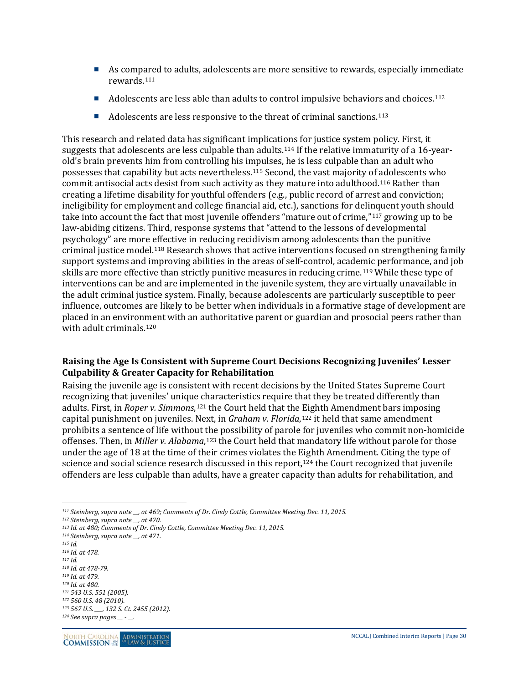- As comp[are](#page-29-1)d to adults, adolescents are more sensitive to rewards, especially immediate rewards.111
- Adolescents are less able than adults to control impulsive behaviors and choices.<sup>[112](#page-29-2)</sup>
- $\blacksquare$  Adolescents are less responsive to the threat of criminal sanctions.<sup>[113](#page-29-3)</sup>

This research and related data has significant implications for justice system policy. First, it suggests that adolescents are less culpable than adults.[114](#page-29-4) If the relative immaturity of a 16-yearold's brain prevents him from controlling his impulses, he is less culpable than an adult who possesses that capability but acts nevertheless.[115](#page-29-5) Second, the vast majority of adolescents who commit antisocial acts desist from such activity as they mature into adulthood.[116](#page-29-6) Rather than creating a lifetime disability for youthful offenders (e.g., public record of arrest and conviction; ineligibility for employment and college financial aid, etc.), sanctions for deli[nqu](#page-29-7)ent youth should take into account the fact that most juvenile offenders "mature out of crime,"117 growing up to be law-abiding citizens. Third, response systems that "attend to the lessons of developmental psychology" are more [effe](#page-29-8)ctive in reducing recidivism among adolescents than the punitive criminal justice model.118 Research shows that active interventions focused on strengthening family support systems and improving abilities in the areas of self-control, acade[mic](#page-29-9) performance, and job skills are more effective than strictly punitive measures in reducing crime.119 While these type of interventions can be and are implemented in the juvenile system, they are virtually unavailable in the adult criminal justice system. Finally, because adolescents are particularly susceptible to peer influence, outcomes are likely to be better when individuals in a formative stage of development are placed in an environment with an authoritative parent or guardian and prosocial peers rather than with adult criminals.[120](#page-29-10)

#### <span id="page-29-0"></span>**Raising the Age Is Consistent with Supreme Court Decisions Recognizing Juveniles' Lesser Culpability & Greater Capacity for Rehabilitation**

Raising the juvenile age is consistent with recent decisions by the United States Supreme Court recognizing that juveniles' unique characteristics require that they be treated differently than adults. First, in *Roper v. Simmons*,[121](#page-29-11) the Court held that the Eighth Amendment bars imposing capital punishment on juveniles. Next, in *Graham v. Florida*,[122](#page-29-12) it held that same amendment prohibits a sentence of life without the possibility of parole for juveniles who commit non-homicide offenses. Then, in *Miller v. Alabama*,[123](#page-29-13) the Court held that mandatory life without parole for those under the age of 18 at the time of their crimes violates the [Eigh](#page-29-14)th Amendment. Citing the type of science and social science research discussed in this report,<sup>124</sup> the Court recognized that juvenile offenders are less culpable than adults, have a greater capacity than adults for rehabilitation, and

<span id="page-29-5"></span>*<sup>115</sup> Id.*

<span id="page-29-8"></span><span id="page-29-7"></span>*<sup>118</sup> Id. at 478-79.*

<span id="page-29-11"></span><span id="page-29-10"></span>*<sup>120</sup> Id. at 480. <sup>121</sup> 543 U.S. 551 (2005).*

<span id="page-29-1"></span> $\overline{a}$ *<sup>111</sup> Steinberg, supra note \_\_, at 469; Comments of Dr. Cindy Cottle, Committee Meeting Dec. 11, 2015. 112 Steinberg, supra note \_\_, at 470.*

<span id="page-29-3"></span><span id="page-29-2"></span>*<sup>113</sup> Id. at 480; Comments of Dr. Cindy Cottle, Committee Meeting Dec. 11, 2015.*

<span id="page-29-4"></span>*<sup>114</sup> Steinberg, supra note \_\_, at 471.*

<span id="page-29-6"></span>*<sup>116</sup> Id. at 478. <sup>117</sup> Id.*

<span id="page-29-9"></span>*<sup>119</sup> Id. at 479.*

<span id="page-29-12"></span>*<sup>122</sup> 560 U.S. 48 (2010).*

<span id="page-29-14"></span><span id="page-29-13"></span>*<sup>123</sup> 567 U.S. \_\_\_, 132 S. Ct. 2455 (2012). <sup>124</sup> See supra pages \_\_ - \_\_.*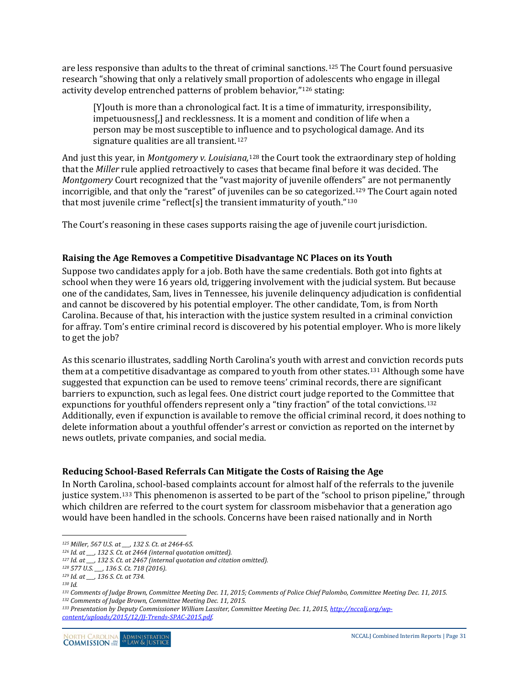are less responsive than adults to the threat of criminal sanctions.[125](#page-30-2) The Court found persuasive research "showing that only a relatively small proportion of adolescents who engage in illegal activity develop entrenched patterns of problem behavior,"[126](#page-30-3) stating:

[Y]outh is more than a chronological fact. It is a time of immaturity, irresponsibility, impetuousness[,] and recklessness. It is a moment and condition of life when a person may be most susceptible to influence and to psychological damage. And its signature qualities are all transient.<sup>[127](#page-30-4)</sup>

And just this year, in *Montgomery v. Louisiana,*<sup>128</sup> the Court took the extraordinary step of holding that the *Miller* rule applied retroactively to ca[ses](#page-30-5) that became final before it was decided. The *Montgomery* Court recognized that the "vast majority of juvenile offenders" are not permanently incorrigible, and that only the "rarest" of juveniles can be so categoriz[ed.](#page-30-7)[129](#page-30-6) The Court again noted that most juvenile crime "reflect[s] the transient immaturity of youth."130

The Court's reasoning in these cases supports raising the age of juvenile court jurisdiction.

#### <span id="page-30-0"></span>**Raising the Age Removes a Competitive Disadvantage NC Places on its Youth**

Suppose two candidates apply for a job. Both have the same credentials. Both got into fights at school when they were 16 years old, triggering involvement with the judicial system. But because one of the candidates, Sam, lives in Tennessee, his juvenile delinquency adjudication is confidential and cannot be discovered by his potential employer. The other candidate, Tom, is from North Carolina. Because of that, his interaction with the justice system resulted in a criminal conviction for affray. Tom's entire criminal record is discovered by his potential employer. Who is more likely to get the job?

As this scenario illustrates, saddling North Carolina's youth with arrest and conviction records puts them at a competitive disadvantage as compared to youth from other states.[131](#page-30-8) Although some have suggested that expunction can be used to remove teens' criminal records, there are significant barriers to expunction, such as legal fees. One district court judge reported to the Committee that expunctions for youthful offenders represent only a "tiny fraction" of the total convictions.[132](#page-30-9) Additionally, even if expunction is available to remove the official criminal record, it does nothing to delete information about a youthful offender's arrest or conviction as reported on the internet by news outlets, private companies, and social media.

#### <span id="page-30-1"></span>**Reducing School-Based Referrals Can Mitigate the Costs of Raising the Age**

In North Carolina, school-based complaints account for almost half of the referrals to the juvenile justice system.[133](#page-30-10) This phenomenon is asserted to be part of the "school to prison pipeline," through which children are referred to the court system for classroom misbehavior that a generation ago would have been handled in the schools. Concerns have been raised nationally and in North

<span id="page-30-9"></span>*<sup>132</sup> Comments of Judge Brown, Committee Meeting Dec. 11, 2015.*

 $\overline{a}$ *<sup>125</sup> Miller, 567 U.S. at \_\_\_, 132 S. Ct. at 2464-65.*

<span id="page-30-4"></span><span id="page-30-3"></span><span id="page-30-2"></span>*<sup>126</sup> Id. at \_\_\_, 132 S. Ct. at 2464 (internal quotation omitted).*

*<sup>127</sup> Id. at \_\_\_, 132 S. Ct. at 2467 (internal quotation and citation omitted).*

<span id="page-30-5"></span>*<sup>128</sup> 577 U.S. \_\_\_, 136 S. Ct. 718 (2016).*

<span id="page-30-6"></span>*<sup>129</sup> Id. at \_\_\_, 136 S. Ct. at 734.*

<span id="page-30-7"></span>*<sup>130</sup> Id.*

<span id="page-30-8"></span>*<sup>131</sup> Comments of Judge Brown, Committee Meeting Dec. 11, 2015; Comments of Police Chief Palombo, Committee Meeting Dec. 11, 2015.*

<span id="page-30-10"></span>*<sup>133</sup> Presentation by Deputy Commissioner William Lassiter, Committee Meeting Dec. 11, 2015[, http://nccalj.org/wp](http://nccalj.org/wp-content/uploads/2015/12/JJ-Trends-SPAC-2015.pdf)[content/uploads/2015/12/JJ-Trends-SPAC-2015.pdf.](http://nccalj.org/wp-content/uploads/2015/12/JJ-Trends-SPAC-2015.pdf)*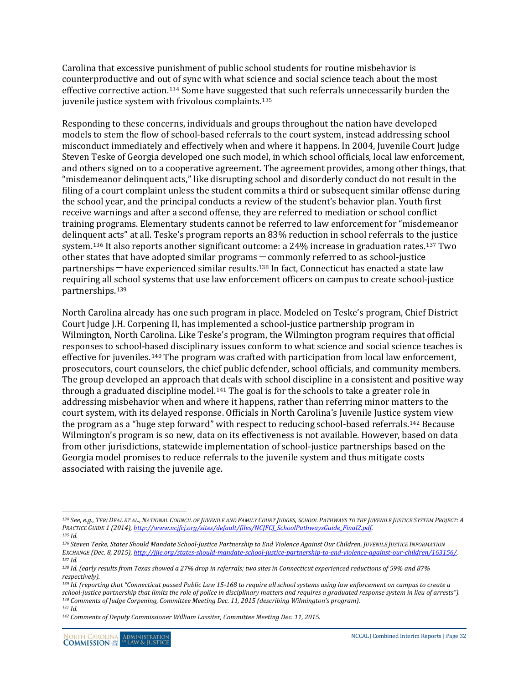Carolina that excessive punishment of public school students for routine misbehavior is counterproductive and out of sync with what science and social science teach about the most effective corrective action.[134](#page-31-0) Some have suggested that such referrals unnecessarily burden the juvenile justice system with frivolous complaints.<sup>[135](#page-31-1)</sup>

Responding to these concerns, individuals and groups throughout the nation have developed models to stem the flow of school-based referrals to the court system, instead addressing school misconduct immediately and effectively when and where it happens. In 2004, Juvenile Court Judge Steven Teske of Georgia developed one such model, in which school officials, local law enforcement, and others signed on to a cooperative agreement. The agreement provides, among other things, that "misdemeanor delinquent acts," like disrupting school and disorderly conduct do not result in the filing of a court complaint unless the student commits a third or subsequent similar offense during the school year, and the principal conducts a review of the student's behavior plan. Youth first receive warnings and after a second offense, they are referred to mediation or school conflict training programs. Elementary students cannot be referred to law enforcement for "misdemeanor delinquent acts" at all. Teske's program reports an 83% reduction in school referrals to the justice system.[136](#page-31-2) It also reports another significant outcome: a 24% increase in graduation rates.[137](#page-31-3) Two other states that have adopted similar programs ─ commonly referred to as school-justice partnerships ─ have experienced similar results.[138](#page-31-4) In fact, Connecticut has enacted a state law requiring all school systems that use law enforcement officers on campus to create school-justice partnerships.[139](#page-31-5)

North Carolina already has one such program in place. Modeled on Teske's program, Chief District Court Judge J.H. Corpening II, has implemented a school-justice partnership program in Wilmington, North Carolina. Like Teske's program, the Wilmington program requires that official responses to school-based disciplinary issues conform to what science and social science teaches is effective for juveniles.[140](#page-31-6) The program was crafted with participation from local law enforcement, prosecutors, court counselors, the chief public defender, school officials, and community members. The group developed an approach that deals with school discipline in a consistent and positive way through a graduated discipline model.<sup>[141](#page-31-7)</sup> The goal is for the schools to take a greater role in addressing misbehavior when and where it happens, rather than referring minor matters to the court system, with its delayed response. Officials in North Carolina's Juvenile Justice system view the program as a "huge step forward" with respect to reducing school-based referrals.[142](#page-31-8) Because Wilmington's program is so new, data on its effectiveness is not available. However, based on data from other jurisdictions, statewide implementation of school-justice partnerships based on the Georgia model promises to reduce referrals to the juvenile system and thus mitigate costs associated with raising the juvenile age.

<span id="page-31-8"></span><span id="page-31-7"></span><span id="page-31-6"></span>*<sup>141</sup> Id.*

<span id="page-31-0"></span> $\overline{a}$ *<sup>134</sup> See, e.g., TERI DEAL ET AL., NATIONAL COUNCIL OF JUVENILE AND FAMILY COURT JUDGES, SCHOOL PATHWAYS TO THE JUVENILE JUSTICE SYSTEM PROJECT: A PRACTICE GUIDE 1 (2014), [http://www.ncjfcj.org/sites/default/files/NCJFCJ\\_SchoolPathwaysGuide\\_Final2.pdf.](http://www.ncjfcj.org/sites/default/files/NCJFCJ_SchoolPathwaysGuide_Final2.pdf)*

<span id="page-31-1"></span>*<sup>135</sup> Id.*

<span id="page-31-2"></span>*<sup>136</sup> Steven Teske, States Should Mandate School-Justice Partnership to End Violence Against Our Children, JUVENILE JUSTICE INFORMATION EXCHANGE (Dec. 8, 2015)[, http://jjie.org/states-should-mandate-school-justice-partnership-to-end-violence-against-our-children/163156/.](http://jjie.org/states-should-mandate-school-justice-partnership-to-end-violence-against-our-children/163156/) <sup>137</sup> Id.*

<span id="page-31-4"></span><span id="page-31-3"></span>*<sup>138</sup> Id. (early results from Texas showed a 27% drop in referrals; two sites in Connecticut experienced reductions of 59% and 87% respectively).*

<span id="page-31-5"></span>*<sup>139</sup> Id. (reporting that "Connecticut passed Public Law 15-168 to require all school systems using law enforcement on campus to create a school-justice partnership that limits the role of police in disciplinary matters and requires a graduated response system in lieu of arrests"). <sup>140</sup> Comments of Judge Corpening, Committee Meeting Dec. 11, 2015 (describing Wilmington's program).*

*<sup>142</sup> Comments of Deputy Commissioner William Lassiter, Committee Meeting Dec. 11, 2015.*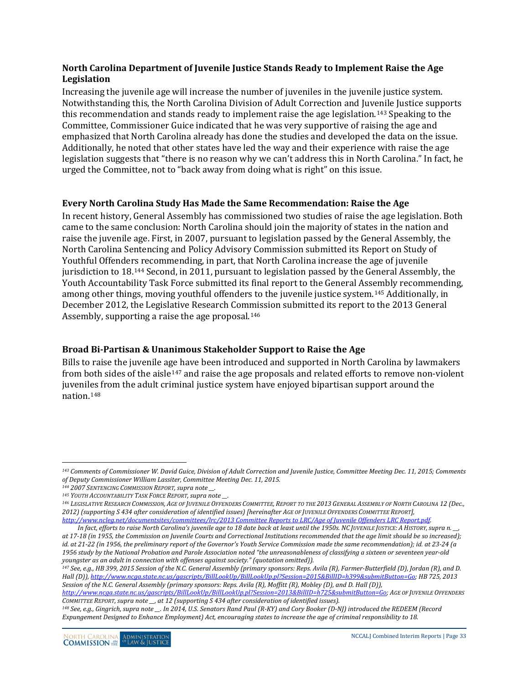#### <span id="page-32-0"></span>**North Carolina Department of Juvenile Justice Stands Ready to Implement Raise the Age Legislation**

Increasing the juvenile age will increase the number of juveniles in the juvenile justice system. Notwithstanding this, the North Carolina Division of Adult Correction and Juvenile Justice supports this recommendation and stands ready to implement raise the age legislation.[143](#page-32-3) Speaking to the Committee, Commissioner Guice indicated that he was very supportive of raising the age and emphasized that North Carolina already has done the studies and developed the data on the issue. Additionally, he noted that other states have led the way and their experience with raise the age legislation suggests that "there is no reason why we can't address this in North Carolina." In fact, he urged the Committee, not to "back away from doing what is right" on this issue.

#### <span id="page-32-1"></span>**Every North Carolina Study Has Made the Same Recommendation: Raise the Age**

In recent history, General Assembly has commissioned two studies of raise the age legislation. Both came to the same conclusion: North Carolina should join the majority of states in the nation and raise the juvenile age. First, in 2007, pursuant to legislation passed by the General Assembly, the North Carolina Sentencing and Policy Advisory Commission submitted its Report on Study of Youthful Offenders recommending, in part, that North Carolina increase the age of juvenile jurisdiction to 18.[144](#page-32-4) Second, in 2011, pursuant to legislation passed by the General Assembly, the Youth Accountability Task Force submitted its final report to the General Assembly recommending, among other things, moving youthful offenders to the juvenile justice system.[145](#page-32-5) Additionally, in December 2012, the Legislative Research Com[mis](#page-32-6)sion submitted its report to the 2013 General Assembly, supporting a raise the age proposal.146

#### <span id="page-32-2"></span>**Broad Bi-Partisan & Unanimous Stakeholder Support to Raise the Age**

Bills to raise the juvenile a[ge h](#page-32-7)ave been introduced and supported in North Carolina by lawmakers from both sides of the aisle<sup>147</sup> and raise the age proposals and related efforts to remove non-violent juveniles from the adult criminal justice system have enjoyed bipartisan support around the nation.[148](#page-32-8)

<span id="page-32-7"></span>*<sup>147</sup> See, e.g., HB 399, 2015 Session of the N.C. General Assembly (primary sponsors: Reps. Avila (R), Farmer-Butterfield (D), Jordan (R), and D. Hall (D))[, http://www.ncga.state.nc.us/gascripts/BillLookUp/BillLookUp.pl?Session=2015&BillID=h399&submitButton=Go;](http://www.ncga.state.nc.us/gascripts/BillLookUp/BillLookUp.pl?Session=2015&BillID=h399&submitButton=Go) HB 725, 2013 Session of the N.C. General Assembly (primary sponsors: Reps. Avila (R), Moffitt (R), Mobley (D), and D. Hall (D)),* 

<span id="page-32-3"></span> $\overline{a}$ *<sup>143</sup> Comments of Commissioner W. David Guice, Division of Adult Correction and Juvenile Justice, Committee Meeting Dec. 11, 2015; Comments of Deputy Commissioner William Lassiter, Committee Meeting Dec. 11, 2015.*

<span id="page-32-4"></span>*<sup>144</sup> 2007 SENTENCING COMMISSION REPORT, supra note \_\_.*

<span id="page-32-6"></span><span id="page-32-5"></span><sup>&</sup>lt;sup>145</sup> YOUTH ACCOUNTABILITY TASK FORCE REPORT, supra note \_\_.<br><sup>146</sup> LEGISLATIVE RESEARCH COMMISSION, AGE OF JUVENILE OFFENDERS COMMITTEE, REPORT TO THE 2013 GENERAL ASSEMBLY OF NORTH CAROLINA 12 (Dec., *2012) (supporting S 434 after consideration of identified issues) [hereinafter AGE OF JUVENILE OFFENDERS COMMITTEE REPORT], [http://www.ncleg.net/documentsites/committees/lrc/2013 Committee Reports to LRC/Age of Juvenile Offenders LRC Report.pdf.](http://www.ncleg.net/documentsites/committees/lrc/2013%20Committee%20Reports%20to%20LRC/Age%20of%20Juvenile%20Offenders%20LRC%20Report.pdf)*

*In fact, efforts to raise North Carolina's juvenile age to 18 date back at least until the 1950s. NC JUVENILE JUSTICE: A HISTORY,supra n. \_\_, at 17-18 (in 1955, the Commission on Juvenile Courts and Correctional Institutions recommended that the age limit should be so increased); id. at 21-22 (in 1956, the preliminary report of the Governor's Youth Service Commission made the same recommendation); id. at 23-24 (a 1956 study by the National Probation and Parole Association noted "the unreasonableness of classifying a sixteen or seventeen year-old youngster as an adult in connection with offenses against society." (quotation omitted)).*

*[http://www.ncga.state.nc.us/gascripts/BillLookUp/BillLookUp.pl?Session=2013&BillID=h725&submitButton=Go;](http://www.ncga.state.nc.us/gascripts/BillLookUp/BillLookUp.pl?Session=2013&BillID=h725&submitButton=Go) AGE OF JUVENILE OFFENDERS COMMITTEE REPORT, supra note \_\_, at 12 (supporting S 434 after consideration of identified issues).*

<span id="page-32-8"></span>*<sup>148</sup> See, e.g., Gingrich, supra note \_\_. In 2014, U.S. Senators Rand Paul (R-KY) and Cory Booker (D-NJ) introduced the REDEEM (Record Expungement Designed to Enhance Employment) Act, encouraging states to increase the age of criminal responsibility to 18.*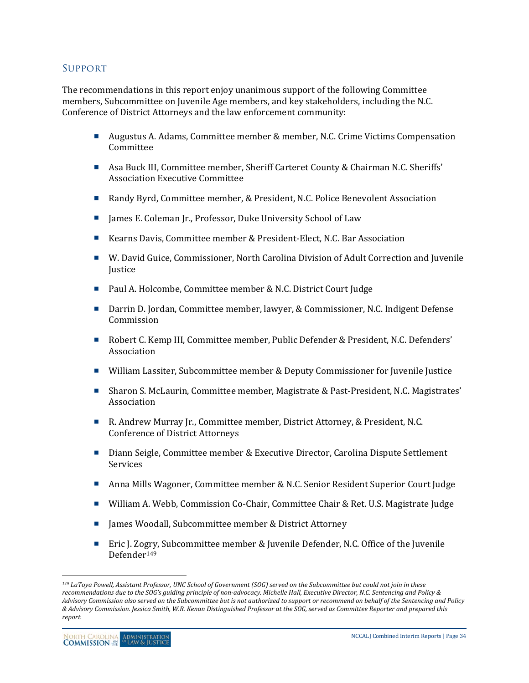#### Support

The recommendations in this report enjoy unanimous support of the following Committee members, Subcommittee on Juvenile Age members, and key stakeholders, including the N.C. Conference of District Attorneys and the law enforcement community:

- Augustus A. Adams, Committee member & member, N.C. Crime Victims Compensation Committee
- Asa Buck III, Committee member, Sheriff Carteret County & Chairman N.C. Sheriffs' Association Executive Committee
- Randy Byrd, Committee member, & President, N.C. Police Benevolent Association
- James E. Coleman Jr., Professor, Duke University School of Law
- Kearns Davis, Committee member & President-Elect, N.C. Bar Association
- W. David Guice, Commissioner, North Carolina Division of Adult Correction and Juvenile **Justice**
- Paul A. Holcombe, Committee member & N.C. District Court Judge
- Darrin D. Jordan, Committee member, lawyer, & Commissioner, N.C. Indigent Defense Commission
- Robert C. Kemp III, Committee member, Public Defender & President, N.C. Defenders' Association
- William Lassiter, Subcommittee member & Deputy Commissioner for Juvenile Justice
- Sharon S. McLaurin, Committee member, Magistrate & Past-President, N.C. Magistrates' Association
- R. Andrew Murray Jr., Committee member, District Attorney, & President, N.C. Conference of District Attorneys
- Diann Seigle, Committee member & Executive Director, Carolina Dispute Settlement Services
- Anna Mills Wagoner, Committee member & N.C. Senior Resident Superior Court Judge
- William A. Webb, Commission Co-Chair, Committee Chair & Ret. U.S. Magistrate Judge
- James Woodall, Subcommittee member & District Attorney
- Eric J. Zo[gry](#page-33-0), Subcommittee member & Juvenile Defender, N.C. Office of the Juvenile Defender149

 $\overline{a}$ 

<span id="page-33-0"></span>*<sup>149</sup> LaToya Powell, Assistant Professor, UNC School of Government (SOG) served on the Subcommittee but could not join in these recommendations due to the SOG's guiding principle of non-advocacy. Michelle Hall, Executive Director, N.C. Sentencing and Policy & Advisory Commission also served on the Subcommittee but is not authorized to support or recommend on behalf of the Sentencing and Policy & Advisory Commission. Jessica Smith, W.R. Kenan Distinguished Professor at the SOG, served as Committee Reporter and prepared this report.*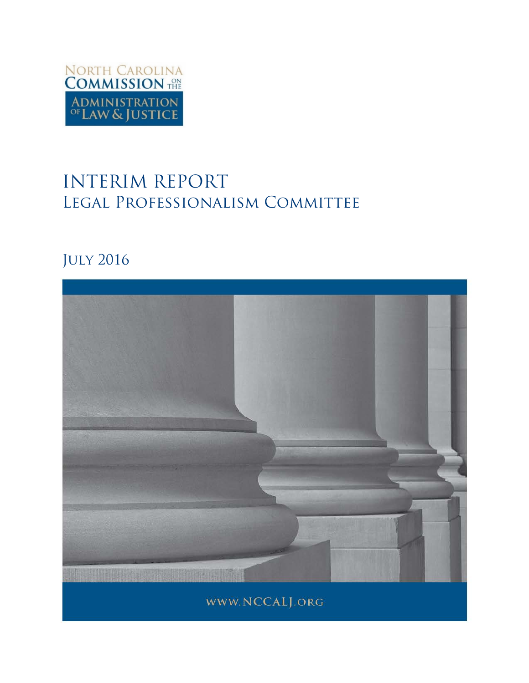

# INTERIM REPORT Legal Professionalism Committee

## July 2016

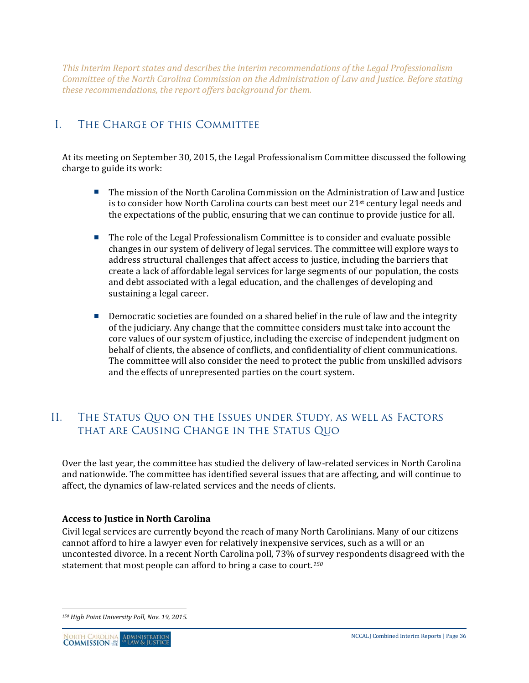*This Interim Report states and describes the interim recommendations of the Legal Professionalism Committee of the North Carolina Commission on the Administration of Law and Justice. Before stating these recommendations, the report offers background for them.*

## I. The Charge of this Committee

At its meeting on September 30, 2015, the Legal Professionalism Committee discussed the following charge to guide its work:

- **The mission of the North Carolina Commission on the Administration of Law and Justice** is to consider how North Carolina courts can best meet our 21<sup>st</sup> century legal needs and the expectations of the public, ensuring that we can continue to provide justice for all.
- The role of the Legal Professionalism Committee is to consider and evaluate possible changes in our system of delivery of legal services. The committee will explore ways to address structural challenges that affect access to justice, including the barriers that create a lack of affordable legal services for large segments of our population, the costs and debt associated with a legal education, and the challenges of developing and sustaining a legal career.
- **Democratic societies are founded on a shared belief in the rule of law and the integrity** of the judiciary. Any change that the committee considers must take into account the core values of our system of justice, including the exercise of independent judgment on behalf of clients, the absence of conflicts, and confidentiality of client communications. The committee will also consider the need to protect the public from unskilled advisors and the effects of unrepresented parties on the court system.

### II. The Status Quo on the Issues under Study, as well as Factors that are Causing Change in the Status Quo

Over the last year, the committee has studied the delivery of law-related services in North Carolina and nationwide. The committee has identified several issues that are affecting, and will continue to affect, the dynamics of law-related services and the needs of clients.

#### **Access to Justice in North Carolina**

Civil legal services are currently beyond the reach of many North Carolinians. Many of our citizens cannot afford to hire a lawyer even for relatively inexpensive services, such as a will or an uncontested divorce. In a recent North Carolina poll, 73% of survey respondents disagreed with the statement that most people can afford to bring a case to court.*[150](#page-35-0)*

<span id="page-35-0"></span> $\overline{a}$ *<sup>150</sup> High Point University Poll, Nov. 19, 2015.*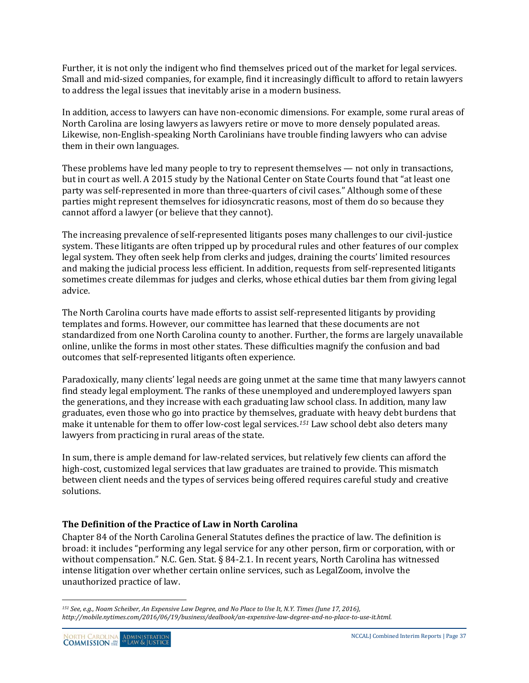Further, it is not only the indigent who find themselves priced out of the market for legal services. Small and mid-sized companies, for example, find it increasingly difficult to afford to retain lawyers to address the legal issues that inevitably arise in a modern business.

In addition, access to lawyers can have non-economic dimensions. For example, some rural areas of North Carolina are losing lawyers as lawyers retire or move to more densely populated areas. Likewise, non-English-speaking North Carolinians have trouble finding lawyers who can advise them in their own languages.

These problems have led many people to try to represent themselves — not only in transactions, but in court as well. A 2015 study by the National Center on State Courts found that "at least one party was self-represented in more than three-quarters of civil cases." Although some of these parties might represent themselves for idiosyncratic reasons, most of them do so because they cannot afford a lawyer (or believe that they cannot).

The increasing prevalence of self-represented litigants poses many challenges to our civil-justice system. These litigants are often tripped up by procedural rules and other features of our complex legal system. They often seek help from clerks and judges, draining the courts' limited resources and making the judicial process less efficient. In addition, requests from self-represented litigants sometimes create dilemmas for judges and clerks, whose ethical duties bar them from giving legal advice.

The North Carolina courts have made efforts to assist self-represented litigants by providing templates and forms. However, our committee has learned that these documents are not standardized from one North Carolina county to another. Further, the forms are largely unavailable online, unlike the forms in most other states. These difficulties magnify the confusion and bad outcomes that self-represented litigants often experience.

Paradoxically, many clients' legal needs are going unmet at the same time that many lawyers cannot find steady legal employment. The ranks of these unemployed and underemployed lawyers span the generations, and they increase with each graduating law school class. In addition, many law graduates, even those who go into practice by themselves, graduate with heavy debt burdens that make it untenable for them to offer low-cost legal services.*[151](#page-36-0)* Law school debt also deters many lawyers from practicing in rural areas of the state.

In sum, there is ample demand for law-related services, but relatively few clients can afford the high-cost, customized legal services that law graduates are trained to provide. This mismatch between client needs and the types of services being offered requires careful study and creative solutions.

#### **The Definition of the Practice of Law in North Carolina**

Chapter 84 of the North Carolina General Statutes defines the practice of law. The definition is broad: it includes "performing any legal service for any other person, firm or corporation, with or without compensation." N.C. Gen. Stat. § 84-2.1. In recent years, North Carolina has witnessed intense litigation over whether certain online services, such as LegalZoom, involve the unauthorized practice of law.

<span id="page-36-0"></span> $\overline{a}$ *<sup>151</sup> See, e.g., Noam Scheiber, An Expensive Law Degree, and No Place to Use It, N.Y. Times (June 17, 2016), http://mobile.nytimes.com/2016/06/19/business/dealbook/an-expensive-law-degree-and-no-place-to-use-it.html.*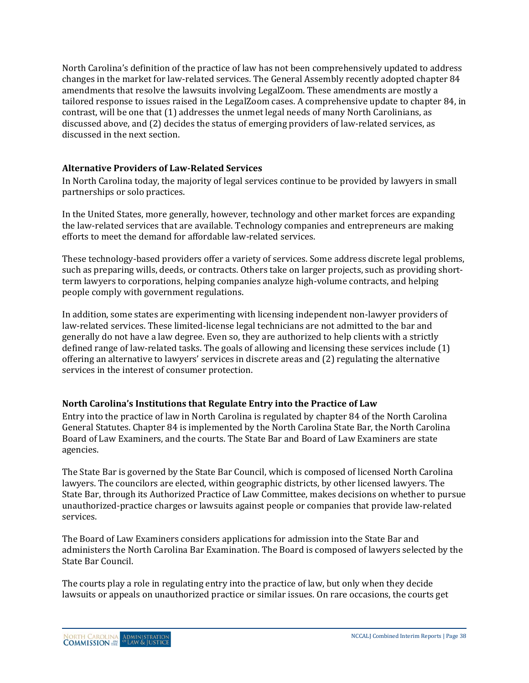North Carolina's definition of the practice of law has not been comprehensively updated to address changes in the market for law-related services. The General Assembly recently adopted chapter 84 amendments that resolve the lawsuits involving LegalZoom. These amendments are mostly a tailored response to issues raised in the LegalZoom cases. A comprehensive update to chapter 84, in contrast, will be one that (1) addresses the unmet legal needs of many North Carolinians, as discussed above, and (2) decides the status of emerging providers of law-related services, as discussed in the next section.

#### **Alternative Providers of Law-Related Services**

In North Carolina today, the majority of legal services continue to be provided by lawyers in small partnerships or solo practices.

In the United States, more generally, however, technology and other market forces are expanding the law-related services that are available. Technology companies and entrepreneurs are making efforts to meet the demand for affordable law-related services.

These technology-based providers offer a variety of services. Some address discrete legal problems, such as preparing wills, deeds, or contracts. Others take on larger projects, such as providing shortterm lawyers to corporations, helping companies analyze high-volume contracts, and helping people comply with government regulations.

In addition, some states are experimenting with licensing independent non-lawyer providers of law-related services. These limited-license legal technicians are not admitted to the bar and generally do not have a law degree. Even so, they are authorized to help clients with a strictly defined range of law-related tasks. The goals of allowing and licensing these services include (1) offering an alternative to lawyers' services in discrete areas and (2) regulating the alternative services in the interest of consumer protection.

#### **North Carolina's Institutions that Regulate Entry into the Practice of Law**

Entry into the practice of law in North Carolina is regulated by chapter 84 of the North Carolina General Statutes. Chapter 84 is implemented by the North Carolina State Bar, the North Carolina Board of Law Examiners, and the courts. The State Bar and Board of Law Examiners are state agencies.

The State Bar is governed by the State Bar Council, which is composed of licensed North Carolina lawyers. The councilors are elected, within geographic districts, by other licensed lawyers. The State Bar, through its Authorized Practice of Law Committee, makes decisions on whether to pursue unauthorized-practice charges or lawsuits against people or companies that provide law-related services.

The Board of Law Examiners considers applications for admission into the State Bar and administers the North Carolina Bar Examination. The Board is composed of lawyers selected by the State Bar Council.

The courts play a role in regulating entry into the practice of law, but only when they decide lawsuits or appeals on unauthorized practice or similar issues. On rare occasions, the courts get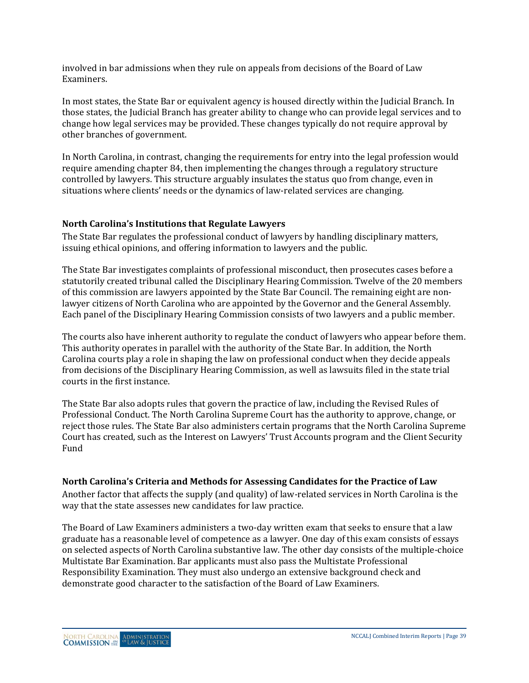involved in bar admissions when they rule on appeals from decisions of the Board of Law Examiners.

In most states, the State Bar or equivalent agency is housed directly within the Judicial Branch. In those states, the Judicial Branch has greater ability to change who can provide legal services and to change how legal services may be provided. These changes typically do not require approval by other branches of government.

In North Carolina, in contrast, changing the requirements for entry into the legal profession would require amending chapter 84, then implementing the changes through a regulatory structure controlled by lawyers. This structure arguably insulates the status quo from change, even in situations where clients' needs or the dynamics of law-related services are changing.

#### **North Carolina's Institutions that Regulate Lawyers**

The State Bar regulates the professional conduct of lawyers by handling disciplinary matters, issuing ethical opinions, and offering information to lawyers and the public.

The State Bar investigates complaints of professional misconduct, then prosecutes cases before a statutorily created tribunal called the Disciplinary Hearing Commission. Twelve of the 20 members of this commission are lawyers appointed by the State Bar Council. The remaining eight are nonlawyer citizens of North Carolina who are appointed by the Governor and the General Assembly. Each panel of the Disciplinary Hearing Commission consists of two lawyers and a public member.

The courts also have inherent authority to regulate the conduct of lawyers who appear before them. This authority operates in parallel with the authority of the State Bar. In addition, the North Carolina courts play a role in shaping the law on professional conduct when they decide appeals from decisions of the Disciplinary Hearing Commission, as well as lawsuits filed in the state trial courts in the first instance.

The State Bar also adopts rules that govern the practice of law, including the Revised Rules of Professional Conduct. The North Carolina Supreme Court has the authority to approve, change, or reject those rules. The State Bar also administers certain programs that the North Carolina Supreme Court has created, such as the Interest on Lawyers' Trust Accounts program and the Client Security Fund

#### **North Carolina's Criteria and Methods for Assessing Candidates for the Practice of Law**

Another factor that affects the supply (and quality) of law-related services in North Carolina is the way that the state assesses new candidates for law practice.

The Board of Law Examiners administers a two-day written exam that seeks to ensure that a law graduate has a reasonable level of competence as a lawyer. One day of this exam consists of essays on selected aspects of North Carolina substantive law. The other day consists of the multiple-choice Multistate Bar Examination. Bar applicants must also pass the Multistate Professional Responsibility Examination. They must also undergo an extensive background check and demonstrate good character to the satisfaction of the Board of Law Examiners.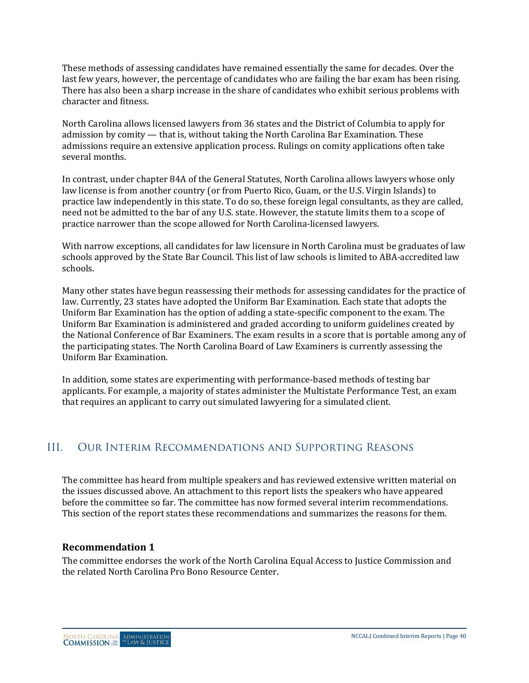These methods of assessing candidates have remained essentially the same for decades. Over the last few years, however, the percentage of candidates who are failing the bar exam has been rising. There has also been a sharp increase in the share of candidates who exhibit serious problems with character and fitness.

North Carolina allows licensed lawyers from 36 states and the District of Columbia to apply for admission by comity — that is, without taking the North Carolina Bar Examination. These admissions require an extensive application process. Rulings on comity applications often take several months.

In contrast, under chapter 84A of the General Statutes, North Carolina allows lawyers whose only law license is from another country (or from Puerto Rico, Guam, or the U.S. Virgin Islands) to practice law independently in this state. To do so, these foreign legal consultants, as they are called, need not be admitted to the bar of any U.S. state. However, the statute limits them to a scope of practice narrower than the scope allowed for North Carolina-licensed lawyers.

With narrow exceptions, all candidates for law licensure in North Carolina must be graduates of law schools approved by the State Bar Council. This list of law schools is limited to ABA-accredited law schools.

Many other states have begun reassessing their methods for assessing candidates for the practice of law. Currently, 23 states have adopted the Uniform Bar Examination. Each state that adopts the Uniform Bar Examination has the option of adding a state-specific component to the exam. The Uniform Bar Examination is administered and graded according to uniform guidelines created by the National Conference of Bar Examiners. The exam results in a score that is portable among any of the participating states. The North Carolina Board of Law Examiners is currently assessing the Uniform Bar Examination.

In addition, some states are experimenting with performance-based methods of testing bar applicants. For example, a majority of states administer the Multistate Performance Test, an exam that requires an applicant to carry out simulated lawyering for a simulated client.

## III. Our Interim Recommendations and Supporting Reasons

The committee has heard from multiple speakers and has reviewed extensive written material on the issues discussed above. An attachment to this report lists the speakers who have appeared before the committee so far. The committee has now formed several interim recommendations. This section of the report states these recommendations and summarizes the reasons for them.

#### **Recommendation 1**

The committee endorses the work of the North Carolina Equal Access to Justice Commission and the related North Carolina Pro Bono Resource Center.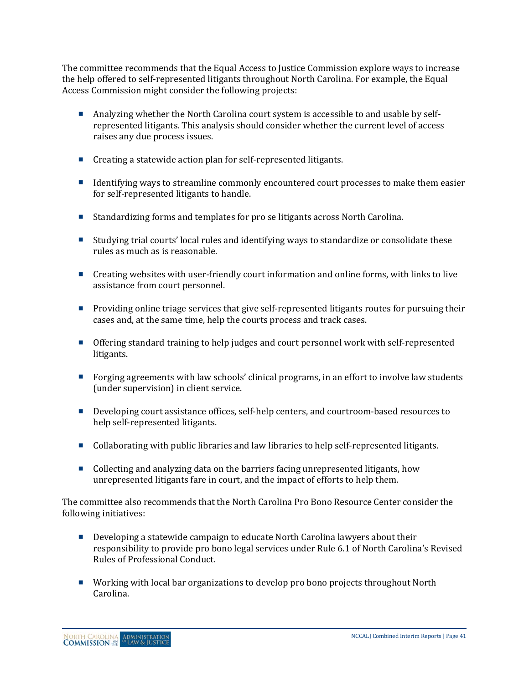The committee recommends that the Equal Access to Justice Commission explore ways to increase the help offered to self-represented litigants throughout North Carolina. For example, the Equal Access Commission might consider the following projects:

- Analyzing whether the North Carolina court system is accessible to and usable by selfrepresented litigants. This analysis should consider whether the current level of access raises any due process issues.
- Creating a statewide action plan for self-represented litigants.
- Identifying ways to streamline commonly encountered court processes to make them easier for self-represented litigants to handle.
- Standardizing forms and templates for pro se litigants across North Carolina.
- Studying trial courts' local rules and identifying ways to standardize or consolidate these rules as much as is reasonable.
- **Creating websites with user-friendly court information and online forms, with links to live** assistance from court personnel.
- **Providing online triage services that give self-represented litigants routes for pursuing their** cases and, at the same time, help the courts process and track cases.
- Offering standard training to help judges and court personnel work with self-represented litigants.
- Forging agreements with law schools' clinical programs, in an effort to involve law students (under supervision) in client service.
- Developing court assistance offices, self-help centers, and courtroom-based resources to help self-represented litigants.
- Collaborating with public libraries and law libraries to help self-represented litigants.
- Collecting and analyzing data on the barriers facing unrepresented litigants, how unrepresented litigants fare in court, and the impact of efforts to help them.

The committee also recommends that the North Carolina Pro Bono Resource Center consider the following initiatives:

- Developing a statewide campaign to educate North Carolina lawyers about their responsibility to provide pro bono legal services under Rule 6.1 of North Carolina's Revised Rules of Professional Conduct.
- Working with local bar organizations to develop pro bono projects throughout North Carolina.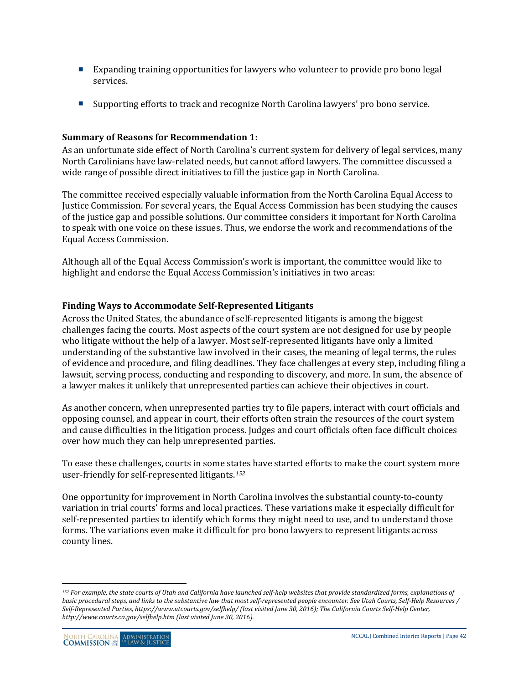- Expanding training opportunities for lawyers who volunteer to provide pro bono legal services.
- Supporting efforts to track and recognize North Carolina lawyers' pro bono service.

#### **Summary of Reasons for Recommendation 1:**

As an unfortunate side effect of North Carolina's current system for delivery of legal services, many North Carolinians have law-related needs, but cannot afford lawyers. The committee discussed a wide range of possible direct initiatives to fill the justice gap in North Carolina.

The committee received especially valuable information from the North Carolina Equal Access to Justice Commission. For several years, the Equal Access Commission has been studying the causes of the justice gap and possible solutions. Our committee considers it important for North Carolina to speak with one voice on these issues. Thus, we endorse the work and recommendations of the Equal Access Commission.

Although all of the Equal Access Commission's work is important, the committee would like to highlight and endorse the Equal Access Commission's initiatives in two areas:

#### **Finding Ways to Accommodate Self-Represented Litigants**

Across the United States, the abundance of self-represented litigants is among the biggest challenges facing the courts. Most aspects of the court system are not designed for use by people who litigate without the help of a lawyer. Most self-represented litigants have only a limited understanding of the substantive law involved in their cases, the meaning of legal terms, the rules of evidence and procedure, and filing deadlines. They face challenges at every step, including filing a lawsuit, serving process, conducting and responding to discovery, and more. In sum, the absence of a lawyer makes it unlikely that unrepresented parties can achieve their objectives in court.

As another concern, when unrepresented parties try to file papers, interact with court officials and opposing counsel, and appear in court, their efforts often strain the resources of the court system and cause difficulties in the litigation process. Judges and court officials often face difficult choices over how much they can help unrepresented parties.

To ease these challenges, courts in some states have started efforts to make the court system more user-friendly for self-represented litigants.*[152](#page-41-0)*

One opportunity for improvement in North Carolina involves the substantial county-to-county variation in trial courts' forms and local practices. These variations make it especially difficult for self-represented parties to identify which forms they might need to use, and to understand those forms. The variations even make it difficult for pro bono lawyers to represent litigants across county lines.

 $\overline{a}$ 

<span id="page-41-0"></span><sup>&</sup>lt;sup>152</sup> For example, the state courts of Utah and California have launched self-help websites that provide standardized forms, explanations of *basic procedural steps, and links to the substantive law that most self-represented people encounter. See Utah Courts, Self-Help Resources / Self-Represented Parties, https://www.utcourts.gov/selfhelp/ (last visited June 30, 2016); The California Courts Self-Help Center, http://www.courts.ca.gov/selfhelp.htm (last visited June 30, 2016).*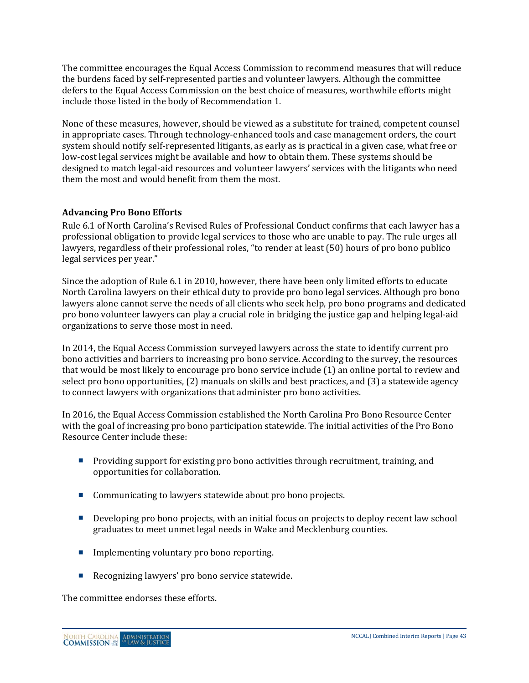The committee encourages the Equal Access Commission to recommend measures that will reduce the burdens faced by self-represented parties and volunteer lawyers. Although the committee defers to the Equal Access Commission on the best choice of measures, worthwhile efforts might include those listed in the body of Recommendation 1.

None of these measures, however, should be viewed as a substitute for trained, competent counsel in appropriate cases. Through technology-enhanced tools and case management orders, the court system should notify self-represented litigants, as early as is practical in a given case, what free or low-cost legal services might be available and how to obtain them. These systems should be designed to match legal-aid resources and volunteer lawyers' services with the litigants who need them the most and would benefit from them the most.

#### **Advancing Pro Bono Efforts**

Rule 6.1 of North Carolina's Revised Rules of Professional Conduct confirms that each lawyer has a professional obligation to provide legal services to those who are unable to pay. The rule urges all lawyers, regardless of their professional roles, "to render at least (50) hours of pro bono publico legal services per year."

Since the adoption of Rule 6.1 in 2010, however, there have been only limited efforts to educate North Carolina lawyers on their ethical duty to provide pro bono legal services. Although pro bono lawyers alone cannot serve the needs of all clients who seek help, pro bono programs and dedicated pro bono volunteer lawyers can play a crucial role in bridging the justice gap and helping legal-aid organizations to serve those most in need.

In 2014, the Equal Access Commission surveyed lawyers across the state to identify current pro bono activities and barriers to increasing pro bono service. According to the survey, the resources that would be most likely to encourage pro bono service include (1) an online portal to review and select pro bono opportunities, (2) manuals on skills and best practices, and (3) a statewide agency to connect lawyers with organizations that administer pro bono activities.

In 2016, the Equal Access Commission established the North Carolina Pro Bono Resource Center with the goal of increasing pro bono participation statewide. The initial activities of the Pro Bono Resource Center include these:

- **Providing support for existing pro bono activities through recruitment, training, and** opportunities for collaboration.
- Communicating to lawyers statewide about pro bono projects.
- Developing pro bono projects, with an initial focus on projects to deploy recent law school graduates to meet unmet legal needs in Wake and Mecklenburg counties.
- **Implementing voluntary pro bono reporting.**
- Recognizing lawyers' pro bono service statewide.

The committee endorses these efforts.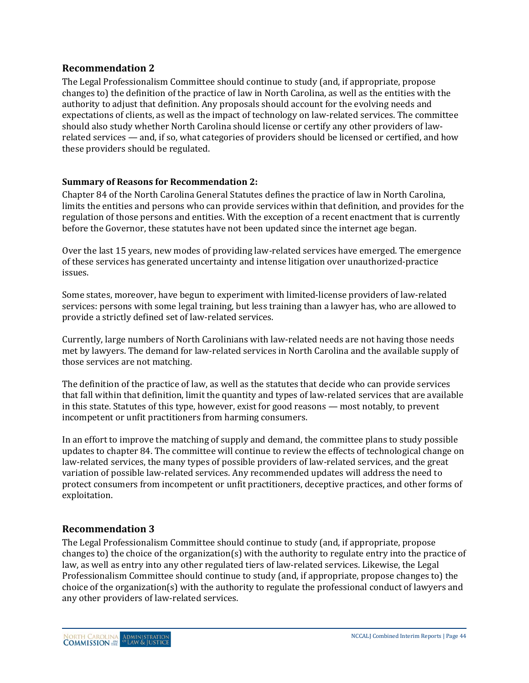#### **Recommendation 2**

The Legal Professionalism Committee should continue to study (and, if appropriate, propose changes to) the definition of the practice of law in North Carolina, as well as the entities with the authority to adjust that definition. Any proposals should account for the evolving needs and expectations of clients, as well as the impact of technology on law-related services. The committee should also study whether North Carolina should license or certify any other providers of lawrelated services — and, if so, what categories of providers should be licensed or certified, and how these providers should be regulated.

#### **Summary of Reasons for Recommendation 2:**

Chapter 84 of the North Carolina General Statutes defines the practice of law in North Carolina, limits the entities and persons who can provide services within that definition, and provides for the regulation of those persons and entities. With the exception of a recent enactment that is currently before the Governor, these statutes have not been updated since the internet age began.

Over the last 15 years, new modes of providing law-related services have emerged. The emergence of these services has generated uncertainty and intense litigation over unauthorized-practice issues.

Some states, moreover, have begun to experiment with limited-license providers of law-related services: persons with some legal training, but less training than a lawyer has, who are allowed to provide a strictly defined set of law-related services.

Currently, large numbers of North Carolinians with law-related needs are not having those needs met by lawyers. The demand for law-related services in North Carolina and the available supply of those services are not matching.

The definition of the practice of law, as well as the statutes that decide who can provide services that fall within that definition, limit the quantity and types of law-related services that are available in this state. Statutes of this type, however, exist for good reasons — most notably, to prevent incompetent or unfit practitioners from harming consumers.

In an effort to improve the matching of supply and demand, the committee plans to study possible updates to chapter 84. The committee will continue to review the effects of technological change on law-related services, the many types of possible providers of law-related services, and the great variation of possible law-related services. Any recommended updates will address the need to protect consumers from incompetent or unfit practitioners, deceptive practices, and other forms of exploitation.

#### **Recommendation 3**

The Legal Professionalism Committee should continue to study (and, if appropriate, propose changes to) the choice of the organization(s) with the authority to regulate entry into the practice of law, as well as entry into any other regulated tiers of law-related services. Likewise, the Legal Professionalism Committee should continue to study (and, if appropriate, propose changes to) the choice of the organization(s) with the authority to regulate the professional conduct of lawyers and any other providers of law-related services.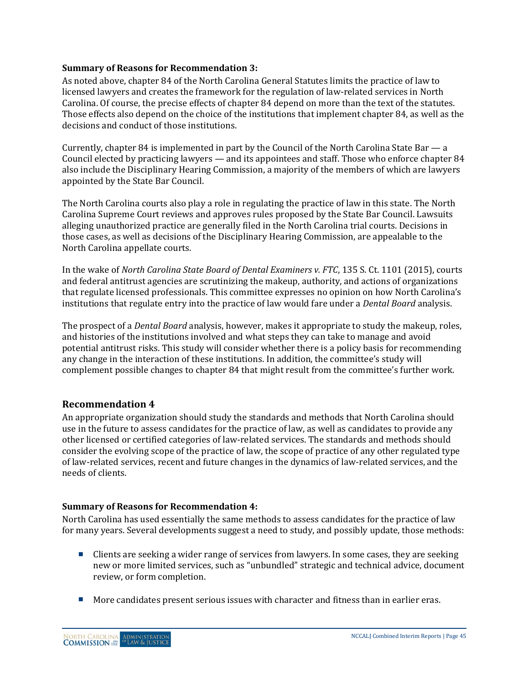#### **Summary of Reasons for Recommendation 3:**

As noted above, chapter 84 of the North Carolina General Statutes limits the practice of law to licensed lawyers and creates the framework for the regulation of law-related services in North Carolina. Of course, the precise effects of chapter 84 depend on more than the text of the statutes. Those effects also depend on the choice of the institutions that implement chapter 84, as well as the decisions and conduct of those institutions.

Currently, chapter 84 is implemented in part by the Council of the North Carolina State Bar — a Council elected by practicing lawyers — and its appointees and staff. Those who enforce chapter 84 also include the Disciplinary Hearing Commission, a majority of the members of which are lawyers appointed by the State Bar Council.

The North Carolina courts also play a role in regulating the practice of law in this state. The North Carolina Supreme Court reviews and approves rules proposed by the State Bar Council. Lawsuits alleging unauthorized practice are generally filed in the North Carolina trial courts. Decisions in those cases, as well as decisions of the Disciplinary Hearing Commission, are appealable to the North Carolina appellate courts.

In the wake of *North Carolina State Board of Dental Examiners v. FTC*, 135 S. Ct. 1101 (2015), courts and federal antitrust agencies are scrutinizing the makeup, authority, and actions of organizations that regulate licensed professionals. This committee expresses no opinion on how North Carolina's institutions that regulate entry into the practice of law would fare under a *Dental Board* analysis.

The prospect of a *Dental Board* analysis, however, makes it appropriate to study the makeup, roles, and histories of the institutions involved and what steps they can take to manage and avoid potential antitrust risks. This study will consider whether there is a policy basis for recommending any change in the interaction of these institutions. In addition, the committee's study will complement possible changes to chapter 84 that might result from the committee's further work.

#### **Recommendation 4**

An appropriate organization should study the standards and methods that North Carolina should use in the future to assess candidates for the practice of law, as well as candidates to provide any other licensed or certified categories of law-related services. The standards and methods should consider the evolving scope of the practice of law, the scope of practice of any other regulated type of law-related services, recent and future changes in the dynamics of law-related services, and the needs of clients.

#### **Summary of Reasons for Recommendation 4:**

North Carolina has used essentially the same methods to assess candidates for the practice of law for many years. Several developments suggest a need to study, and possibly update, those methods:

- Clients are seeking a wider range of services from lawyers. In some cases, they are seeking new or more limited services, such as "unbundled" strategic and technical advice, document review, or form completion.
- **More candidates present serious issues with character and fitness than in earlier eras.**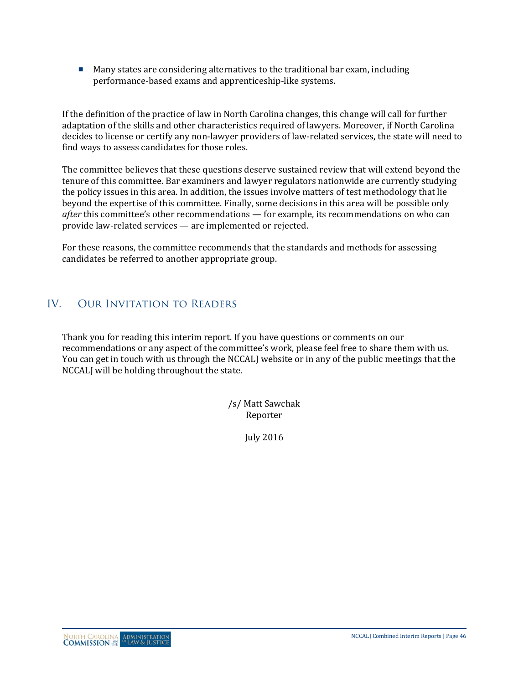Many states are considering alternatives to the traditional bar exam, including performance-based exams and apprenticeship-like systems.

If the definition of the practice of law in North Carolina changes, this change will call for further adaptation of the skills and other characteristics required of lawyers. Moreover, if North Carolina decides to license or certify any non-lawyer providers of law-related services, the state will need to find ways to assess candidates for those roles.

The committee believes that these questions deserve sustained review that will extend beyond the tenure of this committee. Bar examiners and lawyer regulators nationwide are currently studying the policy issues in this area. In addition, the issues involve matters of test methodology that lie beyond the expertise of this committee. Finally, some decisions in this area will be possible only *after* this committee's other recommendations — for example, its recommendations on who can provide law-related services — are implemented or rejected.

For these reasons, the committee recommends that the standards and methods for assessing candidates be referred to another appropriate group.

## IV. Our Invitation to Readers

Thank you for reading this interim report. If you have questions or comments on our recommendations or any aspect of the committee's work, please feel free to share them with us. You can get in touch with us through the NCCALJ website or in any of the public meetings that the NCCALJ will be holding throughout the state.

> /s/ Matt Sawchak Reporter

> > July 2016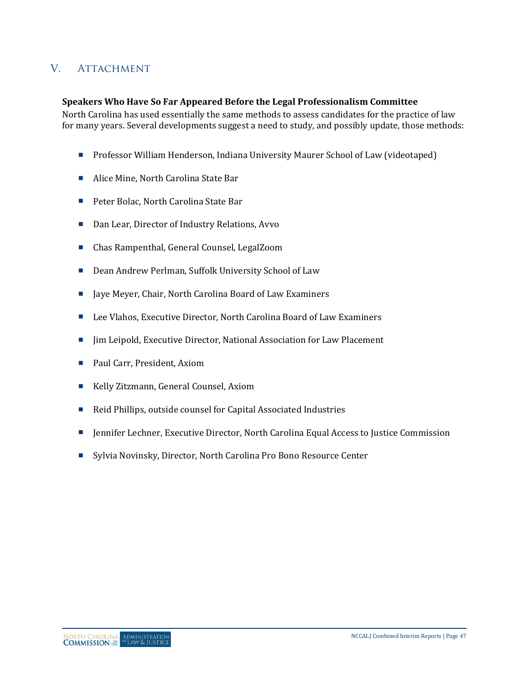## V. ATTACHMENT

#### **Speakers Who Have So Far Appeared Before the Legal Professionalism Committee**

North Carolina has used essentially the same methods to assess candidates for the practice of law for many years. Several developments suggest a need to study, and possibly update, those methods:

- **Professor William Henderson, Indiana University Maurer School of Law (videotaped)**
- Alice Mine, North Carolina State Bar
- Peter Bolac, North Carolina State Bar
- Dan Lear, Director of Industry Relations, Avvo
- Chas Rampenthal, General Counsel, LegalZoom
- Dean Andrew Perlman, Suffolk University School of Law
- Jaye Meyer, Chair, North Carolina Board of Law Examiners
- Lee Vlahos, Executive Director, North Carolina Board of Law Examiners
- Jim Leipold, Executive Director, National Association for Law Placement
- Paul Carr, President, Axiom
- Kelly Zitzmann, General Counsel, Axiom
- Reid Phillips, outside counsel for Capital Associated Industries
- **Inter Executive Director, North Carolina Equal Access to Justice Commission**
- Sylvia Novinsky, Director, North Carolina Pro Bono Resource Center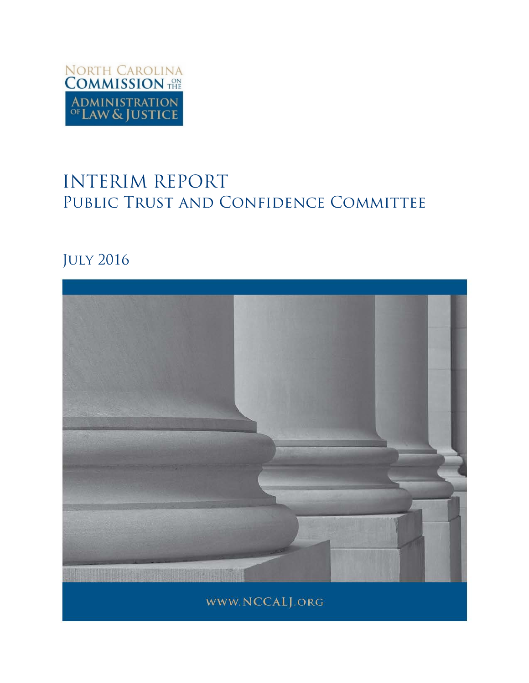

# INTERIM REPORT PUBLIC TRUST AND CONFIDENCE COMMITTEE

## July 2016

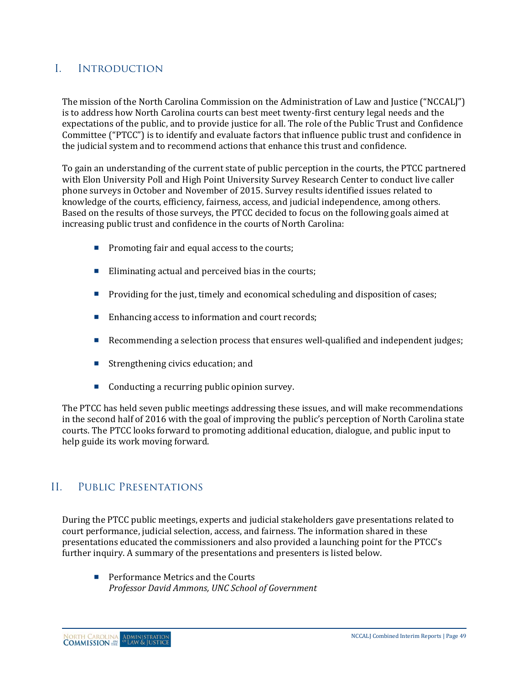## I. Introduction

The mission of the North Carolina Commission on the Administration of Law and Justice ("NCCALJ") is to address how North Carolina courts can best meet twenty-first century legal needs and the expectations of the public, and to provide justice for all. The role of the Public Trust and Confidence Committee ("PTCC") is to identify and evaluate factors that influence public trust and confidence in the judicial system and to recommend actions that enhance this trust and confidence.

To gain an understanding of the current state of public perception in the courts, the PTCC partnered with Elon University Poll and High Point University Survey Research Center to conduct live caller phone surveys in October and November of 2015. Survey results identified issues related to knowledge of the courts, efficiency, fairness, access, and judicial independence, among others. Based on the results of those surveys, the PTCC decided to focus on the following goals aimed at increasing public trust and confidence in the courts of North Carolina:

- $\blacksquare$  Promoting fair and equal access to the courts;
- Eliminating actual and perceived bias in the courts;
- **Providing for the just, timely and economical scheduling and disposition of cases;**
- Enhancing access to information and court records;
- Recommending a selection process that ensures well-qualified and independent judges;
- $\blacksquare$  Strengthening civics education; and
- Conducting a recurring public opinion survey.

The PTCC has held seven public meetings addressing these issues, and will make recommendations in the second half of 2016 with the goal of improving the public's perception of North Carolina state courts. The PTCC looks forward to promoting additional education, dialogue, and public input to help guide its work moving forward.

### II. Public Presentations

During the PTCC public meetings, experts and judicial stakeholders gave presentations related to court performance, judicial selection, access, and fairness. The information shared in these presentations educated the commissioners and also provided a launching point for the PTCC's further inquiry. A summary of the presentations and presenters is listed below.

**Performance Metrics and the Courts** *Professor David Ammons, UNC School of Government*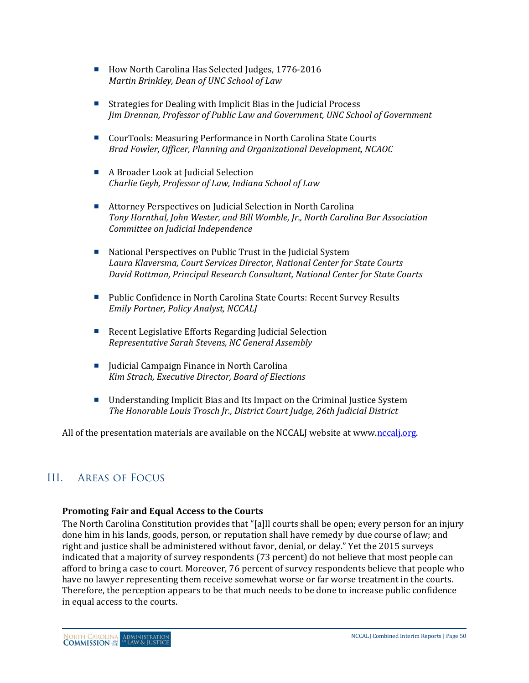- How North Carolina Has Selected Judges, 1776-2016 *Martin Brinkley, Dean of UNC School of Law*
- Strategies for Dealing with Implicit Bias in the Judicial Process *Jim Drennan, Professor of Public Law and Government, UNC School of Government*
- CourTools: Measuring Performance in North Carolina State Courts *Brad Fowler, Officer, Planning and Organizational Development, NCAOC*
- A Broader Look at Iudicial Selection *Charlie Geyh, Professor of Law, Indiana School of Law*
- Attorney Perspectives on Judicial Selection in North Carolina *Tony Hornthal, John Wester, and Bill Womble, Jr., North Carolina Bar Association Committee on Judicial Independence*
- National Perspectives on Public Trust in the Judicial System *Laura Klaversma, Court Services Director, National Center for State Courts David Rottman, Principal Research Consultant, National Center for State Courts*
- **Public Confidence in North Carolina State Courts: Recent Survey Results** *Emily Portner, Policy Analyst, NCCALJ*
- Recent Legislative Efforts Regarding Judicial Selection *Representative Sarah Stevens, NC General Assembly*
- $\blacksquare$  Judicial Campaign Finance in North Carolina *Kim Strach, Executive Director, Board of Elections*
- Understanding Implicit Bias and Its Impact on the Criminal Justice System *The Honorable Louis Trosch Jr., District Court Judge, 26th Judicial District*

All of the presentation materials are available on the NCCALJ website at www[.nccalj.org.](http://nccalj.org/)

## III. Areas of Focus

#### **Promoting Fair and Equal Access to the Courts**

The North Carolina Constitution provides that "[a]ll courts shall be open; every person for an injury done him in his lands, goods, person, or reputation shall have remedy by due course of law; and right and justice shall be administered without favor, denial, or delay." Yet the 2015 surveys indicated that a majority of survey respondents (73 percent) do not believe that most people can afford to bring a case to court. Moreover, 76 percent of survey respondents believe that people who have no lawyer representing them receive somewhat worse or far worse treatment in the courts. Therefore, the perception appears to be that much needs to be done to increase public confidence in equal access to the courts.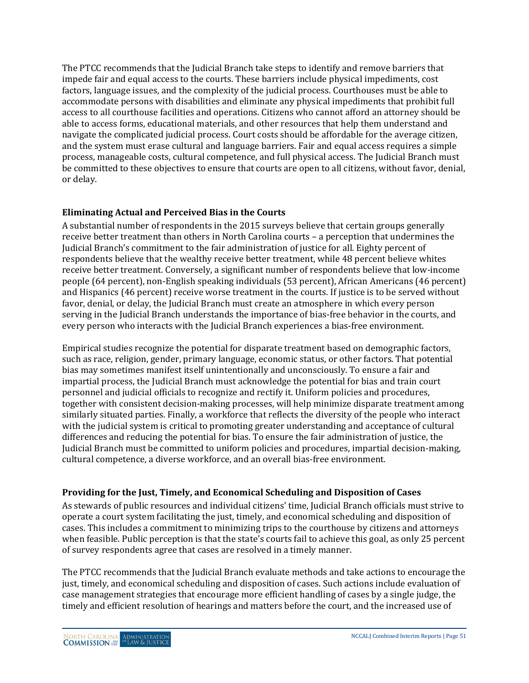The PTCC recommends that the Judicial Branch take steps to identify and remove barriers that impede fair and equal access to the courts. These barriers include physical impediments, cost factors, language issues, and the complexity of the judicial process. Courthouses must be able to accommodate persons with disabilities and eliminate any physical impediments that prohibit full access to all courthouse facilities and operations. Citizens who cannot afford an attorney should be able to access forms, educational materials, and other resources that help them understand and navigate the complicated judicial process. Court costs should be affordable for the average citizen, and the system must erase cultural and language barriers. Fair and equal access requires a simple process, manageable costs, cultural competence, and full physical access. The Judicial Branch must be committed to these objectives to ensure that courts are open to all citizens, without favor, denial, or delay.

#### **Eliminating Actual and Perceived Bias in the Courts**

A substantial number of respondents in the 2015 surveys believe that certain groups generally receive better treatment than others in North Carolina courts – a perception that undermines the Judicial Branch's commitment to the fair administration of justice for all. Eighty percent of respondents believe that the wealthy receive better treatment, while 48 percent believe whites receive better treatment. Conversely, a significant number of respondents believe that low-income people (64 percent), non-English speaking individuals (53 percent), African Americans (46 percent) and Hispanics (46 percent) receive worse treatment in the courts. If justice is to be served without favor, denial, or delay, the Judicial Branch must create an atmosphere in which every person serving in the Judicial Branch understands the importance of bias-free behavior in the courts, and every person who interacts with the Judicial Branch experiences a bias-free environment.

Empirical studies recognize the potential for disparate treatment based on demographic factors, such as race, religion, gender, primary language, economic status, or other factors. That potential bias may sometimes manifest itself unintentionally and unconsciously. To ensure a fair and impartial process, the Judicial Branch must acknowledge the potential for bias and train court personnel and judicial officials to recognize and rectify it. Uniform policies and procedures, together with consistent decision-making processes, will help minimize disparate treatment among similarly situated parties. Finally, a workforce that reflects the diversity of the people who interact with the judicial system is critical to promoting greater understanding and acceptance of cultural differences and reducing the potential for bias. To ensure the fair administration of justice, the Judicial Branch must be committed to uniform policies and procedures, impartial decision-making, cultural competence, a diverse workforce, and an overall bias-free environment.

#### **Providing for the Just, Timely, and Economical Scheduling and Disposition of Cases**

As stewards of public resources and individual citizens' time, Judicial Branch officials must strive to operate a court system facilitating the just, timely, and economical scheduling and disposition of cases. This includes a commitment to minimizing trips to the courthouse by citizens and attorneys when feasible. Public perception is that the state's courts fail to achieve this goal, as only 25 percent of survey respondents agree that cases are resolved in a timely manner.

The PTCC recommends that the Judicial Branch evaluate methods and take actions to encourage the just, timely, and economical scheduling and disposition of cases. Such actions include evaluation of case management strategies that encourage more efficient handling of cases by a single judge, the timely and efficient resolution of hearings and matters before the court, and the increased use of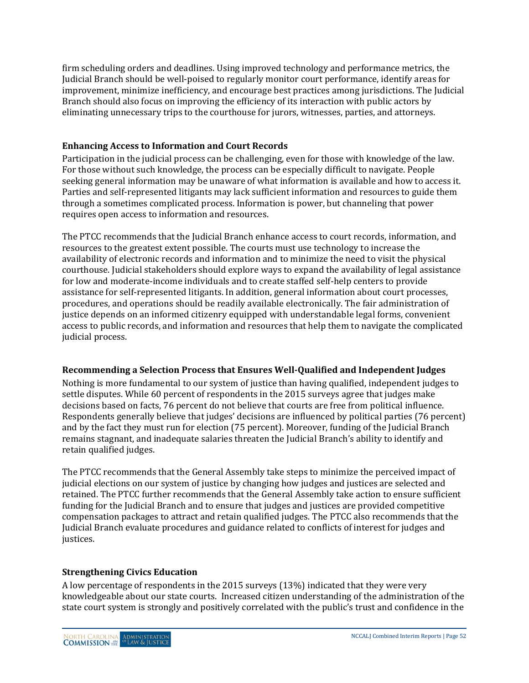firm scheduling orders and deadlines. Using improved technology and performance metrics, the Judicial Branch should be well-poised to regularly monitor court performance, identify areas for improvement, minimize inefficiency, and encourage best practices among jurisdictions. The Judicial Branch should also focus on improving the efficiency of its interaction with public actors by eliminating unnecessary trips to the courthouse for jurors, witnesses, parties, and attorneys.

#### **Enhancing Access to Information and Court Records**

Participation in the judicial process can be challenging, even for those with knowledge of the law. For those without such knowledge, the process can be especially difficult to navigate. People seeking general information may be unaware of what information is available and how to access it. Parties and self-represented litigants may lack sufficient information and resources to guide them through a sometimes complicated process. Information is power, but channeling that power requires open access to information and resources.

The PTCC recommends that the Judicial Branch enhance access to court records, information, and resources to the greatest extent possible. The courts must use technology to increase the availability of electronic records and information and to minimize the need to visit the physical courthouse. Judicial stakeholders should explore ways to expand the availability of legal assistance for low and moderate-income individuals and to create staffed self-help centers to provide assistance for self-represented litigants. In addition, general information about court processes, procedures, and operations should be readily available electronically. The fair administration of justice depends on an informed citizenry equipped with understandable legal forms, convenient access to public records, and information and resources that help them to navigate the complicated judicial process.

#### **Recommending a Selection Process that Ensures Well-Qualified and Independent Judges**

Nothing is more fundamental to our system of justice than having qualified, independent judges to settle disputes. While 60 percent of respondents in the 2015 surveys agree that judges make decisions based on facts, 76 percent do not believe that courts are free from political influence. Respondents generally believe that judges' decisions are influenced by political parties (76 percent) and by the fact they must run for election (75 percent). Moreover, funding of the Judicial Branch remains stagnant, and inadequate salaries threaten the Judicial Branch's ability to identify and retain qualified judges.

The PTCC recommends that the General Assembly take steps to minimize the perceived impact of judicial elections on our system of justice by changing how judges and justices are selected and retained. The PTCC further recommends that the General Assembly take action to ensure sufficient funding for the Judicial Branch and to ensure that judges and justices are provided competitive compensation packages to attract and retain qualified judges. The PTCC also recommends that the Judicial Branch evaluate procedures and guidance related to conflicts of interest for judges and justices.

#### **Strengthening Civics Education**

A low percentage of respondents in the 2015 surveys (13%) indicated that they were very knowledgeable about our state courts. Increased citizen understanding of the administration of the state court system is strongly and positively correlated with the public's trust and confidence in the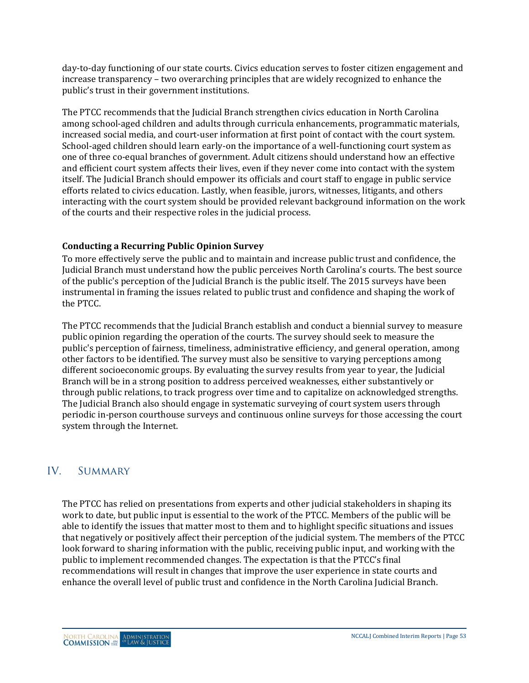day-to-day functioning of our state courts. Civics education serves to foster citizen engagement and increase transparency – two overarching principles that are widely recognized to enhance the public's trust in their government institutions.

The PTCC recommends that the Judicial Branch strengthen civics education in North Carolina among school-aged children and adults through curricula enhancements, programmatic materials, increased social media, and court-user information at first point of contact with the court system. School-aged children should learn early-on the importance of a well-functioning court system as one of three co-equal branches of government. Adult citizens should understand how an effective and efficient court system affects their lives, even if they never come into contact with the system itself. The Judicial Branch should empower its officials and court staff to engage in public service efforts related to civics education. Lastly, when feasible, jurors, witnesses, litigants, and others interacting with the court system should be provided relevant background information on the work of the courts and their respective roles in the judicial process.

#### **Conducting a Recurring Public Opinion Survey**

To more effectively serve the public and to maintain and increase public trust and confidence, the Judicial Branch must understand how the public perceives North Carolina's courts. The best source of the public's perception of the Judicial Branch is the public itself. The 2015 surveys have been instrumental in framing the issues related to public trust and confidence and shaping the work of the PTCC.

The PTCC recommends that the Judicial Branch establish and conduct a biennial survey to measure public opinion regarding the operation of the courts. The survey should seek to measure the public's perception of fairness, timeliness, administrative efficiency, and general operation, among other factors to be identified. The survey must also be sensitive to varying perceptions among different socioeconomic groups. By evaluating the survey results from year to year, the Judicial Branch will be in a strong position to address perceived weaknesses, either substantively or through public relations, to track progress over time and to capitalize on acknowledged strengths. The Judicial Branch also should engage in systematic surveying of court system users through periodic in-person courthouse surveys and continuous online surveys for those accessing the court system through the Internet.

### IV. SUMMARY

The PTCC has relied on presentations from experts and other judicial stakeholders in shaping its work to date, but public input is essential to the work of the PTCC. Members of the public will be able to identify the issues that matter most to them and to highlight specific situations and issues that negatively or positively affect their perception of the judicial system. The members of the PTCC look forward to sharing information with the public, receiving public input, and working with the public to implement recommended changes. The expectation is that the PTCC's final recommendations will result in changes that improve the user experience in state courts and enhance the overall level of public trust and confidence in the North Carolina Judicial Branch.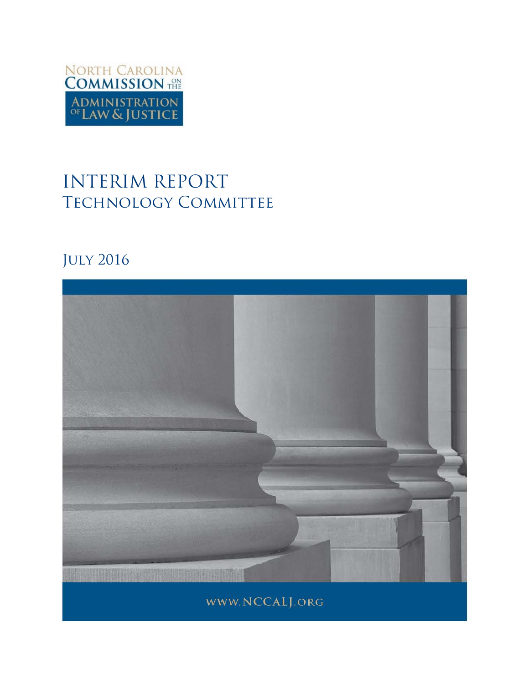

# INTERIM REPORT TECHNOLOGY COMMITTEE

## July 2016

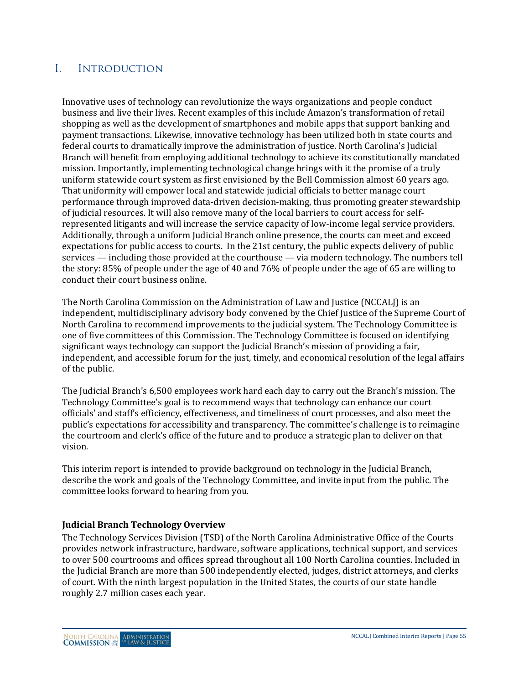## I. Introduction

Innovative uses of technology can revolutionize the ways organizations and people conduct business and live their lives. Recent examples of this include Amazon's transformation of retail shopping as well as the development of smartphones and mobile apps that support banking and payment transactions. Likewise, innovative technology has been utilized both in state courts and federal courts to dramatically improve the administration of justice. North Carolina's Judicial Branch will benefit from employing additional technology to achieve its constitutionally mandated mission. Importantly, implementing technological change brings with it the promise of a truly uniform statewide court system as first envisioned by the Bell Commission almost 60 years ago. That uniformity will empower local and statewide judicial officials to better manage court performance through improved data-driven decision-making, thus promoting greater stewardship of judicial resources. It will also remove many of the local barriers to court access for selfrepresented litigants and will increase the service capacity of low-income legal service providers. Additionally, through a uniform Judicial Branch online presence, the courts can meet and exceed expectations for public access to courts. In the 21st century, the public expects delivery of public services — including those provided at the courthouse — via modern technology. The numbers tell the story: 85% of people under the age of 40 and 76% of people under the age of 65 are willing to conduct their court business online.

The North Carolina Commission on the Administration of Law and Justice (NCCALJ) is an independent, multidisciplinary advisory body convened by the Chief Justice of the Supreme Court of North Carolina to recommend improvements to the judicial system. The Technology Committee is one of five committees of this Commission. The Technology Committee is focused on identifying significant ways technology can support the Judicial Branch's mission of providing a fair, independent, and accessible forum for the just, timely, and economical resolution of the legal affairs of the public.

The Judicial Branch's 6,500 employees work hard each day to carry out the Branch's mission. The Technology Committee's goal is to recommend ways that technology can enhance our court officials' and staff's efficiency, effectiveness, and timeliness of court processes, and also meet the public's expectations for accessibility and transparency. The committee's challenge is to reimagine the courtroom and clerk's office of the future and to produce a strategic plan to deliver on that vision.

This interim report is intended to provide background on technology in the Judicial Branch, describe the work and goals of the Technology Committee, and invite input from the public. The committee looks forward to hearing from you.

#### **Judicial Branch Technology Overview**

The Technology Services Division (TSD) of the North Carolina Administrative Office of the Courts provides network infrastructure, hardware, software applications, technical support, and services to over 500 courtrooms and offices spread throughout all 100 North Carolina counties. Included in the Judicial Branch are more than 500 independently elected, judges, district attorneys, and clerks of court. With the ninth largest population in the United States, the courts of our state handle roughly 2.7 million cases each year.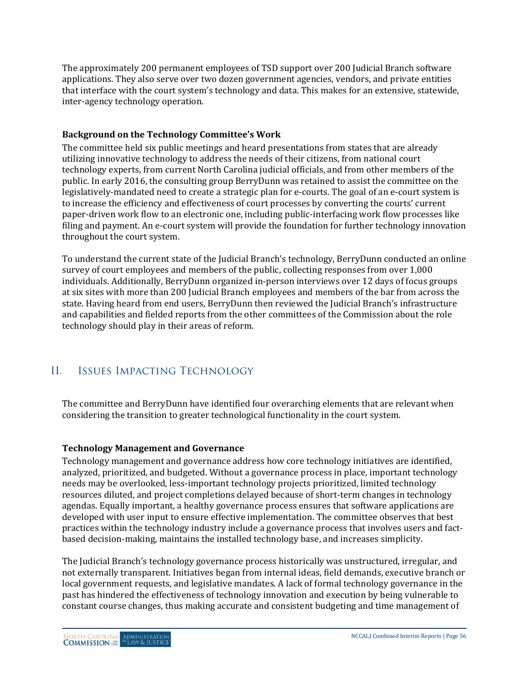The approximately 200 permanent employees of TSD support over 200 Judicial Branch software applications. They also serve over two dozen government agencies, vendors, and private entities that interface with the court system's technology and data. This makes for an extensive, statewide, inter-agency technology operation.

#### **Background on the Technology Committee's Work**

The committee held six public meetings and heard presentations from states that are already utilizing innovative technology to address the needs of their citizens, from national court technology experts, from current North Carolina judicial officials, and from other members of the public. In early 2016, the consulting group BerryDunn was retained to assist the committee on the legislatively-mandated need to create a strategic plan for e-courts. The goal of an e-court system is to increase the efficiency and effectiveness of court processes by converting the courts' current paper-driven work flow to an electronic one, including public-interfacing work flow processes like filing and payment. An e-court system will provide the foundation for further technology innovation throughout the court system.

To understand the current state of the Judicial Branch's technology, BerryDunn conducted an online survey of court employees and members of the public, collecting responses from over 1,000 individuals. Additionally, BerryDunn organized in-person interviews over 12 days of focus groups at six sites with more than 200 Judicial Branch employees and members of the bar from across the state. Having heard from end users, BerryDunn then reviewed the Judicial Branch's infrastructure and capabilities and fielded reports from the other committees of the Commission about the role technology should play in their areas of reform.

## II. Issues Impacting Technology

The committee and BerryDunn have identified four overarching elements that are relevant when considering the transition to greater technological functionality in the court system.

#### **Technology Management and Governance**

Technology management and governance address how core technology initiatives are identified, analyzed, prioritized, and budgeted. Without a governance process in place, important technology needs may be overlooked, less-important technology projects prioritized, limited technology resources diluted, and project completions delayed because of short-term changes in technology agendas. Equally important, a healthy governance process ensures that software applications are developed with user input to ensure effective implementation. The committee observes that best practices within the technology industry include a governance process that involves users and factbased decision-making, maintains the installed technology base, and increases simplicity.

The Judicial Branch's technology governance process historically was unstructured, irregular, and not externally transparent. Initiatives began from internal ideas, field demands, executive branch or local government requests, and legislative mandates. A lack of formal technology governance in the past has hindered the effectiveness of technology innovation and execution by being vulnerable to constant course changes, thus making accurate and consistent budgeting and time management of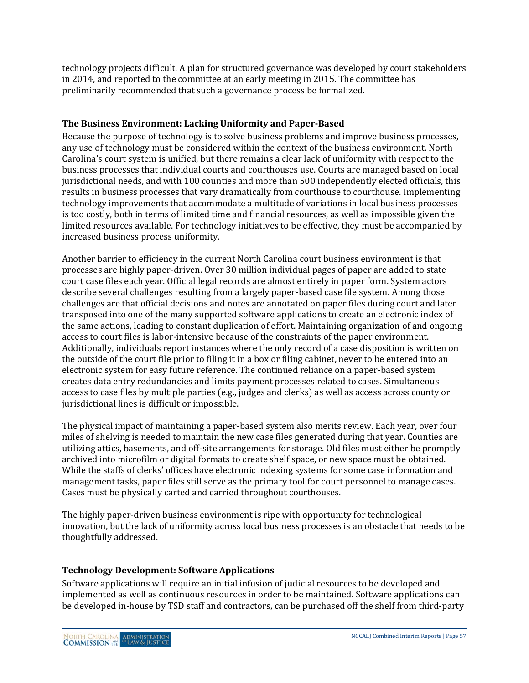technology projects difficult. A plan for structured governance was developed by court stakeholders in 2014, and reported to the committee at an early meeting in 2015. The committee has preliminarily recommended that such a governance process be formalized.

#### **The Business Environment: Lacking Uniformity and Paper-Based**

Because the purpose of technology is to solve business problems and improve business processes, any use of technology must be considered within the context of the business environment. North Carolina's court system is unified, but there remains a clear lack of uniformity with respect to the business processes that individual courts and courthouses use. Courts are managed based on local jurisdictional needs, and with 100 counties and more than 500 independently elected officials, this results in business processes that vary dramatically from courthouse to courthouse. Implementing technology improvements that accommodate a multitude of variations in local business processes is too costly, both in terms of limited time and financial resources, as well as impossible given the limited resources available. For technology initiatives to be effective, they must be accompanied by increased business process uniformity.

Another barrier to efficiency in the current North Carolina court business environment is that processes are highly paper-driven. Over 30 million individual pages of paper are added to state court case files each year. Official legal records are almost entirely in paper form. System actors describe several challenges resulting from a largely paper-based case file system. Among those challenges are that official decisions and notes are annotated on paper files during court and later transposed into one of the many supported software applications to create an electronic index of the same actions, leading to constant duplication of effort. Maintaining organization of and ongoing access to court files is labor-intensive because of the constraints of the paper environment. Additionally, individuals report instances where the only record of a case disposition is written on the outside of the court file prior to filing it in a box or filing cabinet, never to be entered into an electronic system for easy future reference. The continued reliance on a paper-based system creates data entry redundancies and limits payment processes related to cases. Simultaneous access to case files by multiple parties (e.g., judges and clerks) as well as access across county or jurisdictional lines is difficult or impossible.

The physical impact of maintaining a paper-based system also merits review. Each year, over four miles of shelving is needed to maintain the new case files generated during that year. Counties are utilizing attics, basements, and off-site arrangements for storage. Old files must either be promptly archived into microfilm or digital formats to create shelf space, or new space must be obtained. While the staffs of clerks' offices have electronic indexing systems for some case information and management tasks, paper files still serve as the primary tool for court personnel to manage cases. Cases must be physically carted and carried throughout courthouses.

The highly paper-driven business environment is ripe with opportunity for technological innovation, but the lack of uniformity across local business processes is an obstacle that needs to be thoughtfully addressed.

#### **Technology Development: Software Applications**

Software applications will require an initial infusion of judicial resources to be developed and implemented as well as continuous resources in order to be maintained. Software applications can be developed in-house by TSD staff and contractors, can be purchased off the shelf from third-party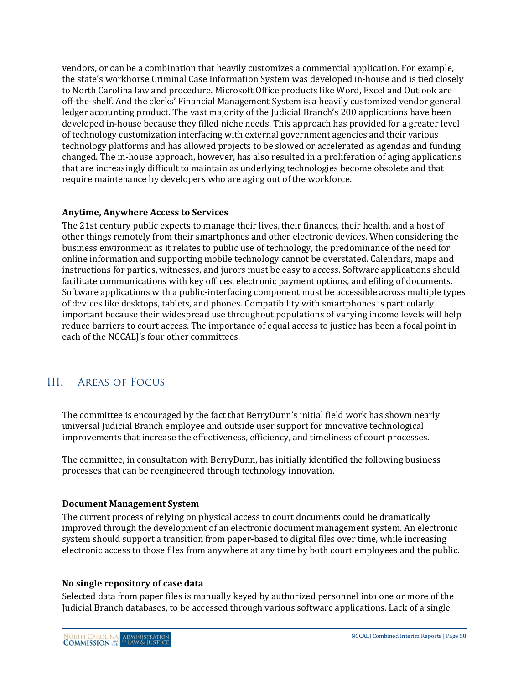vendors, or can be a combination that heavily customizes a commercial application. For example, the state's workhorse Criminal Case Information System was developed in-house and is tied closely to North Carolina law and procedure. Microsoft Office products like Word, Excel and Outlook are off-the-shelf. And the clerks' Financial Management System is a heavily customized vendor general ledger accounting product. The vast majority of the Judicial Branch's 200 applications have been developed in-house because they filled niche needs. This approach has provided for a greater level of technology customization interfacing with external government agencies and their various technology platforms and has allowed projects to be slowed or accelerated as agendas and funding changed. The in-house approach, however, has also resulted in a proliferation of aging applications that are increasingly difficult to maintain as underlying technologies become obsolete and that require maintenance by developers who are aging out of the workforce.

#### **Anytime, Anywhere Access to Services**

The 21st century public expects to manage their lives, their finances, their health, and a host of other things remotely from their smartphones and other electronic devices. When considering the business environment as it relates to public use of technology, the predominance of the need for online information and supporting mobile technology cannot be overstated. Calendars, maps and instructions for parties, witnesses, and jurors must be easy to access. Software applications should facilitate communications with key offices, electronic payment options, and efiling of documents. Software applications with a public-interfacing component must be accessible across multiple types of devices like desktops, tablets, and phones. Compatibility with smartphones is particularly important because their widespread use throughout populations of varying income levels will help reduce barriers to court access. The importance of equal access to justice has been a focal point in each of the NCCALJ's four other committees.

## III. Areas of Focus

The committee is encouraged by the fact that BerryDunn's initial field work has shown nearly universal Judicial Branch employee and outside user support for innovative technological improvements that increase the effectiveness, efficiency, and timeliness of court processes.

The committee, in consultation with BerryDunn, has initially identified the following business processes that can be reengineered through technology innovation.

#### **Document Management System**

The current process of relying on physical access to court documents could be dramatically improved through the development of an electronic document management system. An electronic system should support a transition from paper-based to digital files over time, while increasing electronic access to those files from anywhere at any time by both court employees and the public.

#### **No single repository of case data**

Selected data from paper files is manually keyed by authorized personnel into one or more of the Judicial Branch databases, to be accessed through various software applications. Lack of a single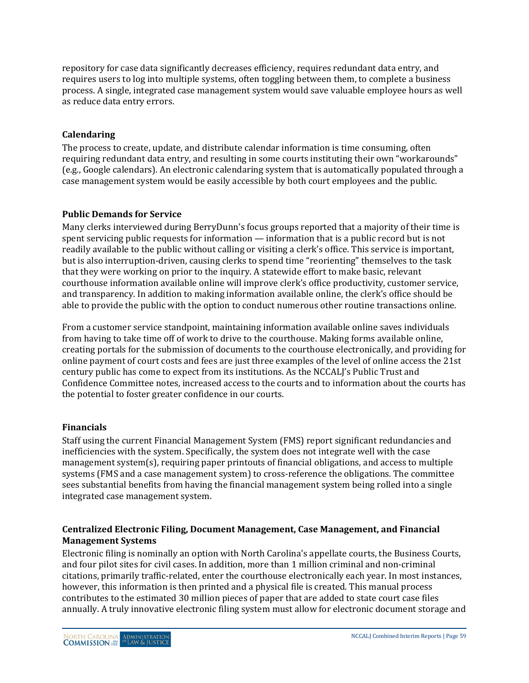repository for case data significantly decreases efficiency, requires redundant data entry, and requires users to log into multiple systems, often toggling between them, to complete a business process. A single, integrated case management system would save valuable employee hours as well as reduce data entry errors.

#### **Calendaring**

The process to create, update, and distribute calendar information is time consuming, often requiring redundant data entry, and resulting in some courts instituting their own "workarounds" (e.g., Google calendars). An electronic calendaring system that is automatically populated through a case management system would be easily accessible by both court employees and the public.

#### **Public Demands for Service**

Many clerks interviewed during BerryDunn's focus groups reported that a majority of their time is spent servicing public requests for information — information that is a public record but is not readily available to the public without calling or visiting a clerk's office. This service is important, but is also interruption-driven, causing clerks to spend time "reorienting" themselves to the task that they were working on prior to the inquiry. A statewide effort to make basic, relevant courthouse information available online will improve clerk's office productivity, customer service, and transparency. In addition to making information available online, the clerk's office should be able to provide the public with the option to conduct numerous other routine transactions online.

From a customer service standpoint, maintaining information available online saves individuals from having to take time off of work to drive to the courthouse. Making forms available online, creating portals for the submission of documents to the courthouse electronically, and providing for online payment of court costs and fees are just three examples of the level of online access the 21st century public has come to expect from its institutions. As the NCCALJ's Public Trust and Confidence Committee notes, increased access to the courts and to information about the courts has the potential to foster greater confidence in our courts.

#### **Financials**

Staff using the current Financial Management System (FMS) report significant redundancies and inefficiencies with the system. Specifically, the system does not integrate well with the case management system(s), requiring paper printouts of financial obligations, and access to multiple systems (FMS and a case management system) to cross-reference the obligations. The committee sees substantial benefits from having the financial management system being rolled into a single integrated case management system.

#### **Centralized Electronic Filing, Document Management, Case Management, and Financial Management Systems**

Electronic filing is nominally an option with North Carolina's appellate courts, the Business Courts, and four pilot sites for civil cases. In addition, more than 1 million criminal and non-criminal citations, primarily traffic-related, enter the courthouse electronically each year. In most instances, however, this information is then printed and a physical file is created. This manual process contributes to the estimated 30 million pieces of paper that are added to state court case files annually. A truly innovative electronic filing system must allow for electronic document storage and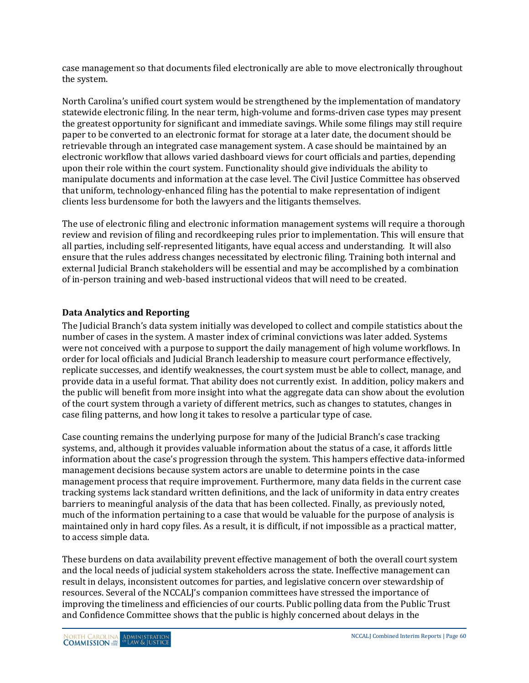case management so that documents filed electronically are able to move electronically throughout the system.

North Carolina's unified court system would be strengthened by the implementation of mandatory statewide electronic filing. In the near term, high-volume and forms-driven case types may present the greatest opportunity for significant and immediate savings. While some filings may still require paper to be converted to an electronic format for storage at a later date, the document should be retrievable through an integrated case management system. A case should be maintained by an electronic workflow that allows varied dashboard views for court officials and parties, depending upon their role within the court system. Functionality should give individuals the ability to manipulate documents and information at the case level. The Civil Justice Committee has observed that uniform, technology-enhanced filing has the potential to make representation of indigent clients less burdensome for both the lawyers and the litigants themselves.

The use of electronic filing and electronic information management systems will require a thorough review and revision of filing and recordkeeping rules prior to implementation. This will ensure that all parties, including self-represented litigants, have equal access and understanding. It will also ensure that the rules address changes necessitated by electronic filing. Training both internal and external Judicial Branch stakeholders will be essential and may be accomplished by a combination of in-person training and web-based instructional videos that will need to be created.

#### **Data Analytics and Reporting**

The Judicial Branch's data system initially was developed to collect and compile statistics about the number of cases in the system. A master index of criminal convictions was later added. Systems were not conceived with a purpose to support the daily management of high volume workflows. In order for local officials and Judicial Branch leadership to measure court performance effectively, replicate successes, and identify weaknesses, the court system must be able to collect, manage, and provide data in a useful format. That ability does not currently exist. In addition, policy makers and the public will benefit from more insight into what the aggregate data can show about the evolution of the court system through a variety of different metrics, such as changes to statutes, changes in case filing patterns, and how long it takes to resolve a particular type of case.

Case counting remains the underlying purpose for many of the Judicial Branch's case tracking systems, and, although it provides valuable information about the status of a case, it affords little information about the case's progression through the system. This hampers effective data-informed management decisions because system actors are unable to determine points in the case management process that require improvement. Furthermore, many data fields in the current case tracking systems lack standard written definitions, and the lack of uniformity in data entry creates barriers to meaningful analysis of the data that has been collected. Finally, as previously noted, much of the information pertaining to a case that would be valuable for the purpose of analysis is maintained only in hard copy files. As a result, it is difficult, if not impossible as a practical matter, to access simple data.

These burdens on data availability prevent effective management of both the overall court system and the local needs of judicial system stakeholders across the state. Ineffective management can result in delays, inconsistent outcomes for parties, and legislative concern over stewardship of resources. Several of the NCCALJ's companion committees have stressed the importance of improving the timeliness and efficiencies of our courts. Public polling data from the Public Trust and Confidence Committee shows that the public is highly concerned about delays in the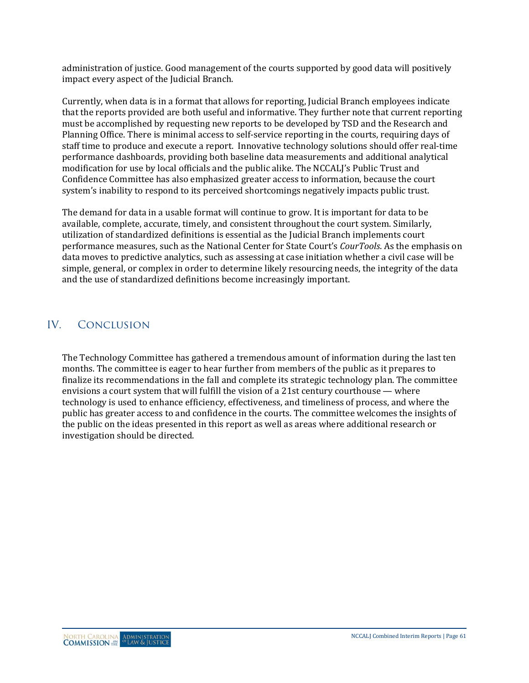administration of justice. Good management of the courts supported by good data will positively impact every aspect of the Judicial Branch.

Currently, when data is in a format that allows for reporting, Judicial Branch employees indicate that the reports provided are both useful and informative. They further note that current reporting must be accomplished by requesting new reports to be developed by TSD and the Research and Planning Office. There is minimal access to self-service reporting in the courts, requiring days of staff time to produce and execute a report. Innovative technology solutions should offer real-time performance dashboards, providing both baseline data measurements and additional analytical modification for use by local officials and the public alike. The NCCALJ's Public Trust and Confidence Committee has also emphasized greater access to information, because the court system's inability to respond to its perceived shortcomings negatively impacts public trust.

The demand for data in a usable format will continue to grow. It is important for data to be available, complete, accurate, timely, and consistent throughout the court system. Similarly, utilization of standardized definitions is essential as the Judicial Branch implements court performance measures, such as the National Center for State Court's *CourTools*. As the emphasis on data moves to predictive analytics, such as assessing at case initiation whether a civil case will be simple, general, or complex in order to determine likely resourcing needs, the integrity of the data and the use of standardized definitions become increasingly important.

## IV. Conclusion

The Technology Committee has gathered a tremendous amount of information during the last ten months. The committee is eager to hear further from members of the public as it prepares to finalize its recommendations in the fall and complete its strategic technology plan. The committee envisions a court system that will fulfill the vision of a 21st century courthouse — where technology is used to enhance efficiency, effectiveness, and timeliness of process, and where the public has greater access to and confidence in the courts. The committee welcomes the insights of the public on the ideas presented in this report as well as areas where additional research or investigation should be directed.